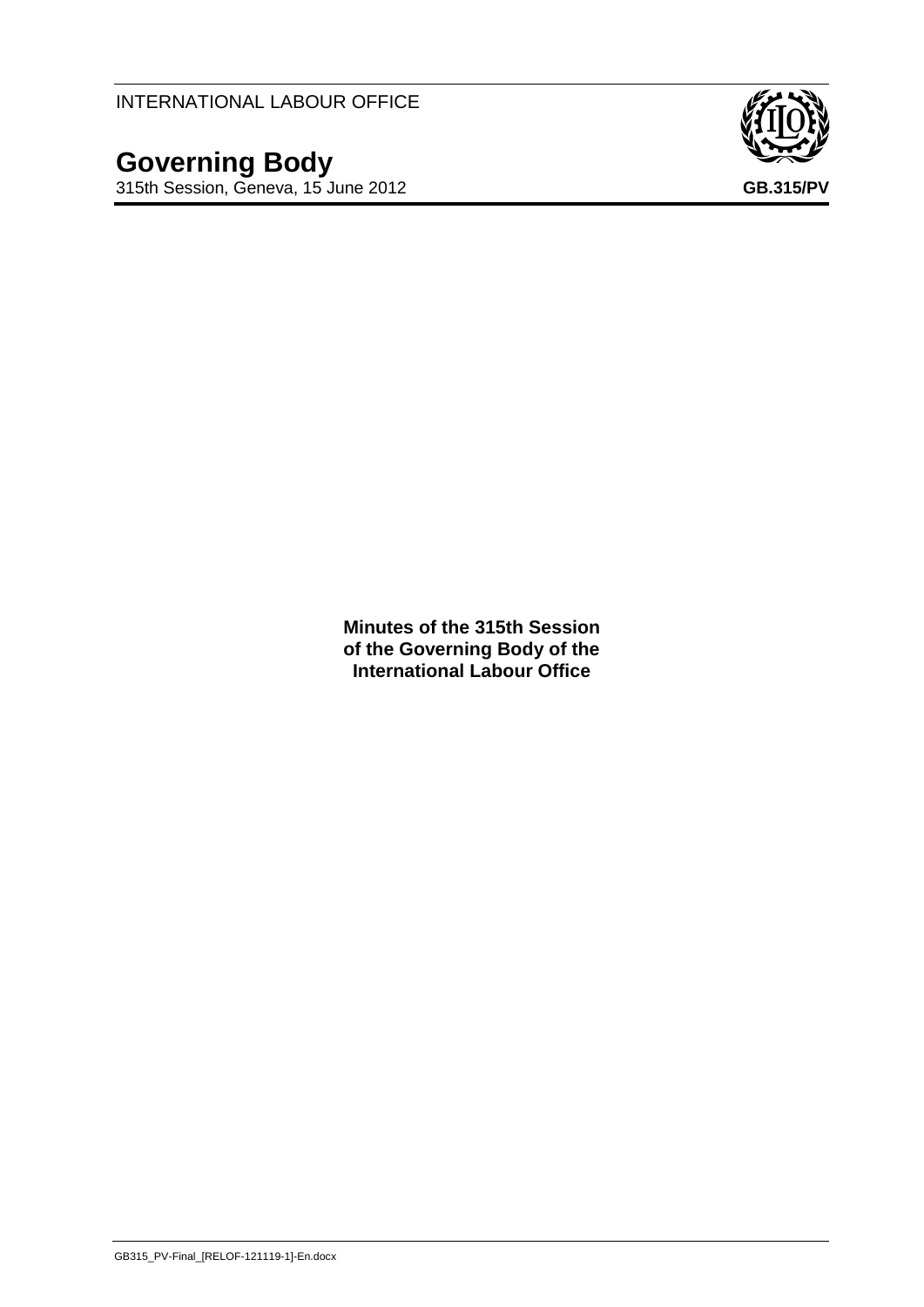INTERNATIONAL LABOUR OFFICE

**Governing Body**



**Minutes of the 315th Session of the Governing Body of the International Labour Office**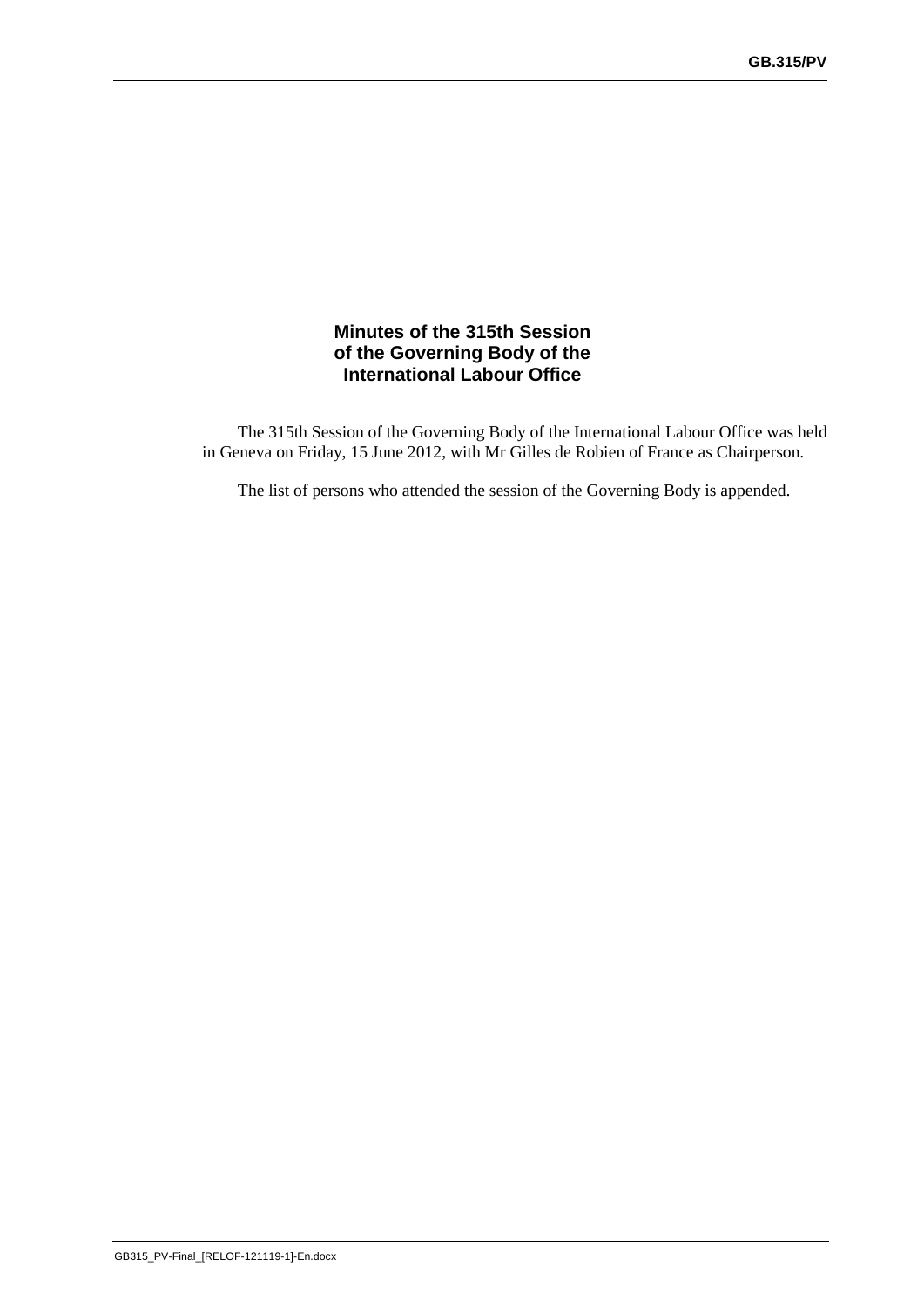### **Minutes of the 315th Session of the Governing Body of the International Labour Office**

The 315th Session of the Governing Body of the International Labour Office was held in Geneva on Friday, 15 June 2012, with Mr Gilles de Robien of France as Chairperson.

The list of persons who attended the session of the Governing Body is appended.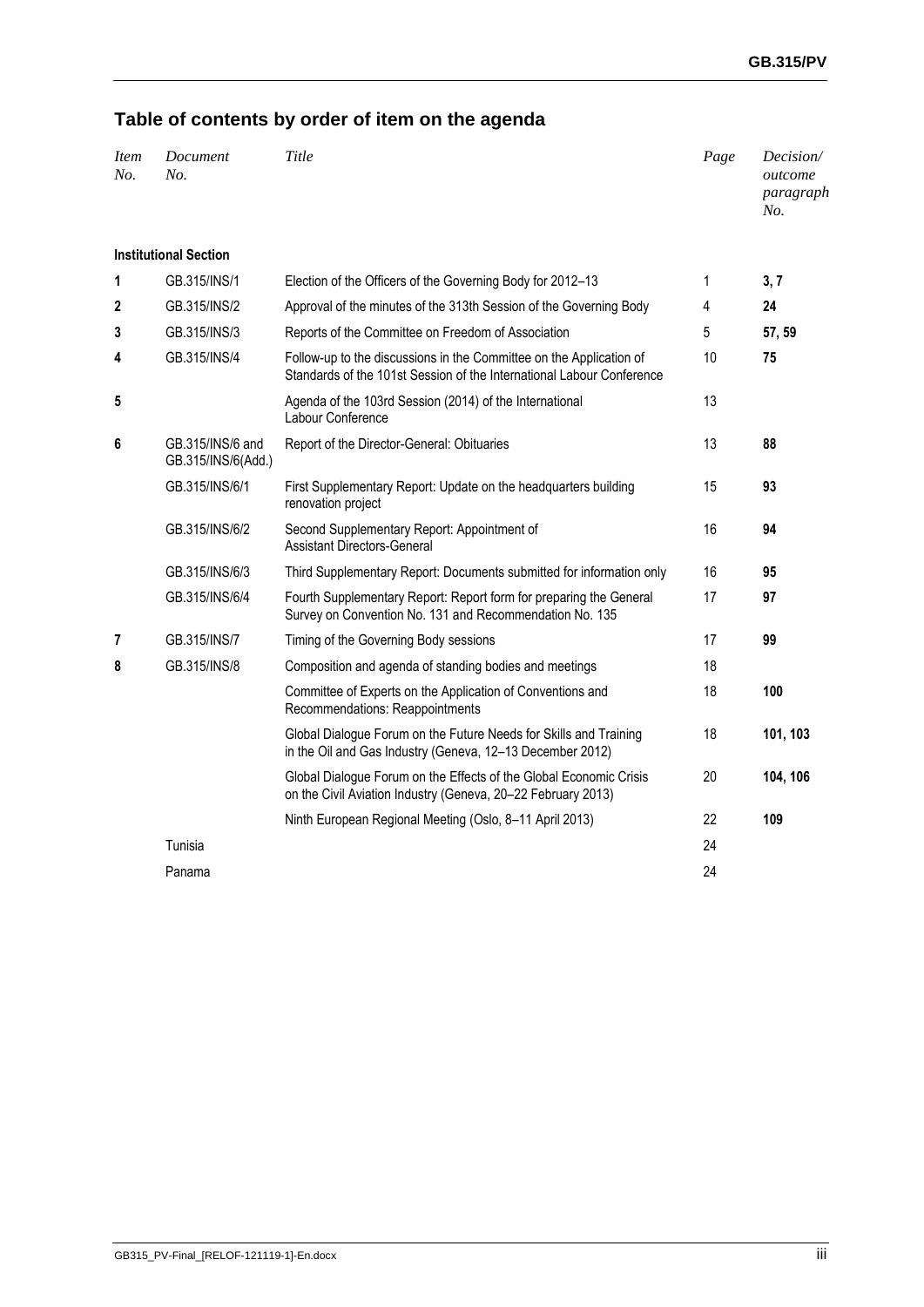# **Table of contents by order of item on the agenda**

| <i>Item</i><br>No. | Document<br>No.                        | Title                                                                                                                                        | Page | Decision/<br>outcome<br>paragraph<br>No. |
|--------------------|----------------------------------------|----------------------------------------------------------------------------------------------------------------------------------------------|------|------------------------------------------|
|                    | <b>Institutional Section</b>           |                                                                                                                                              |      |                                          |
| 1                  | GB.315/INS/1                           | Election of the Officers of the Governing Body for 2012-13                                                                                   | 1    | 3, 7                                     |
| 2                  | GB.315/INS/2                           | Approval of the minutes of the 313th Session of the Governing Body                                                                           | 4    | 24                                       |
| 3                  | GB.315/INS/3                           | Reports of the Committee on Freedom of Association                                                                                           | 5    | 57, 59                                   |
| 4                  | GB.315/INS/4                           | Follow-up to the discussions in the Committee on the Application of<br>Standards of the 101st Session of the International Labour Conference | 10   | 75                                       |
| 5                  |                                        | Agenda of the 103rd Session (2014) of the International<br>Labour Conference                                                                 | 13   |                                          |
| 6                  | GB.315/INS/6 and<br>GB.315/INS/6(Add.) | Report of the Director-General: Obituaries                                                                                                   | 13   | 88                                       |
|                    | GB.315/INS/6/1                         | First Supplementary Report: Update on the headquarters building<br>renovation project                                                        | 15   | 93                                       |
|                    | GB.315/INS/6/2                         | Second Supplementary Report: Appointment of<br><b>Assistant Directors-General</b>                                                            | 16   | 94                                       |
|                    | GB.315/INS/6/3                         | Third Supplementary Report: Documents submitted for information only                                                                         | 16   | 95                                       |
|                    | GB.315/INS/6/4                         | Fourth Supplementary Report: Report form for preparing the General<br>Survey on Convention No. 131 and Recommendation No. 135                | 17   | 97                                       |
| 7                  | GB.315/INS/7                           | Timing of the Governing Body sessions                                                                                                        | 17   | 99                                       |
| 8                  | GB.315/INS/8                           | Composition and agenda of standing bodies and meetings                                                                                       | 18   |                                          |
|                    |                                        | Committee of Experts on the Application of Conventions and<br>Recommendations: Reappointments                                                | 18   | 100                                      |
|                    |                                        | Global Dialogue Forum on the Future Needs for Skills and Training<br>in the Oil and Gas Industry (Geneva, 12-13 December 2012)               | 18   | 101, 103                                 |
|                    |                                        | Global Dialogue Forum on the Effects of the Global Economic Crisis<br>on the Civil Aviation Industry (Geneva, 20-22 February 2013)           | 20   | 104, 106                                 |
|                    |                                        | Ninth European Regional Meeting (Oslo, 8-11 April 2013)                                                                                      | 22   | 109                                      |
|                    | Tunisia                                |                                                                                                                                              | 24   |                                          |
|                    | Panama                                 |                                                                                                                                              | 24   |                                          |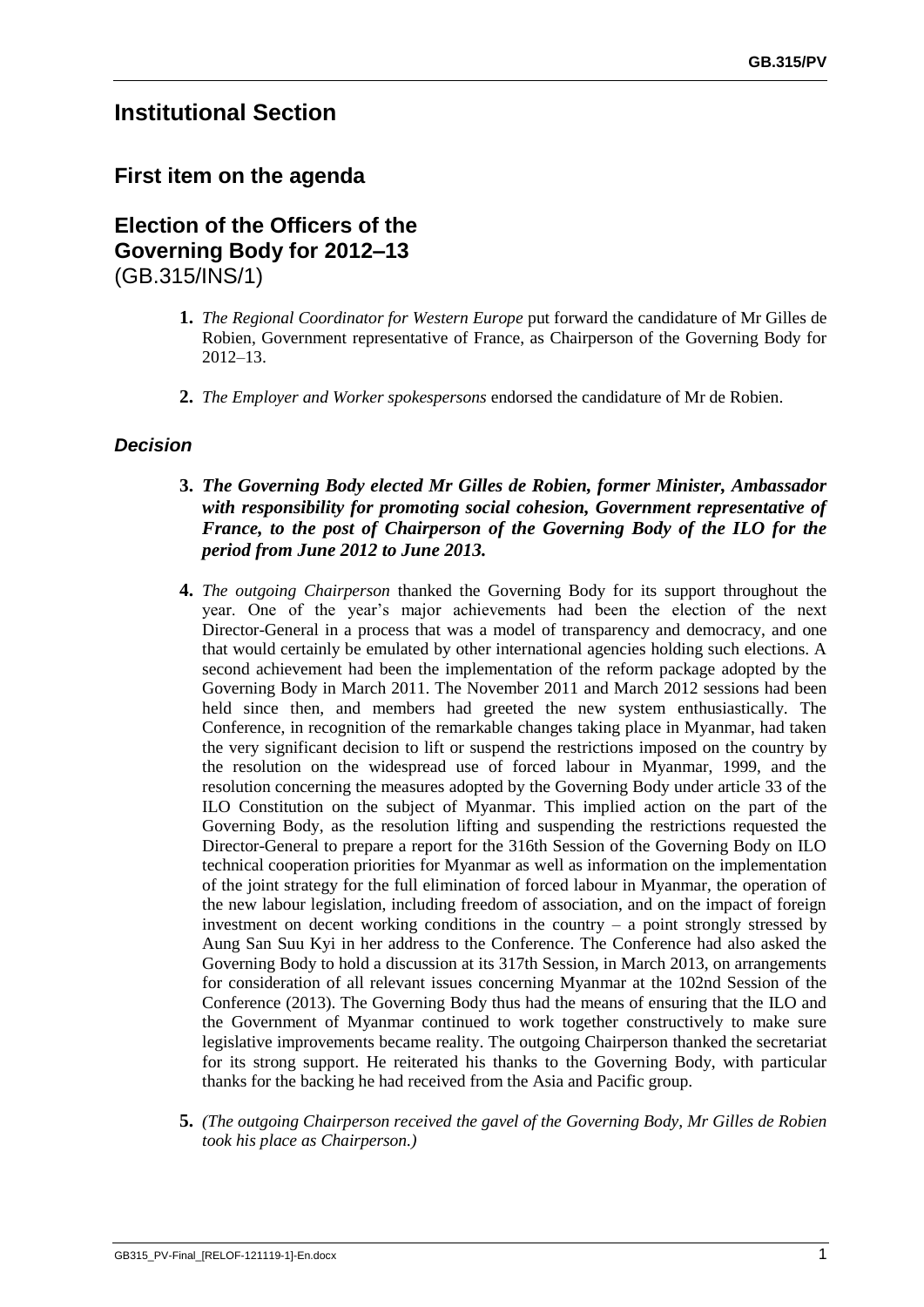# **Institutional Section**

# **First item on the agenda**

**Election of the Officers of the Governing Body for 2012–13** (GB.315/INS/1)

- **1.** *The Regional Coordinator for Western Europe* put forward the candidature of Mr Gilles de Robien, Government representative of France, as Chairperson of the Governing Body for 2012–13.
- **2.** *The Employer and Worker spokespersons* endorsed the candidature of Mr de Robien.

### *Decision*

- **3.** *The Governing Body elected Mr Gilles de Robien, former Minister, Ambassador with responsibility for promoting social cohesion, Government representative of France, to the post of Chairperson of the Governing Body of the ILO for the period from June 2012 to June 2013.*
- **4.** *The outgoing Chairperson* thanked the Governing Body for its support throughout the year. One of the year's major achievements had been the election of the next Director-General in a process that was a model of transparency and democracy, and one that would certainly be emulated by other international agencies holding such elections. A second achievement had been the implementation of the reform package adopted by the Governing Body in March 2011. The November 2011 and March 2012 sessions had been held since then, and members had greeted the new system enthusiastically. The Conference, in recognition of the remarkable changes taking place in Myanmar, had taken the very significant decision to lift or suspend the restrictions imposed on the country by the resolution on the widespread use of forced labour in Myanmar, 1999, and the resolution concerning the measures adopted by the Governing Body under article 33 of the ILO Constitution on the subject of Myanmar. This implied action on the part of the Governing Body, as the resolution lifting and suspending the restrictions requested the Director-General to prepare a report for the 316th Session of the Governing Body on ILO technical cooperation priorities for Myanmar as well as information on the implementation of the joint strategy for the full elimination of forced labour in Myanmar, the operation of the new labour legislation, including freedom of association, and on the impact of foreign investment on decent working conditions in the country  $-$  a point strongly stressed by Aung San Suu Kyi in her address to the Conference. The Conference had also asked the Governing Body to hold a discussion at its 317th Session, in March 2013, on arrangements for consideration of all relevant issues concerning Myanmar at the 102nd Session of the Conference (2013). The Governing Body thus had the means of ensuring that the ILO and the Government of Myanmar continued to work together constructively to make sure legislative improvements became reality. The outgoing Chairperson thanked the secretariat for its strong support. He reiterated his thanks to the Governing Body, with particular thanks for the backing he had received from the Asia and Pacific group.
- **5.** *(The outgoing Chairperson received the gavel of the Governing Body, Mr Gilles de Robien took his place as Chairperson.)*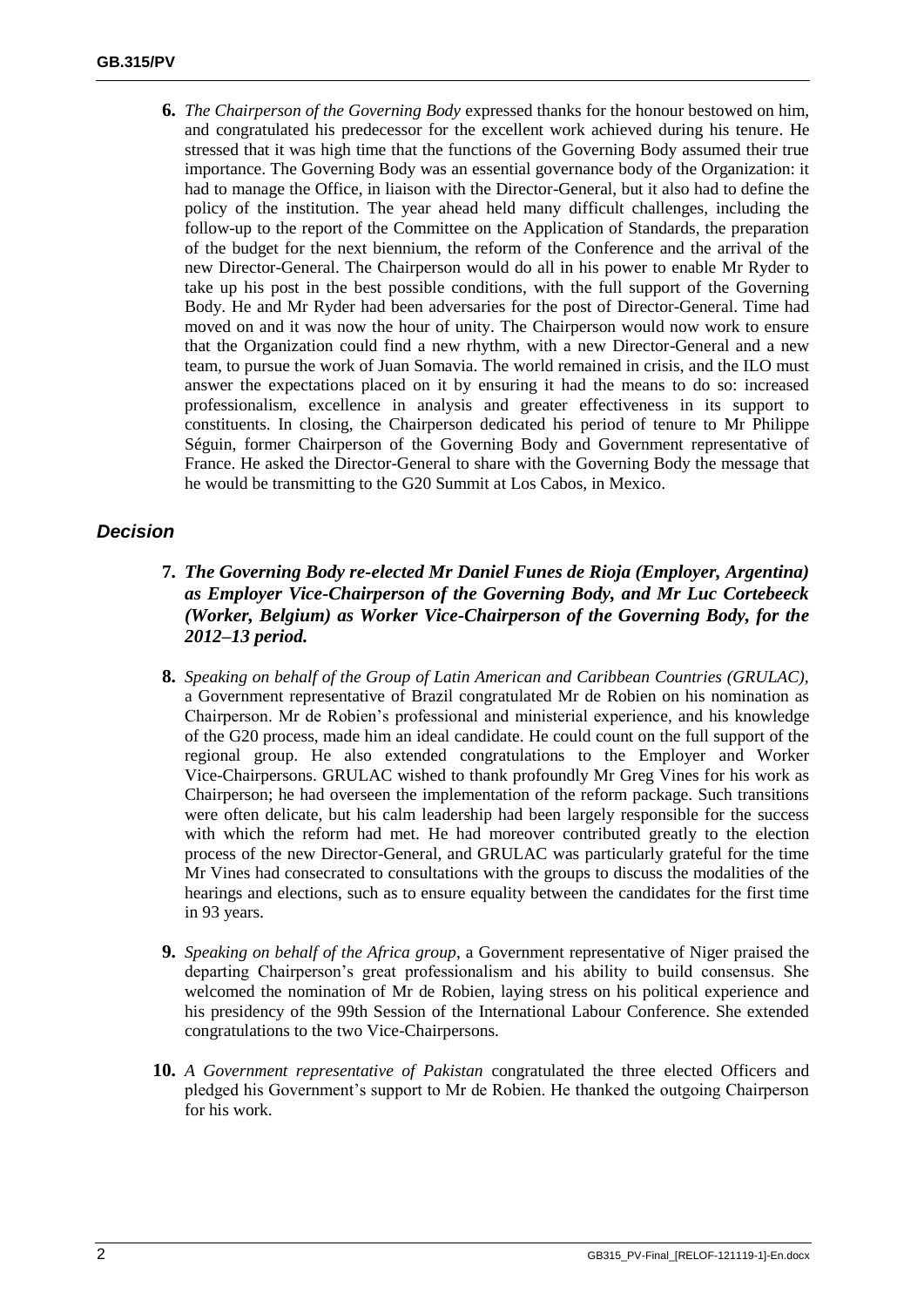**6.** *The Chairperson of the Governing Body* expressed thanks for the honour bestowed on him, and congratulated his predecessor for the excellent work achieved during his tenure. He stressed that it was high time that the functions of the Governing Body assumed their true importance. The Governing Body was an essential governance body of the Organization: it had to manage the Office, in liaison with the Director-General, but it also had to define the policy of the institution. The year ahead held many difficult challenges, including the follow-up to the report of the Committee on the Application of Standards, the preparation of the budget for the next biennium, the reform of the Conference and the arrival of the new Director-General. The Chairperson would do all in his power to enable Mr Ryder to take up his post in the best possible conditions, with the full support of the Governing Body. He and Mr Ryder had been adversaries for the post of Director-General. Time had moved on and it was now the hour of unity. The Chairperson would now work to ensure that the Organization could find a new rhythm, with a new Director-General and a new team, to pursue the work of Juan Somavia. The world remained in crisis, and the ILO must answer the expectations placed on it by ensuring it had the means to do so: increased professionalism, excellence in analysis and greater effectiveness in its support to constituents. In closing, the Chairperson dedicated his period of tenure to Mr Philippe Séguin, former Chairperson of the Governing Body and Government representative of France. He asked the Director-General to share with the Governing Body the message that he would be transmitting to the G20 Summit at Los Cabos, in Mexico.

### *Decision*

- **7.** *The Governing Body re-elected Mr Daniel Funes de Rioja (Employer, Argentina) as Employer Vice-Chairperson of the Governing Body, and Mr Luc Cortebeeck (Worker, Belgium) as Worker Vice-Chairperson of the Governing Body, for the 2012–13 period.*
- **8.** *Speaking on behalf of the Group of Latin American and Caribbean Countries (GRULAC),* a Government representative of Brazil congratulated Mr de Robien on his nomination as Chairperson. Mr de Robien's professional and ministerial experience, and his knowledge of the G20 process, made him an ideal candidate. He could count on the full support of the regional group. He also extended congratulations to the Employer and Worker Vice-Chairpersons. GRULAC wished to thank profoundly Mr Greg Vines for his work as Chairperson; he had overseen the implementation of the reform package. Such transitions were often delicate, but his calm leadership had been largely responsible for the success with which the reform had met. He had moreover contributed greatly to the election process of the new Director-General, and GRULAC was particularly grateful for the time Mr Vines had consecrated to consultations with the groups to discuss the modalities of the hearings and elections, such as to ensure equality between the candidates for the first time in 93 years.
- **9.** *Speaking on behalf of the Africa group*, a Government representative of Niger praised the departing Chairperson's great professionalism and his ability to build consensus. She welcomed the nomination of Mr de Robien, laying stress on his political experience and his presidency of the 99th Session of the International Labour Conference. She extended congratulations to the two Vice-Chairpersons.
- **10.** *A Government representative of Pakistan* congratulated the three elected Officers and pledged his Government's support to Mr de Robien. He thanked the outgoing Chairperson for his work.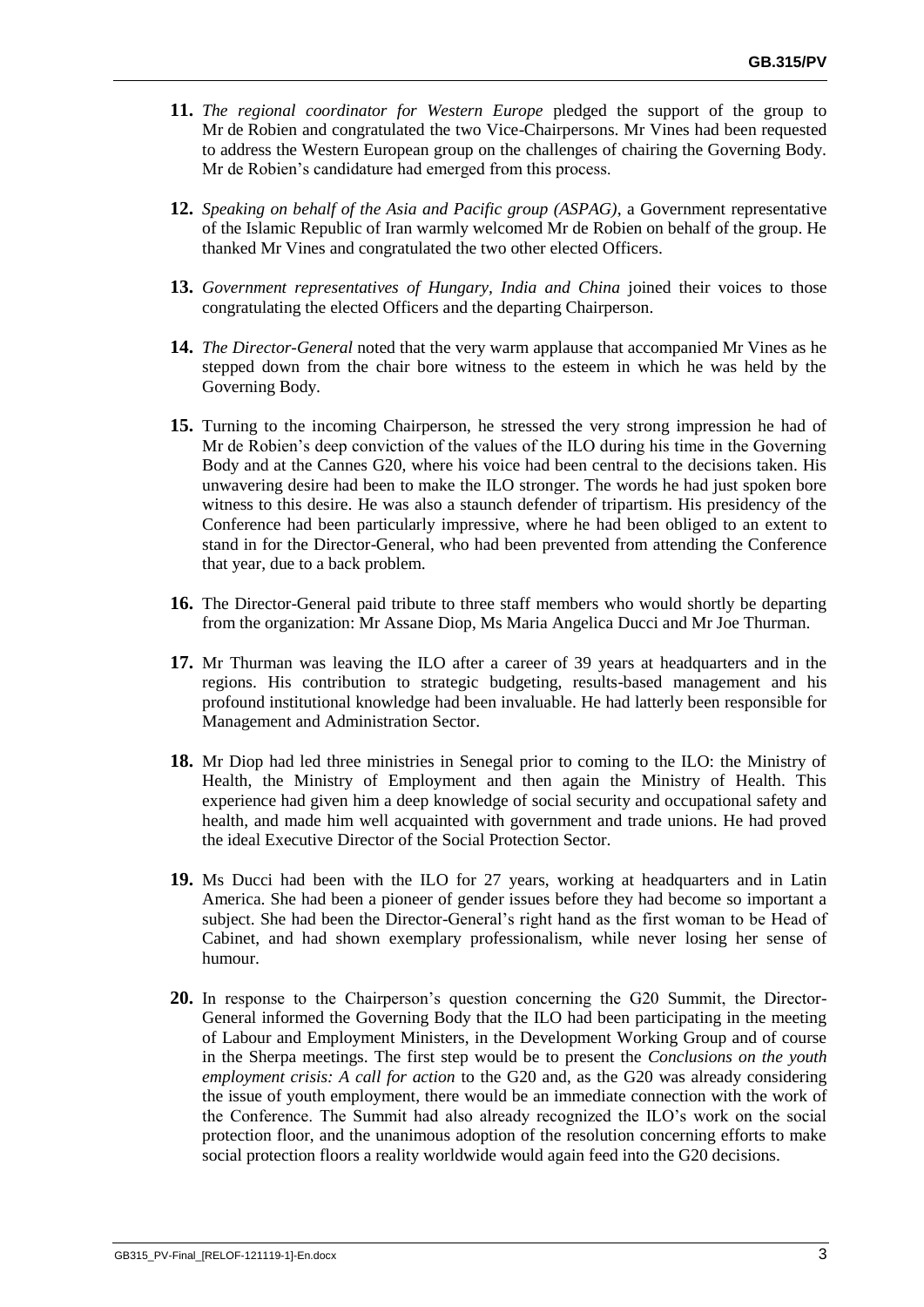- **11.** *The regional coordinator for Western Europe* pledged the support of the group to Mr de Robien and congratulated the two Vice-Chairpersons. Mr Vines had been requested to address the Western European group on the challenges of chairing the Governing Body. Mr de Robien's candidature had emerged from this process.
- **12.** *Speaking on behalf of the Asia and Pacific group (ASPAG)*, a Government representative of the Islamic Republic of Iran warmly welcomed Mr de Robien on behalf of the group. He thanked Mr Vines and congratulated the two other elected Officers.
- **13.** *Government representatives of Hungary, India and China* joined their voices to those congratulating the elected Officers and the departing Chairperson.
- **14.** *The Director-General* noted that the very warm applause that accompanied Mr Vines as he stepped down from the chair bore witness to the esteem in which he was held by the Governing Body.
- **15.** Turning to the incoming Chairperson, he stressed the very strong impression he had of Mr de Robien's deep conviction of the values of the ILO during his time in the Governing Body and at the Cannes G20, where his voice had been central to the decisions taken. His unwavering desire had been to make the ILO stronger. The words he had just spoken bore witness to this desire. He was also a staunch defender of tripartism. His presidency of the Conference had been particularly impressive, where he had been obliged to an extent to stand in for the Director-General, who had been prevented from attending the Conference that year, due to a back problem.
- **16.** The Director-General paid tribute to three staff members who would shortly be departing from the organization: Mr Assane Diop, Ms Maria Angelica Ducci and Mr Joe Thurman.
- **17.** Mr Thurman was leaving the ILO after a career of 39 years at headquarters and in the regions. His contribution to strategic budgeting, results-based management and his profound institutional knowledge had been invaluable. He had latterly been responsible for Management and Administration Sector.
- **18.** Mr Diop had led three ministries in Senegal prior to coming to the ILO: the Ministry of Health, the Ministry of Employment and then again the Ministry of Health. This experience had given him a deep knowledge of social security and occupational safety and health, and made him well acquainted with government and trade unions. He had proved the ideal Executive Director of the Social Protection Sector.
- **19.** Ms Ducci had been with the ILO for 27 years, working at headquarters and in Latin America. She had been a pioneer of gender issues before they had become so important a subject. She had been the Director-General's right hand as the first woman to be Head of Cabinet, and had shown exemplary professionalism, while never losing her sense of humour.
- **20.** In response to the Chairperson's question concerning the G20 Summit, the Director-General informed the Governing Body that the ILO had been participating in the meeting of Labour and Employment Ministers, in the Development Working Group and of course in the Sherpa meetings. The first step would be to present the *Conclusions on the youth employment crisis: A call for action* to the G20 and, as the G20 was already considering the issue of youth employment, there would be an immediate connection with the work of the Conference. The Summit had also already recognized the ILO's work on the social protection floor, and the unanimous adoption of the resolution concerning efforts to make social protection floors a reality worldwide would again feed into the G20 decisions.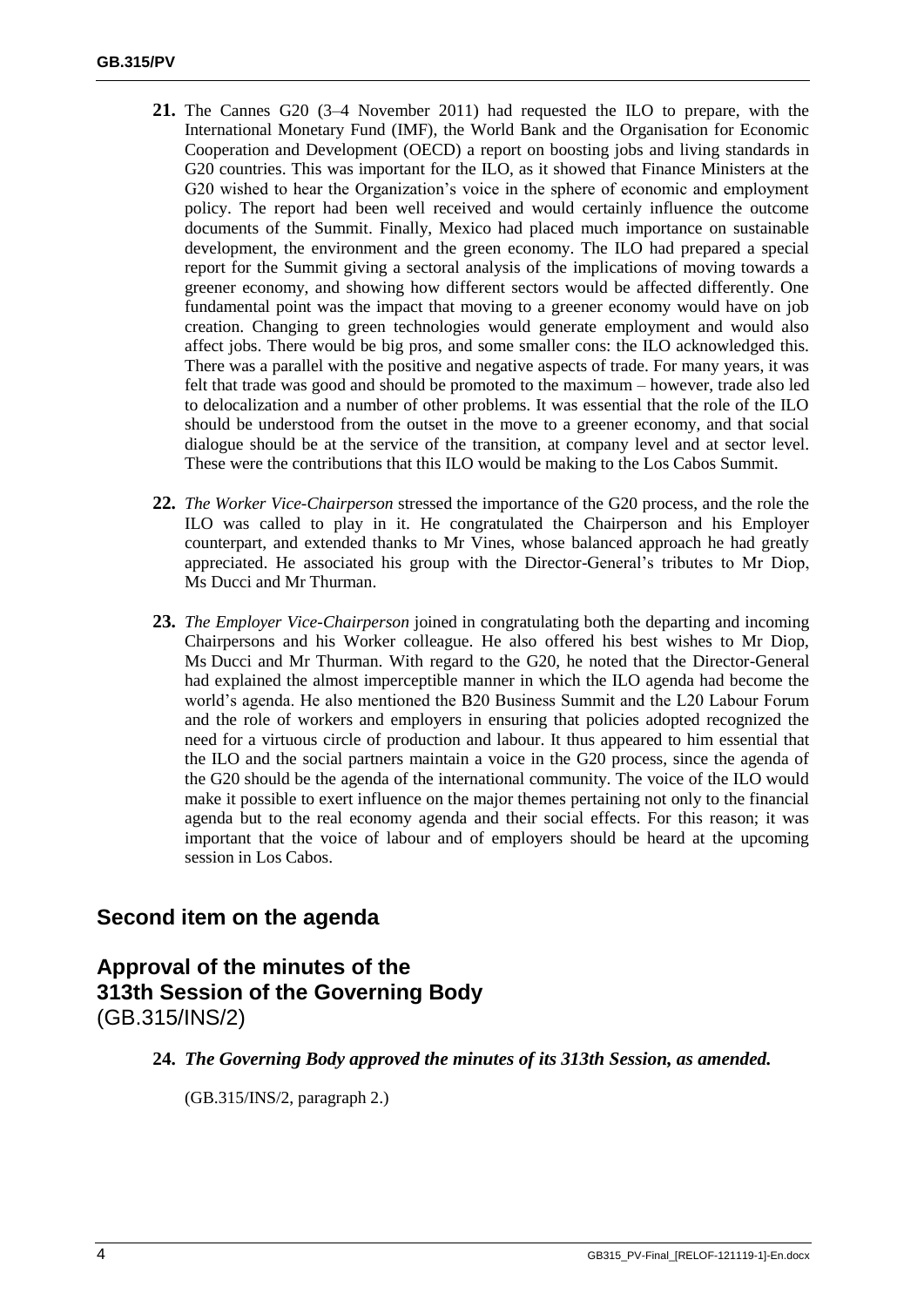- **21.** The Cannes G20 (3–4 November 2011) had requested the ILO to prepare, with the International Monetary Fund (IMF), the World Bank and the Organisation for Economic Cooperation and Development (OECD) a report on boosting jobs and living standards in G20 countries. This was important for the ILO, as it showed that Finance Ministers at the G20 wished to hear the Organization's voice in the sphere of economic and employment policy. The report had been well received and would certainly influence the outcome documents of the Summit. Finally, Mexico had placed much importance on sustainable development, the environment and the green economy. The ILO had prepared a special report for the Summit giving a sectoral analysis of the implications of moving towards a greener economy, and showing how different sectors would be affected differently. One fundamental point was the impact that moving to a greener economy would have on job creation. Changing to green technologies would generate employment and would also affect jobs. There would be big pros, and some smaller cons: the ILO acknowledged this. There was a parallel with the positive and negative aspects of trade. For many years, it was felt that trade was good and should be promoted to the maximum – however, trade also led to delocalization and a number of other problems. It was essential that the role of the ILO should be understood from the outset in the move to a greener economy, and that social dialogue should be at the service of the transition, at company level and at sector level. These were the contributions that this ILO would be making to the Los Cabos Summit.
- **22.** *The Worker Vice-Chairperson* stressed the importance of the G20 process, and the role the ILO was called to play in it. He congratulated the Chairperson and his Employer counterpart, and extended thanks to Mr Vines, whose balanced approach he had greatly appreciated. He associated his group with the Director-General's tributes to Mr Diop, Ms Ducci and Mr Thurman.
- **23.** *The Employer Vice-Chairperson* joined in congratulating both the departing and incoming Chairpersons and his Worker colleague. He also offered his best wishes to Mr Diop, Ms Ducci and Mr Thurman. With regard to the G20, he noted that the Director-General had explained the almost imperceptible manner in which the ILO agenda had become the world's agenda. He also mentioned the B20 Business Summit and the L20 Labour Forum and the role of workers and employers in ensuring that policies adopted recognized the need for a virtuous circle of production and labour. It thus appeared to him essential that the ILO and the social partners maintain a voice in the G20 process, since the agenda of the G20 should be the agenda of the international community. The voice of the ILO would make it possible to exert influence on the major themes pertaining not only to the financial agenda but to the real economy agenda and their social effects. For this reason; it was important that the voice of labour and of employers should be heard at the upcoming session in Los Cabos.

# **Second item on the agenda**

# **Approval of the minutes of the 313th Session of the Governing Body** (GB.315/INS/2)

**24.** *The Governing Body approved the minutes of its 313th Session, as amended.*

(GB.315/INS/2, paragraph 2.)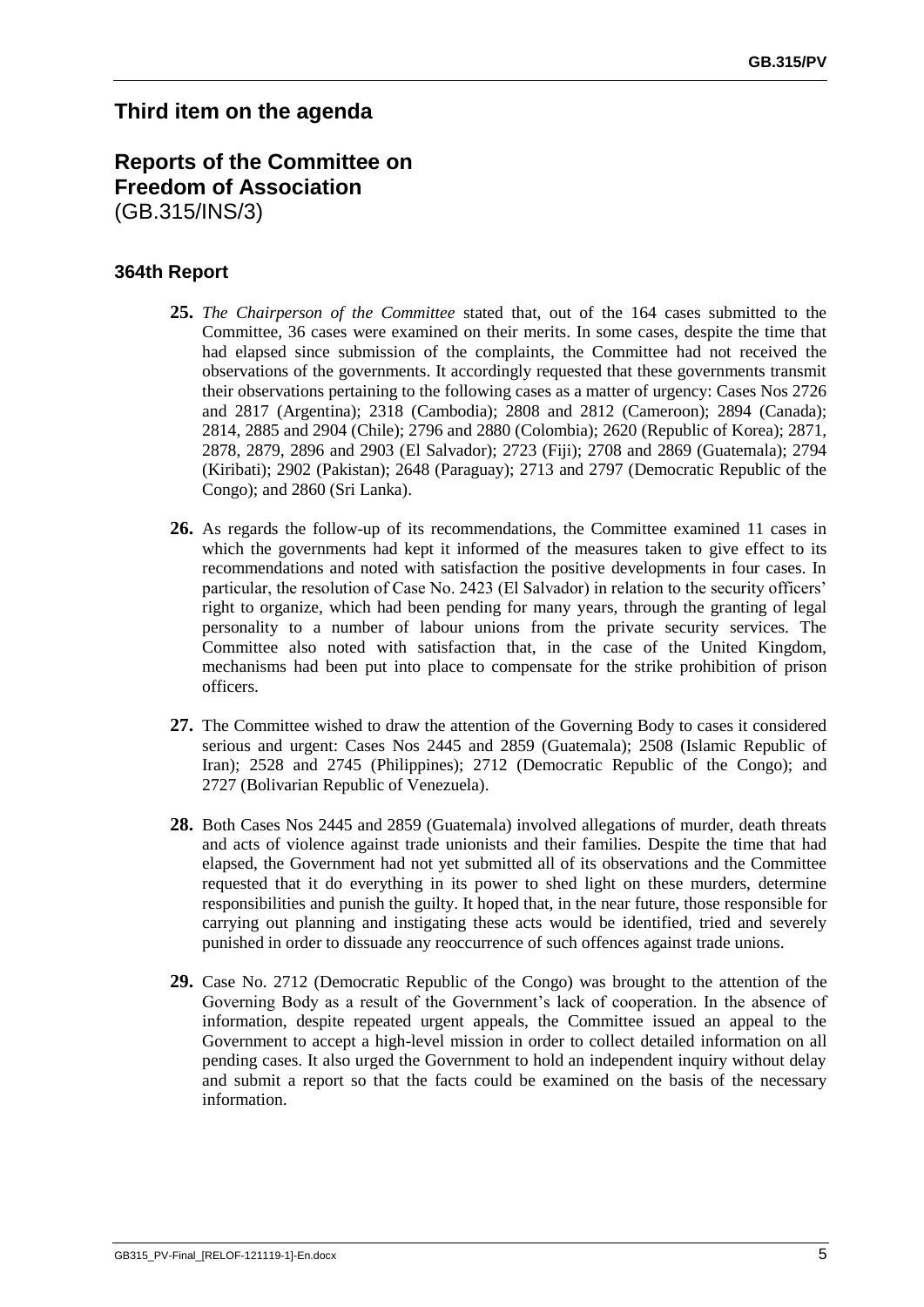# **Third item on the agenda**

# **Reports of the Committee on Freedom of Association**  (GB.315/INS/3)

### **364th Report**

- **25.** *The Chairperson of the Committee* stated that, out of the 164 cases submitted to the Committee, 36 cases were examined on their merits. In some cases, despite the time that had elapsed since submission of the complaints, the Committee had not received the observations of the governments. It accordingly requested that these governments transmit their observations pertaining to the following cases as a matter of urgency: Cases Nos 2726 and 2817 (Argentina); 2318 (Cambodia); 2808 and 2812 (Cameroon); 2894 (Canada); 2814, 2885 and 2904 (Chile); 2796 and 2880 (Colombia); 2620 (Republic of Korea); 2871, 2878, 2879, 2896 and 2903 (El Salvador); 2723 (Fiji); 2708 and 2869 (Guatemala); 2794 (Kiribati); 2902 (Pakistan); 2648 (Paraguay); 2713 and 2797 (Democratic Republic of the Congo); and 2860 (Sri Lanka).
- **26.** As regards the follow-up of its recommendations, the Committee examined 11 cases in which the governments had kept it informed of the measures taken to give effect to its recommendations and noted with satisfaction the positive developments in four cases. In particular, the resolution of Case No. 2423 (El Salvador) in relation to the security officers' right to organize, which had been pending for many years, through the granting of legal personality to a number of labour unions from the private security services. The Committee also noted with satisfaction that, in the case of the United Kingdom, mechanisms had been put into place to compensate for the strike prohibition of prison officers.
- **27.** The Committee wished to draw the attention of the Governing Body to cases it considered serious and urgent: Cases Nos 2445 and 2859 (Guatemala); 2508 (Islamic Republic of Iran); 2528 and 2745 (Philippines); 2712 (Democratic Republic of the Congo); and 2727 (Bolivarian Republic of Venezuela).
- **28.** Both Cases Nos 2445 and 2859 (Guatemala) involved allegations of murder, death threats and acts of violence against trade unionists and their families. Despite the time that had elapsed, the Government had not yet submitted all of its observations and the Committee requested that it do everything in its power to shed light on these murders, determine responsibilities and punish the guilty. It hoped that, in the near future, those responsible for carrying out planning and instigating these acts would be identified, tried and severely punished in order to dissuade any reoccurrence of such offences against trade unions.
- **29.** Case No. 2712 (Democratic Republic of the Congo) was brought to the attention of the Governing Body as a result of the Government's lack of cooperation. In the absence of information, despite repeated urgent appeals, the Committee issued an appeal to the Government to accept a high-level mission in order to collect detailed information on all pending cases. It also urged the Government to hold an independent inquiry without delay and submit a report so that the facts could be examined on the basis of the necessary information.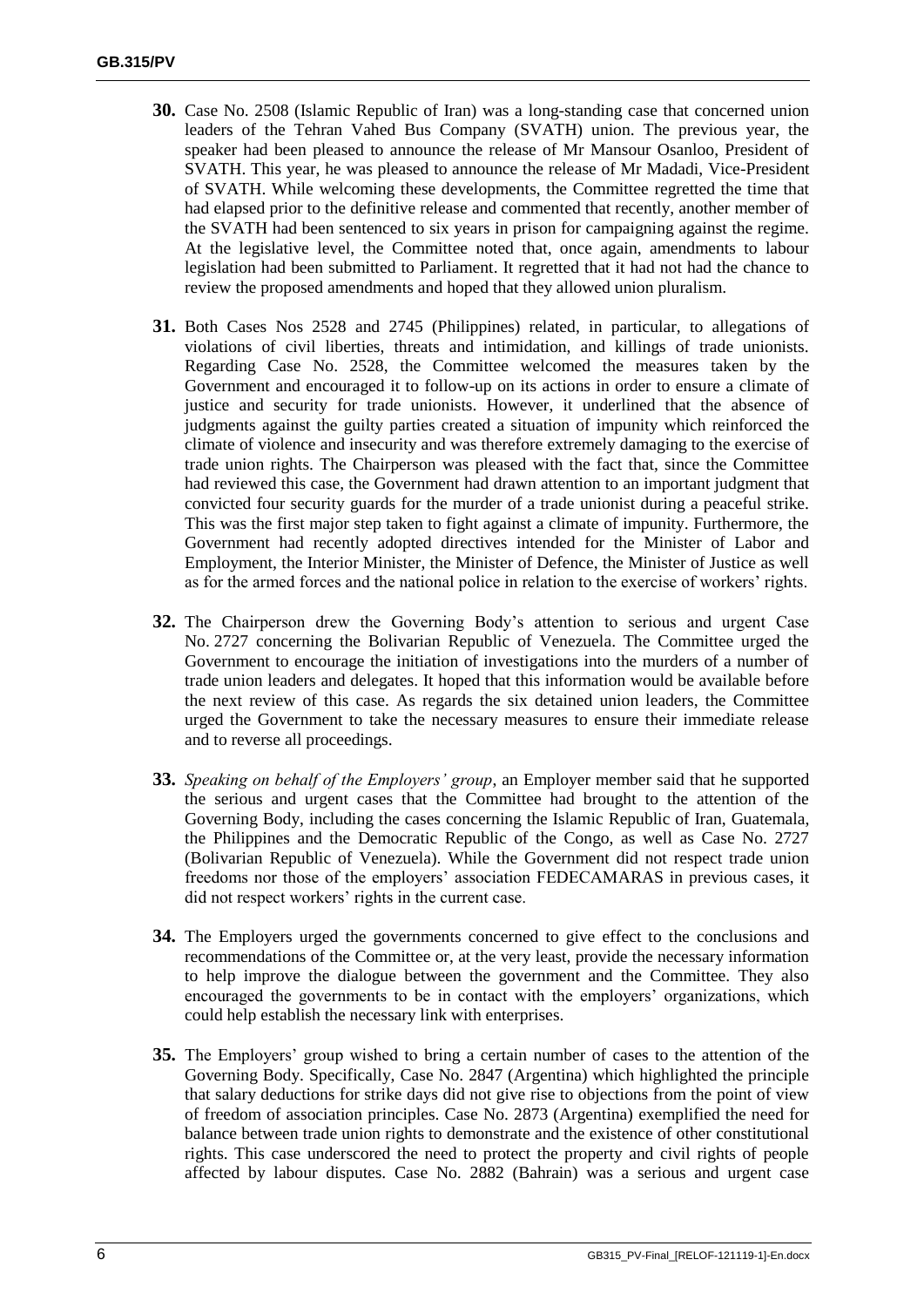- **30.** Case No. 2508 (Islamic Republic of Iran) was a long-standing case that concerned union leaders of the Tehran Vahed Bus Company (SVATH) union. The previous year, the speaker had been pleased to announce the release of Mr Mansour Osanloo, President of SVATH. This year, he was pleased to announce the release of Mr Madadi, Vice-President of SVATH. While welcoming these developments, the Committee regretted the time that had elapsed prior to the definitive release and commented that recently, another member of the SVATH had been sentenced to six years in prison for campaigning against the regime. At the legislative level, the Committee noted that, once again, amendments to labour legislation had been submitted to Parliament. It regretted that it had not had the chance to review the proposed amendments and hoped that they allowed union pluralism.
- **31.** Both Cases Nos 2528 and 2745 (Philippines) related, in particular, to allegations of violations of civil liberties, threats and intimidation, and killings of trade unionists. Regarding Case No. 2528, the Committee welcomed the measures taken by the Government and encouraged it to follow-up on its actions in order to ensure a climate of justice and security for trade unionists. However, it underlined that the absence of judgments against the guilty parties created a situation of impunity which reinforced the climate of violence and insecurity and was therefore extremely damaging to the exercise of trade union rights. The Chairperson was pleased with the fact that, since the Committee had reviewed this case, the Government had drawn attention to an important judgment that convicted four security guards for the murder of a trade unionist during a peaceful strike. This was the first major step taken to fight against a climate of impunity. Furthermore, the Government had recently adopted directives intended for the Minister of Labor and Employment, the Interior Minister, the Minister of Defence, the Minister of Justice as well as for the armed forces and the national police in relation to the exercise of workers' rights.
- **32.** The Chairperson drew the Governing Body's attention to serious and urgent Case No. 2727 concerning the Bolivarian Republic of Venezuela. The Committee urged the Government to encourage the initiation of investigations into the murders of a number of trade union leaders and delegates. It hoped that this information would be available before the next review of this case. As regards the six detained union leaders, the Committee urged the Government to take the necessary measures to ensure their immediate release and to reverse all proceedings.
- **33.** *Speaking on behalf of the Employers' group*, an Employer member said that he supported the serious and urgent cases that the Committee had brought to the attention of the Governing Body, including the cases concerning the Islamic Republic of Iran, Guatemala, the Philippines and the Democratic Republic of the Congo, as well as Case No. 2727 (Bolivarian Republic of Venezuela). While the Government did not respect trade union freedoms nor those of the employers' association FEDECAMARAS in previous cases, it did not respect workers' rights in the current case.
- **34.** The Employers urged the governments concerned to give effect to the conclusions and recommendations of the Committee or, at the very least, provide the necessary information to help improve the dialogue between the government and the Committee. They also encouraged the governments to be in contact with the employers' organizations, which could help establish the necessary link with enterprises.
- **35.** The Employers' group wished to bring a certain number of cases to the attention of the Governing Body. Specifically, Case No. 2847 (Argentina) which highlighted the principle that salary deductions for strike days did not give rise to objections from the point of view of freedom of association principles. Case No. 2873 (Argentina) exemplified the need for balance between trade union rights to demonstrate and the existence of other constitutional rights. This case underscored the need to protect the property and civil rights of people affected by labour disputes. Case No. 2882 (Bahrain) was a serious and urgent case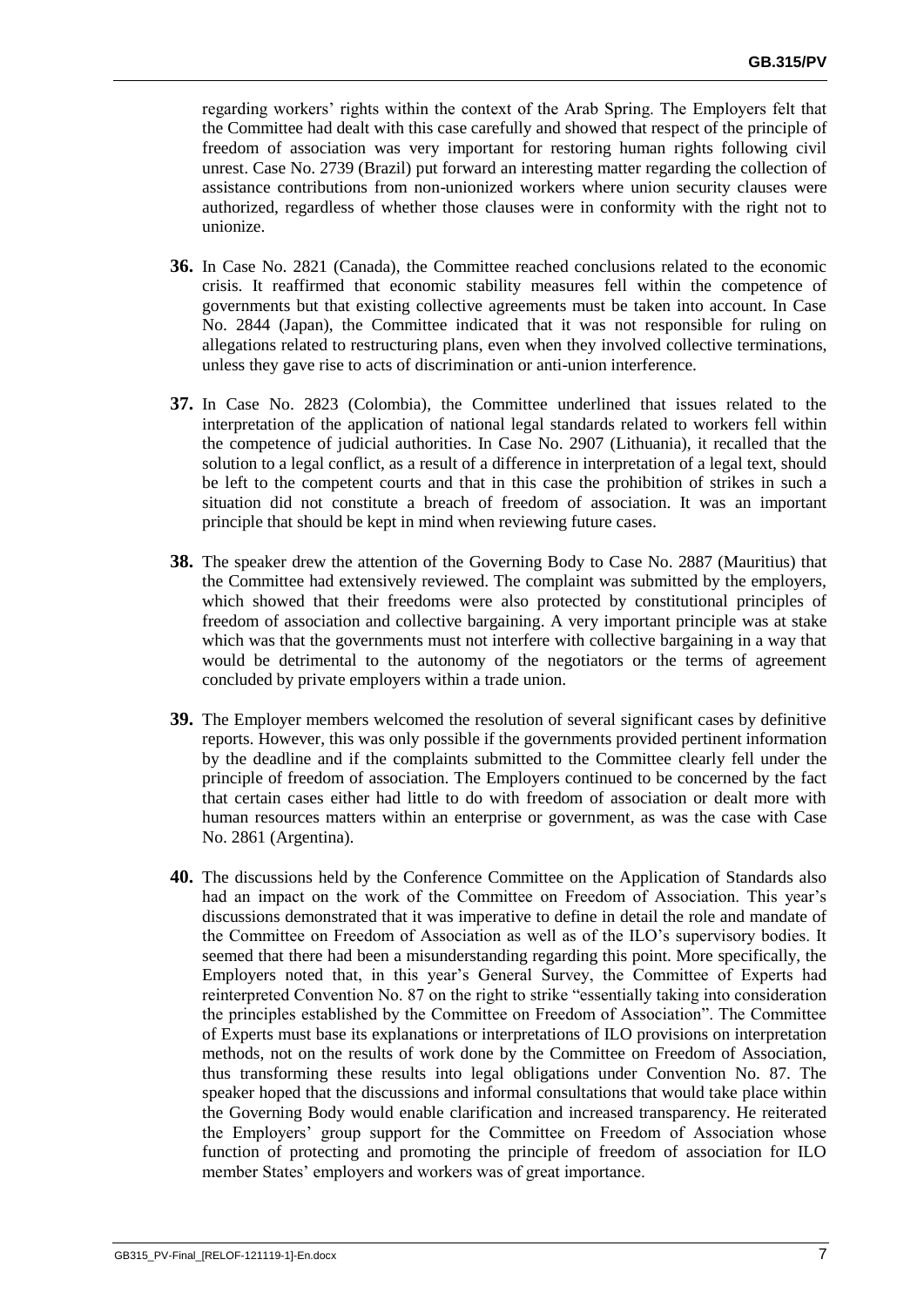regarding workers' rights within the context of the Arab Spring. The Employers felt that the Committee had dealt with this case carefully and showed that respect of the principle of freedom of association was very important for restoring human rights following civil unrest. Case No. 2739 (Brazil) put forward an interesting matter regarding the collection of assistance contributions from non-unionized workers where union security clauses were authorized, regardless of whether those clauses were in conformity with the right not to unionize.

- **36.** In Case No. 2821 (Canada), the Committee reached conclusions related to the economic crisis. It reaffirmed that economic stability measures fell within the competence of governments but that existing collective agreements must be taken into account. In Case No. 2844 (Japan), the Committee indicated that it was not responsible for ruling on allegations related to restructuring plans, even when they involved collective terminations, unless they gave rise to acts of discrimination or anti-union interference.
- **37.** In Case No. 2823 (Colombia), the Committee underlined that issues related to the interpretation of the application of national legal standards related to workers fell within the competence of judicial authorities. In Case No. 2907 (Lithuania), it recalled that the solution to a legal conflict, as a result of a difference in interpretation of a legal text, should be left to the competent courts and that in this case the prohibition of strikes in such a situation did not constitute a breach of freedom of association. It was an important principle that should be kept in mind when reviewing future cases.
- **38.** The speaker drew the attention of the Governing Body to Case No. 2887 (Mauritius) that the Committee had extensively reviewed. The complaint was submitted by the employers, which showed that their freedoms were also protected by constitutional principles of freedom of association and collective bargaining. A very important principle was at stake which was that the governments must not interfere with collective bargaining in a way that would be detrimental to the autonomy of the negotiators or the terms of agreement concluded by private employers within a trade union.
- **39.** The Employer members welcomed the resolution of several significant cases by definitive reports. However, this was only possible if the governments provided pertinent information by the deadline and if the complaints submitted to the Committee clearly fell under the principle of freedom of association. The Employers continued to be concerned by the fact that certain cases either had little to do with freedom of association or dealt more with human resources matters within an enterprise or government, as was the case with Case No. 2861 (Argentina).
- **40.** The discussions held by the Conference Committee on the Application of Standards also had an impact on the work of the Committee on Freedom of Association. This year's discussions demonstrated that it was imperative to define in detail the role and mandate of the Committee on Freedom of Association as well as of the ILO's supervisory bodies. It seemed that there had been a misunderstanding regarding this point. More specifically, the Employers noted that, in this year's General Survey, the Committee of Experts had reinterpreted Convention No. 87 on the right to strike "essentially taking into consideration the principles established by the Committee on Freedom of Association". The Committee of Experts must base its explanations or interpretations of ILO provisions on interpretation methods, not on the results of work done by the Committee on Freedom of Association, thus transforming these results into legal obligations under Convention No. 87. The speaker hoped that the discussions and informal consultations that would take place within the Governing Body would enable clarification and increased transparency. He reiterated the Employers' group support for the Committee on Freedom of Association whose function of protecting and promoting the principle of freedom of association for ILO member States' employers and workers was of great importance.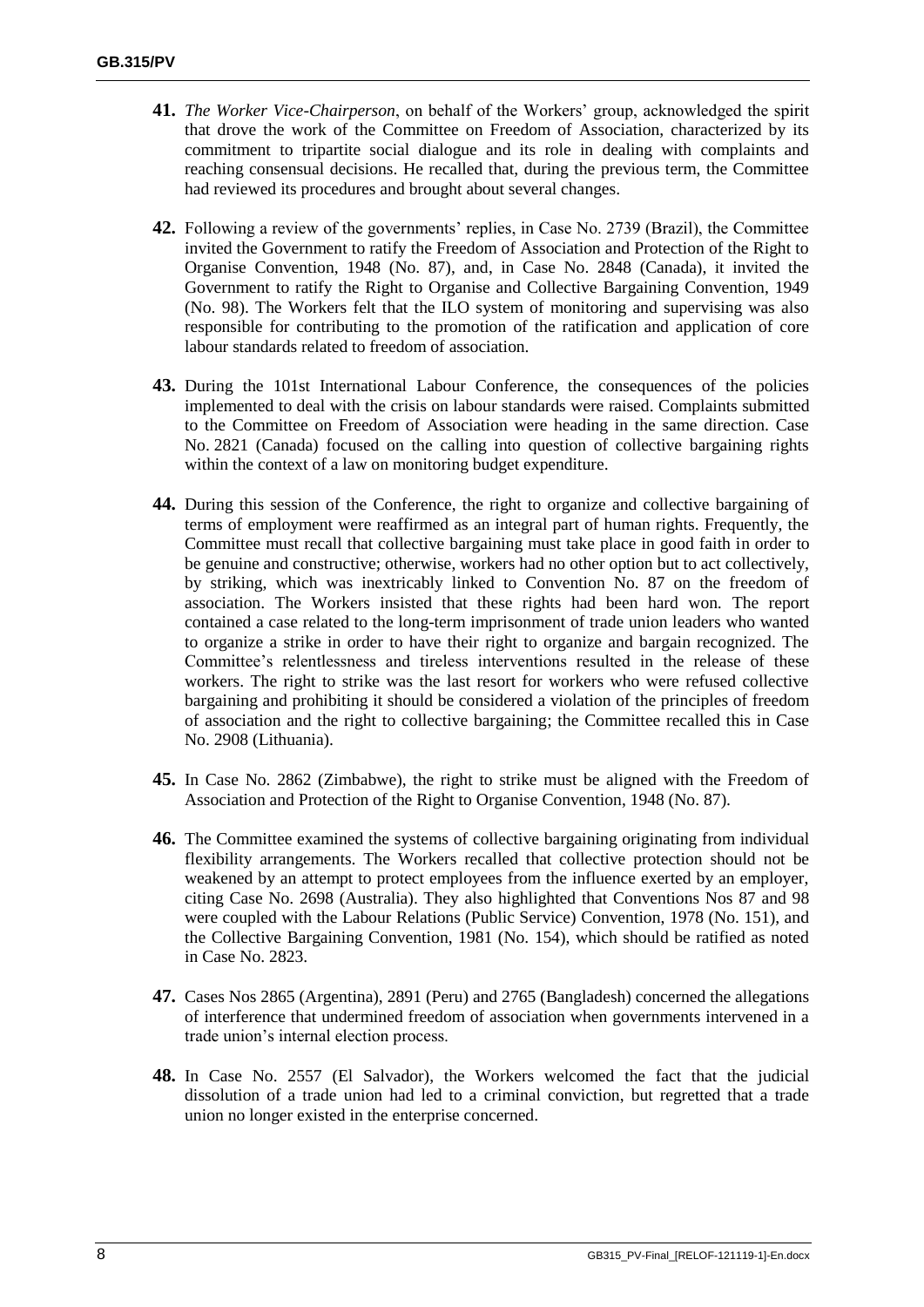- **41.** *The Worker Vice-Chairperson*, on behalf of the Workers' group, acknowledged the spirit that drove the work of the Committee on Freedom of Association, characterized by its commitment to tripartite social dialogue and its role in dealing with complaints and reaching consensual decisions. He recalled that, during the previous term, the Committee had reviewed its procedures and brought about several changes.
- **42.** Following a review of the governments' replies, in Case No. 2739 (Brazil), the Committee invited the Government to ratify the Freedom of Association and Protection of the Right to Organise Convention, 1948 (No. 87), and, in Case No. 2848 (Canada), it invited the Government to ratify the Right to Organise and Collective Bargaining Convention, 1949 (No. 98). The Workers felt that the ILO system of monitoring and supervising was also responsible for contributing to the promotion of the ratification and application of core labour standards related to freedom of association.
- **43.** During the 101st International Labour Conference, the consequences of the policies implemented to deal with the crisis on labour standards were raised. Complaints submitted to the Committee on Freedom of Association were heading in the same direction. Case No. 2821 (Canada) focused on the calling into question of collective bargaining rights within the context of a law on monitoring budget expenditure.
- **44.** During this session of the Conference, the right to organize and collective bargaining of terms of employment were reaffirmed as an integral part of human rights. Frequently, the Committee must recall that collective bargaining must take place in good faith in order to be genuine and constructive; otherwise, workers had no other option but to act collectively, by striking, which was inextricably linked to Convention No. 87 on the freedom of association. The Workers insisted that these rights had been hard won. The report contained a case related to the long-term imprisonment of trade union leaders who wanted to organize a strike in order to have their right to organize and bargain recognized. The Committee's relentlessness and tireless interventions resulted in the release of these workers. The right to strike was the last resort for workers who were refused collective bargaining and prohibiting it should be considered a violation of the principles of freedom of association and the right to collective bargaining; the Committee recalled this in Case No. 2908 (Lithuania).
- **45.** In Case No. 2862 (Zimbabwe), the right to strike must be aligned with the Freedom of Association and Protection of the Right to Organise Convention, 1948 (No. 87).
- **46.** The Committee examined the systems of collective bargaining originating from individual flexibility arrangements. The Workers recalled that collective protection should not be weakened by an attempt to protect employees from the influence exerted by an employer, citing Case No. 2698 (Australia). They also highlighted that Conventions Nos 87 and 98 were coupled with the Labour Relations (Public Service) Convention, 1978 (No. 151), and the Collective Bargaining Convention, 1981 (No. 154), which should be ratified as noted in Case No. 2823.
- **47.** Cases Nos 2865 (Argentina), 2891 (Peru) and 2765 (Bangladesh) concerned the allegations of interference that undermined freedom of association when governments intervened in a trade union's internal election process.
- **48.** In Case No. 2557 (El Salvador), the Workers welcomed the fact that the judicial dissolution of a trade union had led to a criminal conviction, but regretted that a trade union no longer existed in the enterprise concerned.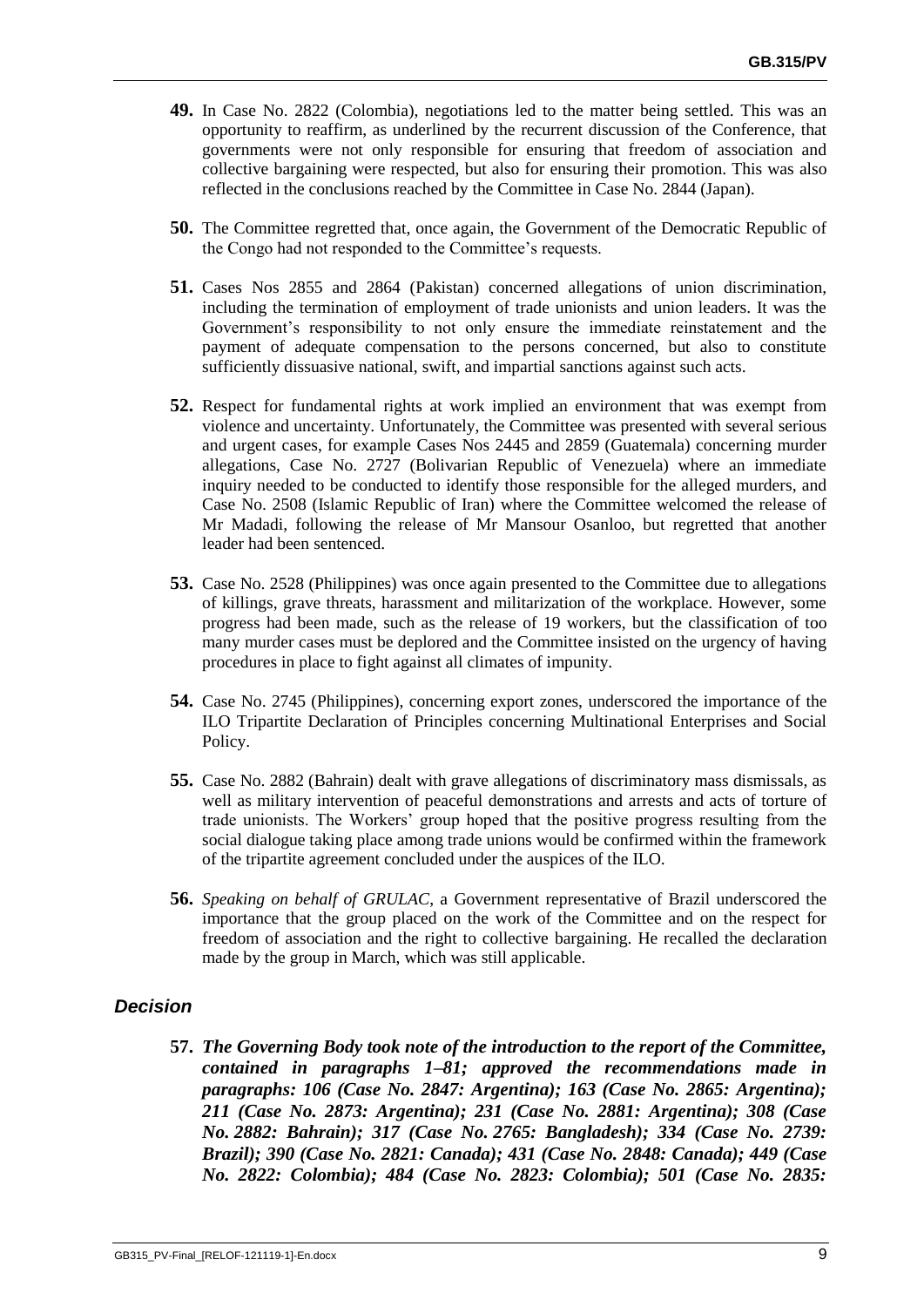- **49.** In Case No. 2822 (Colombia), negotiations led to the matter being settled. This was an opportunity to reaffirm, as underlined by the recurrent discussion of the Conference, that governments were not only responsible for ensuring that freedom of association and collective bargaining were respected, but also for ensuring their promotion. This was also reflected in the conclusions reached by the Committee in Case No. 2844 (Japan).
- **50.** The Committee regretted that, once again, the Government of the Democratic Republic of the Congo had not responded to the Committee's requests.
- **51.** Cases Nos 2855 and 2864 (Pakistan) concerned allegations of union discrimination, including the termination of employment of trade unionists and union leaders. It was the Government's responsibility to not only ensure the immediate reinstatement and the payment of adequate compensation to the persons concerned, but also to constitute sufficiently dissuasive national, swift, and impartial sanctions against such acts.
- **52.** Respect for fundamental rights at work implied an environment that was exempt from violence and uncertainty. Unfortunately, the Committee was presented with several serious and urgent cases, for example Cases Nos 2445 and 2859 (Guatemala) concerning murder allegations, Case No. 2727 (Bolivarian Republic of Venezuela) where an immediate inquiry needed to be conducted to identify those responsible for the alleged murders, and Case No. 2508 (Islamic Republic of Iran) where the Committee welcomed the release of Mr Madadi, following the release of Mr Mansour Osanloo, but regretted that another leader had been sentenced.
- **53.** Case No. 2528 (Philippines) was once again presented to the Committee due to allegations of killings, grave threats, harassment and militarization of the workplace. However, some progress had been made, such as the release of 19 workers, but the classification of too many murder cases must be deplored and the Committee insisted on the urgency of having procedures in place to fight against all climates of impunity.
- **54.** Case No. 2745 (Philippines), concerning export zones, underscored the importance of the ILO Tripartite Declaration of Principles concerning Multinational Enterprises and Social Policy.
- **55.** Case No. 2882 (Bahrain) dealt with grave allegations of discriminatory mass dismissals, as well as military intervention of peaceful demonstrations and arrests and acts of torture of trade unionists. The Workers' group hoped that the positive progress resulting from the social dialogue taking place among trade unions would be confirmed within the framework of the tripartite agreement concluded under the auspices of the ILO.
- **56.** *Speaking on behalf of GRULAC*, a Government representative of Brazil underscored the importance that the group placed on the work of the Committee and on the respect for freedom of association and the right to collective bargaining. He recalled the declaration made by the group in March, which was still applicable.

### *Decision*

**57.** *The Governing Body took note of the introduction to the report of the Committee, contained in paragraphs 1–81; approved the recommendations made in paragraphs: 106 (Case No. 2847: Argentina); 163 (Case No. 2865: Argentina); 211 (Case No. 2873: Argentina); 231 (Case No. 2881: Argentina); 308 (Case No. 2882: Bahrain); 317 (Case No. 2765: Bangladesh); 334 (Case No. 2739: Brazil); 390 (Case No. 2821: Canada); 431 (Case No. 2848: Canada); 449 (Case No. 2822: Colombia); 484 (Case No. 2823: Colombia); 501 (Case No. 2835:*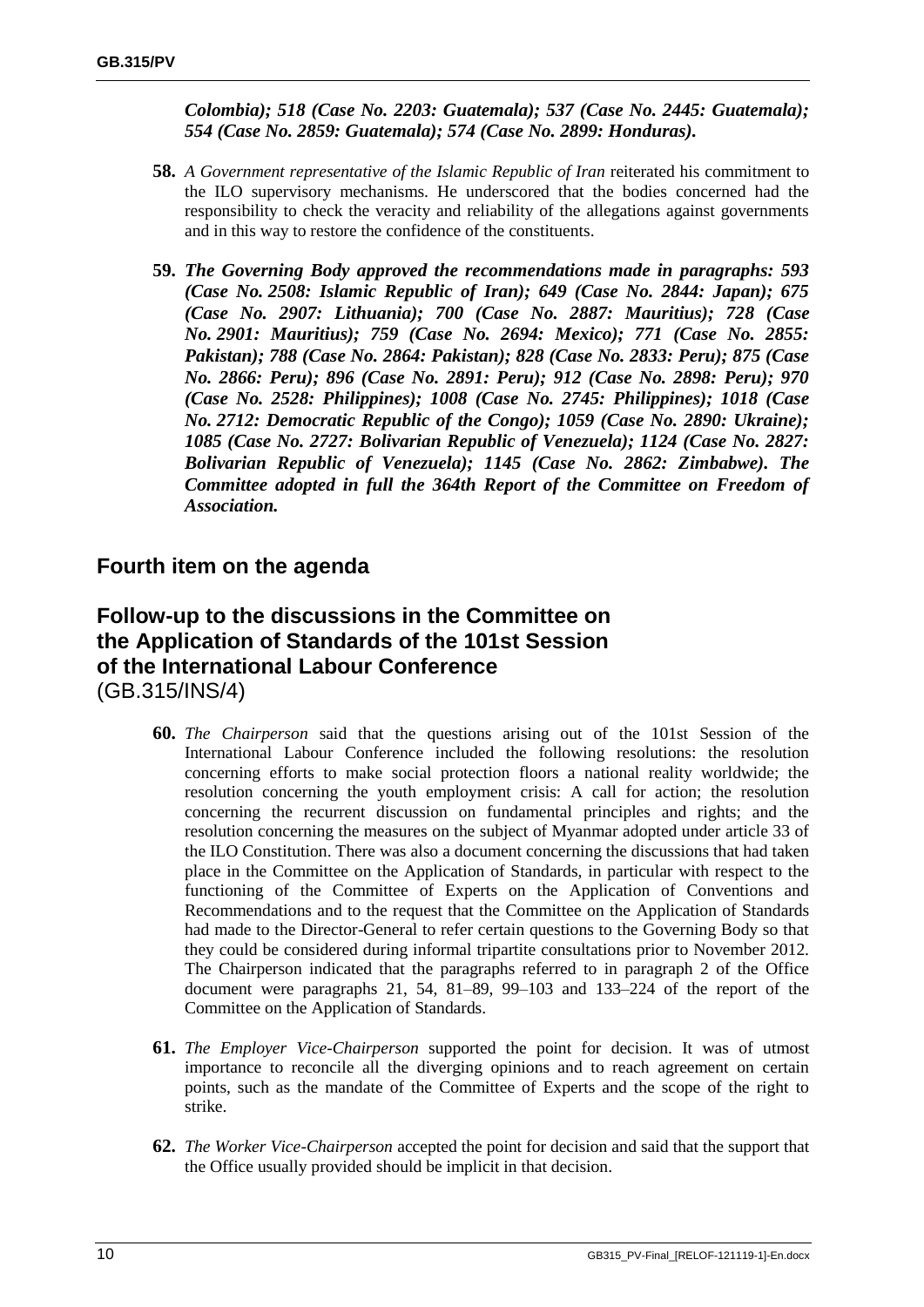*Colombia); 518 (Case No. 2203: Guatemala); 537 (Case No. 2445: Guatemala); 554 (Case No. 2859: Guatemala); 574 (Case No. 2899: Honduras).*

- **58.** *A Government representative of the Islamic Republic of Iran* reiterated his commitment to the ILO supervisory mechanisms. He underscored that the bodies concerned had the responsibility to check the veracity and reliability of the allegations against governments and in this way to restore the confidence of the constituents.
- **59.** *The Governing Body approved the recommendations made in paragraphs: 593 (Case No. 2508: Islamic Republic of Iran); 649 (Case No. 2844: Japan); 675 (Case No. 2907: Lithuania); 700 (Case No. 2887: Mauritius); 728 (Case No. 2901: Mauritius); 759 (Case No. 2694: Mexico); 771 (Case No. 2855: Pakistan); 788 (Case No. 2864: Pakistan); 828 (Case No. 2833: Peru); 875 (Case No. 2866: Peru); 896 (Case No. 2891: Peru); 912 (Case No. 2898: Peru); 970 (Case No. 2528: Philippines); 1008 (Case No. 2745: Philippines); 1018 (Case No. 2712: Democratic Republic of the Congo); 1059 (Case No. 2890: Ukraine); 1085 (Case No. 2727: Bolivarian Republic of Venezuela); 1124 (Case No. 2827: Bolivarian Republic of Venezuela); 1145 (Case No. 2862: Zimbabwe). The Committee adopted in full the 364th Report of the Committee on Freedom of Association.*

# **Fourth item on the agenda**

# **Follow-up to the discussions in the Committee on the Application of Standards of the 101st Session of the International Labour Conference** (GB.315/INS/4)

- **60.** *The Chairperson* said that the questions arising out of the 101st Session of the International Labour Conference included the following resolutions: the resolution concerning efforts to make social protection floors a national reality worldwide; the resolution concerning the youth employment crisis: A call for action; the resolution concerning the recurrent discussion on fundamental principles and rights; and the resolution concerning the measures on the subject of Myanmar adopted under article 33 of the ILO Constitution. There was also a document concerning the discussions that had taken place in the Committee on the Application of Standards, in particular with respect to the functioning of the Committee of Experts on the Application of Conventions and Recommendations and to the request that the Committee on the Application of Standards had made to the Director-General to refer certain questions to the Governing Body so that they could be considered during informal tripartite consultations prior to November 2012. The Chairperson indicated that the paragraphs referred to in paragraph 2 of the Office document were paragraphs 21, 54, 81–89, 99–103 and 133–224 of the report of the Committee on the Application of Standards.
- **61.** *The Employer Vice-Chairperson* supported the point for decision. It was of utmost importance to reconcile all the diverging opinions and to reach agreement on certain points, such as the mandate of the Committee of Experts and the scope of the right to strike.
- **62.** *The Worker Vice-Chairperson* accepted the point for decision and said that the support that the Office usually provided should be implicit in that decision.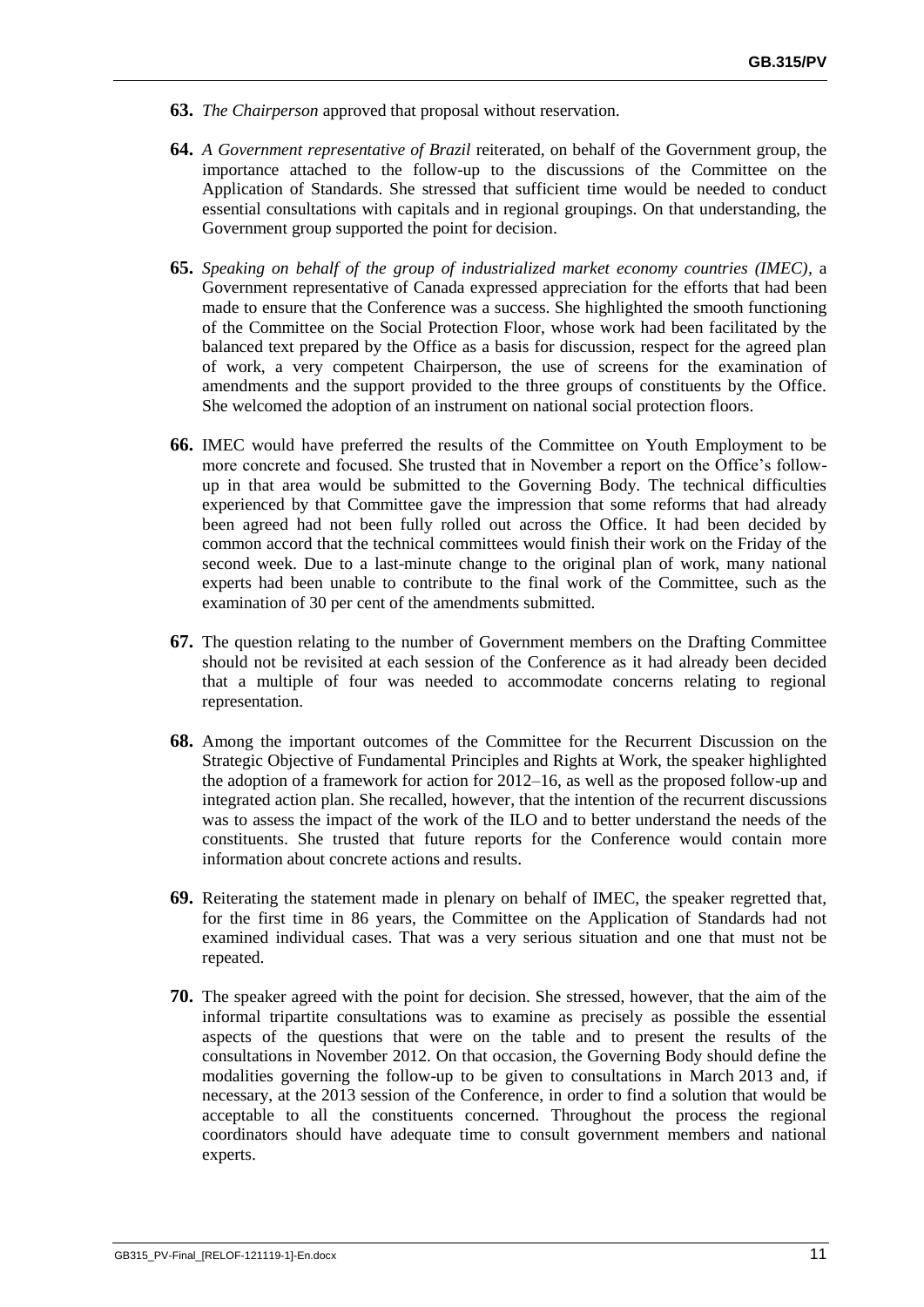- **63.** *The Chairperson* approved that proposal without reservation.
- **64.** *A Government representative of Brazil* reiterated, on behalf of the Government group, the importance attached to the follow-up to the discussions of the Committee on the Application of Standards. She stressed that sufficient time would be needed to conduct essential consultations with capitals and in regional groupings. On that understanding, the Government group supported the point for decision.
- **65.** *Speaking on behalf of the group of industrialized market economy countries (IMEC),* a Government representative of Canada expressed appreciation for the efforts that had been made to ensure that the Conference was a success. She highlighted the smooth functioning of the Committee on the Social Protection Floor, whose work had been facilitated by the balanced text prepared by the Office as a basis for discussion, respect for the agreed plan of work, a very competent Chairperson, the use of screens for the examination of amendments and the support provided to the three groups of constituents by the Office. She welcomed the adoption of an instrument on national social protection floors.
- **66.** IMEC would have preferred the results of the Committee on Youth Employment to be more concrete and focused. She trusted that in November a report on the Office's followup in that area would be submitted to the Governing Body. The technical difficulties experienced by that Committee gave the impression that some reforms that had already been agreed had not been fully rolled out across the Office. It had been decided by common accord that the technical committees would finish their work on the Friday of the second week. Due to a last-minute change to the original plan of work, many national experts had been unable to contribute to the final work of the Committee, such as the examination of 30 per cent of the amendments submitted.
- **67.** The question relating to the number of Government members on the Drafting Committee should not be revisited at each session of the Conference as it had already been decided that a multiple of four was needed to accommodate concerns relating to regional representation.
- **68.** Among the important outcomes of the Committee for the Recurrent Discussion on the Strategic Objective of Fundamental Principles and Rights at Work, the speaker highlighted the adoption of a framework for action for 2012–16, as well as the proposed follow-up and integrated action plan. She recalled, however, that the intention of the recurrent discussions was to assess the impact of the work of the ILO and to better understand the needs of the constituents. She trusted that future reports for the Conference would contain more information about concrete actions and results.
- **69.** Reiterating the statement made in plenary on behalf of IMEC, the speaker regretted that, for the first time in 86 years, the Committee on the Application of Standards had not examined individual cases. That was a very serious situation and one that must not be repeated.
- **70.** The speaker agreed with the point for decision. She stressed, however, that the aim of the informal tripartite consultations was to examine as precisely as possible the essential aspects of the questions that were on the table and to present the results of the consultations in November 2012. On that occasion, the Governing Body should define the modalities governing the follow-up to be given to consultations in March 2013 and, if necessary, at the 2013 session of the Conference, in order to find a solution that would be acceptable to all the constituents concerned. Throughout the process the regional coordinators should have adequate time to consult government members and national experts.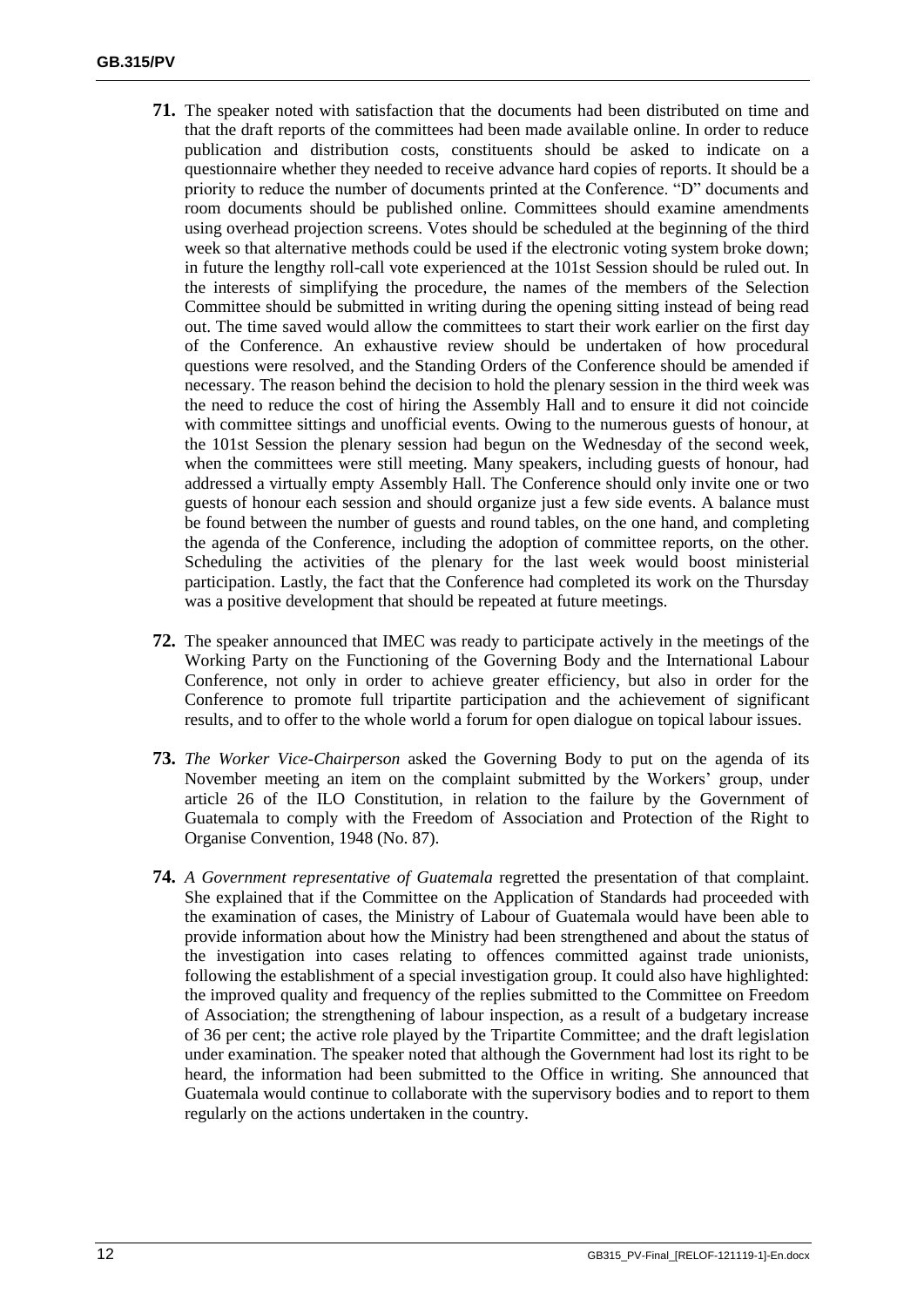- **71.** The speaker noted with satisfaction that the documents had been distributed on time and that the draft reports of the committees had been made available online. In order to reduce publication and distribution costs, constituents should be asked to indicate on a questionnaire whether they needed to receive advance hard copies of reports. It should be a priority to reduce the number of documents printed at the Conference. "D" documents and room documents should be published online. Committees should examine amendments using overhead projection screens. Votes should be scheduled at the beginning of the third week so that alternative methods could be used if the electronic voting system broke down; in future the lengthy roll-call vote experienced at the 101st Session should be ruled out. In the interests of simplifying the procedure, the names of the members of the Selection Committee should be submitted in writing during the opening sitting instead of being read out. The time saved would allow the committees to start their work earlier on the first day of the Conference. An exhaustive review should be undertaken of how procedural questions were resolved, and the Standing Orders of the Conference should be amended if necessary. The reason behind the decision to hold the plenary session in the third week was the need to reduce the cost of hiring the Assembly Hall and to ensure it did not coincide with committee sittings and unofficial events. Owing to the numerous guests of honour, at the 101st Session the plenary session had begun on the Wednesday of the second week, when the committees were still meeting. Many speakers, including guests of honour, had addressed a virtually empty Assembly Hall. The Conference should only invite one or two guests of honour each session and should organize just a few side events. A balance must be found between the number of guests and round tables, on the one hand, and completing the agenda of the Conference, including the adoption of committee reports, on the other. Scheduling the activities of the plenary for the last week would boost ministerial participation. Lastly, the fact that the Conference had completed its work on the Thursday was a positive development that should be repeated at future meetings.
- **72.** The speaker announced that IMEC was ready to participate actively in the meetings of the Working Party on the Functioning of the Governing Body and the International Labour Conference, not only in order to achieve greater efficiency, but also in order for the Conference to promote full tripartite participation and the achievement of significant results, and to offer to the whole world a forum for open dialogue on topical labour issues.
- **73.** *The Worker Vice-Chairperson* asked the Governing Body to put on the agenda of its November meeting an item on the complaint submitted by the Workers' group, under article 26 of the ILO Constitution, in relation to the failure by the Government of Guatemala to comply with the Freedom of Association and Protection of the Right to Organise Convention, 1948 (No. 87).
- **74.** *A Government representative of Guatemala* regretted the presentation of that complaint. She explained that if the Committee on the Application of Standards had proceeded with the examination of cases, the Ministry of Labour of Guatemala would have been able to provide information about how the Ministry had been strengthened and about the status of the investigation into cases relating to offences committed against trade unionists, following the establishment of a special investigation group. It could also have highlighted: the improved quality and frequency of the replies submitted to the Committee on Freedom of Association; the strengthening of labour inspection, as a result of a budgetary increase of 36 per cent; the active role played by the Tripartite Committee; and the draft legislation under examination. The speaker noted that although the Government had lost its right to be heard, the information had been submitted to the Office in writing. She announced that Guatemala would continue to collaborate with the supervisory bodies and to report to them regularly on the actions undertaken in the country.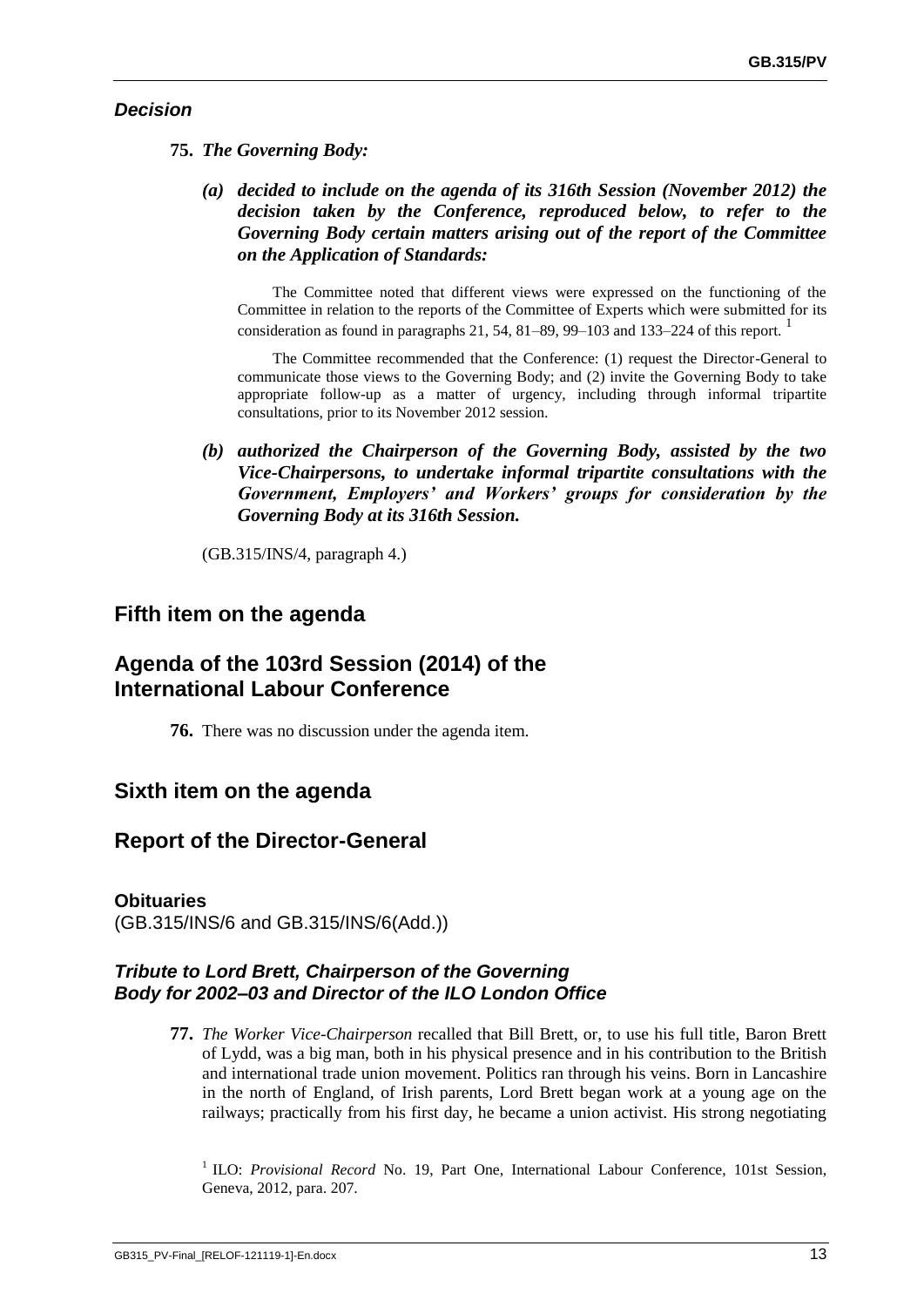### *Decision*

- **75.** *The Governing Body:*
	- *(a) decided to include on the agenda of its 316th Session (November 2012) the decision taken by the Conference, reproduced below, to refer to the Governing Body certain matters arising out of the report of the Committee on the Application of Standards:*

The Committee noted that different views were expressed on the functioning of the Committee in relation to the reports of the Committee of Experts which were submitted for its consideration as found in paragraphs  $21, 54, 81-89, 99-103$  and  $133-224$  of this report.

The Committee recommended that the Conference: (1) request the Director-General to communicate those views to the Governing Body; and (2) invite the Governing Body to take appropriate follow-up as a matter of urgency, including through informal tripartite consultations, prior to its November 2012 session.

*(b) authorized the Chairperson of the Governing Body, assisted by the two Vice-Chairpersons, to undertake informal tripartite consultations with the Government, Employers' and Workers' groups for consideration by the Governing Body at its 316th Session.*

(GB.315/INS/4, paragraph 4.)

# **Fifth item on the agenda**

# **Agenda of the 103rd Session (2014) of the International Labour Conference**

**76.** There was no discussion under the agenda item.

# **Sixth item on the agenda**

# **Report of the Director-General**

### **Obituaries**

(GB.315/INS/6 and GB.315/INS/6(Add.))

### *Tribute to Lord Brett, Chairperson of the Governing Body for 2002–03 and Director of the ILO London Office*

**77.** *The Worker Vice-Chairperson* recalled that Bill Brett, or, to use his full title, Baron Brett of Lydd, was a big man, both in his physical presence and in his contribution to the British and international trade union movement. Politics ran through his veins. Born in Lancashire in the north of England, of Irish parents, Lord Brett began work at a young age on the railways; practically from his first day, he became a union activist. His strong negotiating

<sup>1</sup> ILO: *Provisional Record* No. 19, Part One, International Labour Conference, 101st Session, Geneva, 2012, para. 207.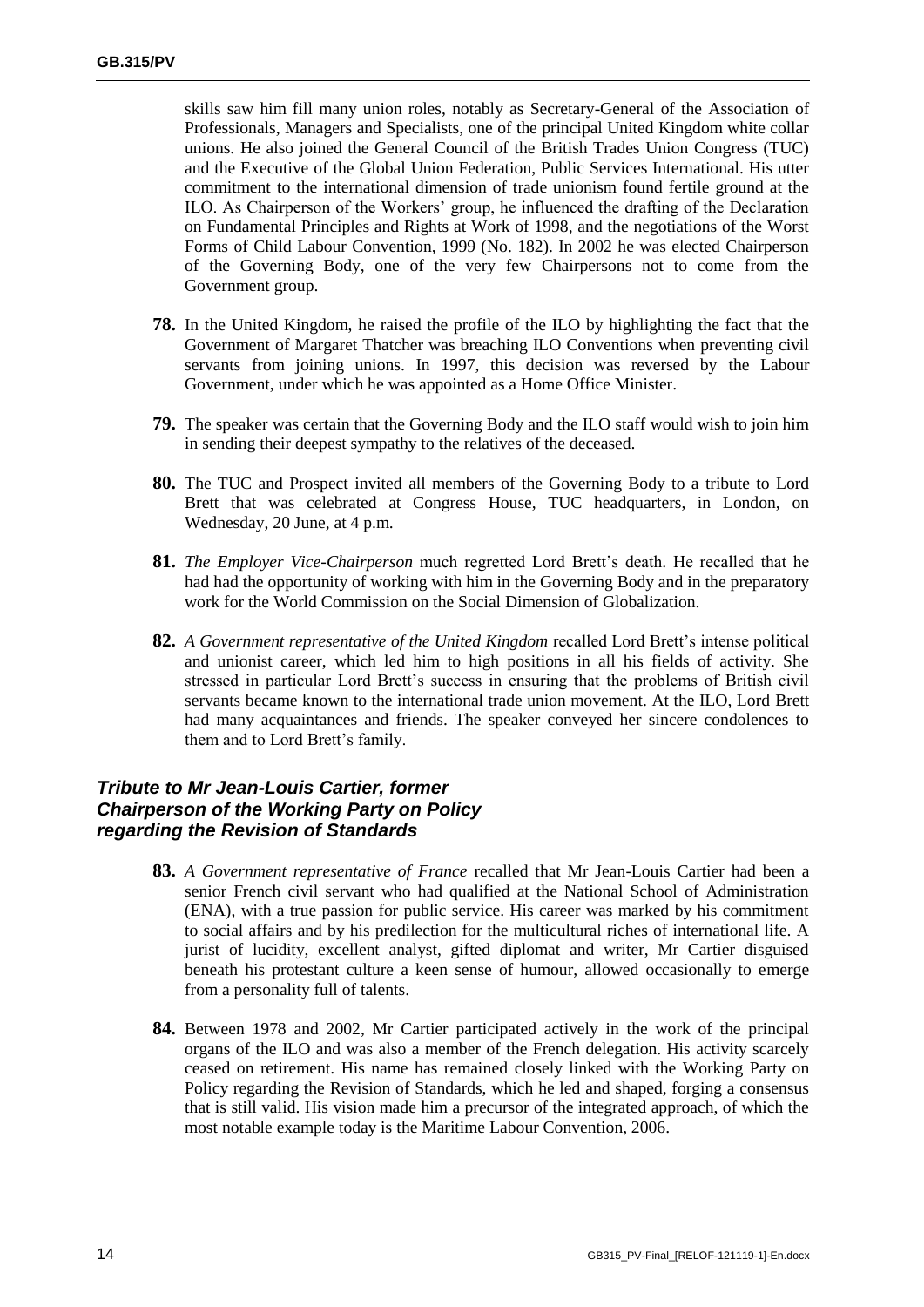skills saw him fill many union roles, notably as Secretary-General of the Association of Professionals, Managers and Specialists, one of the principal United Kingdom white collar unions. He also joined the General Council of the British Trades Union Congress (TUC) and the Executive of the Global Union Federation, Public Services International. His utter commitment to the international dimension of trade unionism found fertile ground at the ILO. As Chairperson of the Workers' group, he influenced the drafting of the Declaration on Fundamental Principles and Rights at Work of 1998, and the negotiations of the Worst Forms of Child Labour Convention, 1999 (No. 182). In 2002 he was elected Chairperson of the Governing Body, one of the very few Chairpersons not to come from the Government group.

- **78.** In the United Kingdom, he raised the profile of the ILO by highlighting the fact that the Government of Margaret Thatcher was breaching ILO Conventions when preventing civil servants from joining unions. In 1997, this decision was reversed by the Labour Government, under which he was appointed as a Home Office Minister.
- **79.** The speaker was certain that the Governing Body and the ILO staff would wish to join him in sending their deepest sympathy to the relatives of the deceased.
- **80.** The TUC and Prospect invited all members of the Governing Body to a tribute to Lord Brett that was celebrated at Congress House, TUC headquarters, in London, on Wednesday, 20 June, at 4 p.m.
- **81.** *The Employer Vice-Chairperson* much regretted Lord Brett's death. He recalled that he had had the opportunity of working with him in the Governing Body and in the preparatory work for the World Commission on the Social Dimension of Globalization.
- **82.** *A Government representative of the United Kingdom* recalled Lord Brett's intense political and unionist career, which led him to high positions in all his fields of activity. She stressed in particular Lord Brett's success in ensuring that the problems of British civil servants became known to the international trade union movement. At the ILO, Lord Brett had many acquaintances and friends. The speaker conveyed her sincere condolences to them and to Lord Brett's family.

### *Tribute to Mr Jean-Louis Cartier, former Chairperson of the Working Party on Policy regarding the Revision of Standards*

- **83.** *A Government representative of France* recalled that Mr Jean-Louis Cartier had been a senior French civil servant who had qualified at the National School of Administration (ENA), with a true passion for public service. His career was marked by his commitment to social affairs and by his predilection for the multicultural riches of international life. A jurist of lucidity, excellent analyst, gifted diplomat and writer, Mr Cartier disguised beneath his protestant culture a keen sense of humour, allowed occasionally to emerge from a personality full of talents.
- **84.** Between 1978 and 2002, Mr Cartier participated actively in the work of the principal organs of the ILO and was also a member of the French delegation. His activity scarcely ceased on retirement. His name has remained closely linked with the Working Party on Policy regarding the Revision of Standards, which he led and shaped, forging a consensus that is still valid. His vision made him a precursor of the integrated approach, of which the most notable example today is the Maritime Labour Convention, 2006.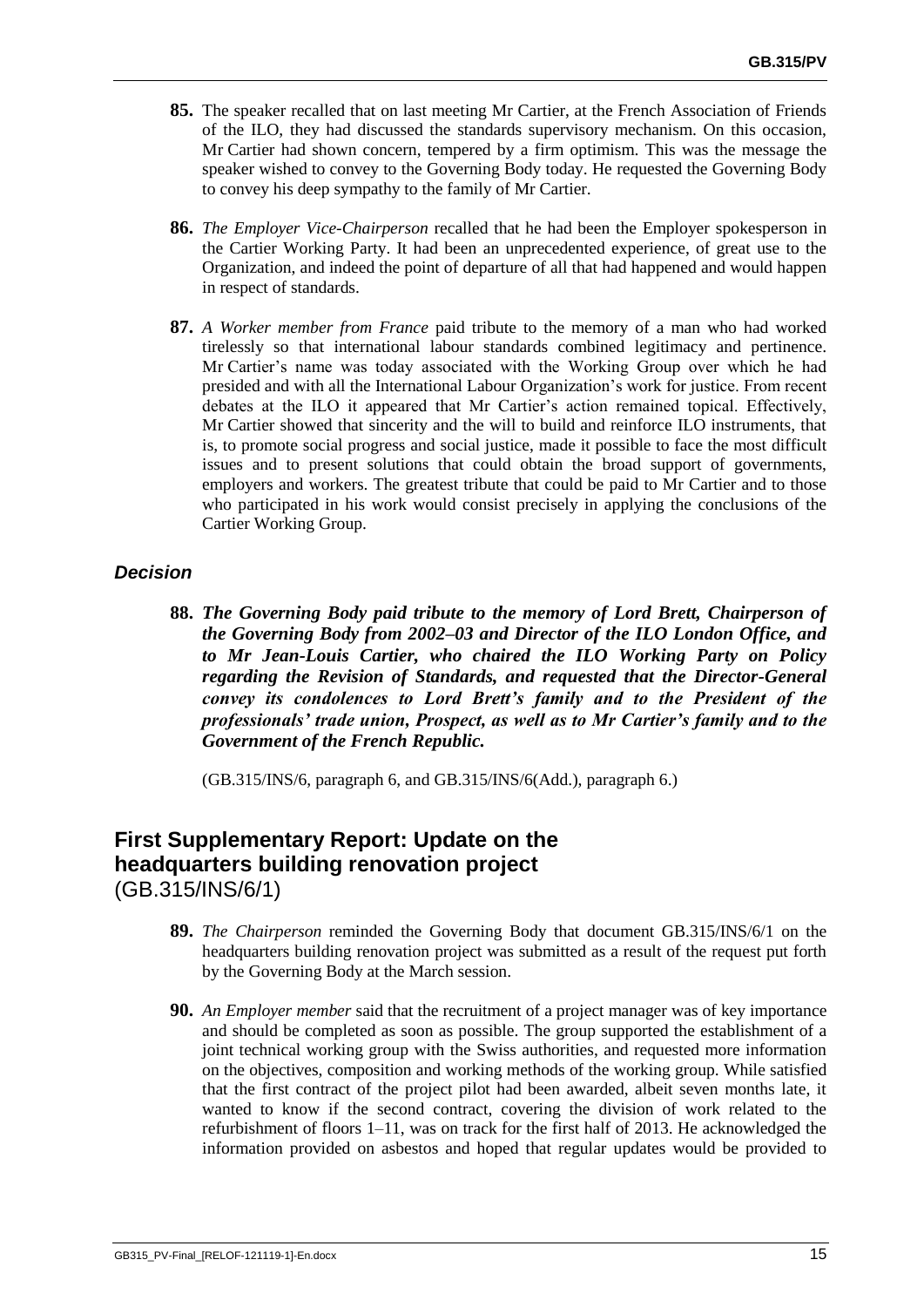- **85.** The speaker recalled that on last meeting Mr Cartier, at the French Association of Friends of the ILO, they had discussed the standards supervisory mechanism. On this occasion, Mr Cartier had shown concern, tempered by a firm optimism. This was the message the speaker wished to convey to the Governing Body today. He requested the Governing Body to convey his deep sympathy to the family of Mr Cartier.
- **86.** *The Employer Vice-Chairperson* recalled that he had been the Employer spokesperson in the Cartier Working Party. It had been an unprecedented experience, of great use to the Organization, and indeed the point of departure of all that had happened and would happen in respect of standards.
- **87.** *A Worker member from France* paid tribute to the memory of a man who had worked tirelessly so that international labour standards combined legitimacy and pertinence. Mr Cartier's name was today associated with the Working Group over which he had presided and with all the International Labour Organization's work for justice. From recent debates at the ILO it appeared that Mr Cartier's action remained topical. Effectively, Mr Cartier showed that sincerity and the will to build and reinforce ILO instruments, that is, to promote social progress and social justice, made it possible to face the most difficult issues and to present solutions that could obtain the broad support of governments, employers and workers. The greatest tribute that could be paid to Mr Cartier and to those who participated in his work would consist precisely in applying the conclusions of the Cartier Working Group.

### *Decision*

**88.** *The Governing Body paid tribute to the memory of Lord Brett, Chairperson of the Governing Body from 2002–03 and Director of the ILO London Office, and to Mr Jean-Louis Cartier, who chaired the ILO Working Party on Policy regarding the Revision of Standards, and requested that the Director-General convey its condolences to Lord Brett's family and to the President of the professionals' trade union, Prospect, as well as to Mr Cartier's family and to the Government of the French Republic.*

(GB.315/INS/6, paragraph 6, and GB.315/INS/6(Add.), paragraph 6.)

# **First Supplementary Report: Update on the headquarters building renovation project** (GB.315/INS/6/1)

- **89.** *The Chairperson* reminded the Governing Body that document GB.315/INS/6/1 on the headquarters building renovation project was submitted as a result of the request put forth by the Governing Body at the March session.
- **90.** *An Employer member* said that the recruitment of a project manager was of key importance and should be completed as soon as possible. The group supported the establishment of a joint technical working group with the Swiss authorities, and requested more information on the objectives, composition and working methods of the working group. While satisfied that the first contract of the project pilot had been awarded, albeit seven months late, it wanted to know if the second contract, covering the division of work related to the refurbishment of floors 1–11, was on track for the first half of 2013. He acknowledged the information provided on asbestos and hoped that regular updates would be provided to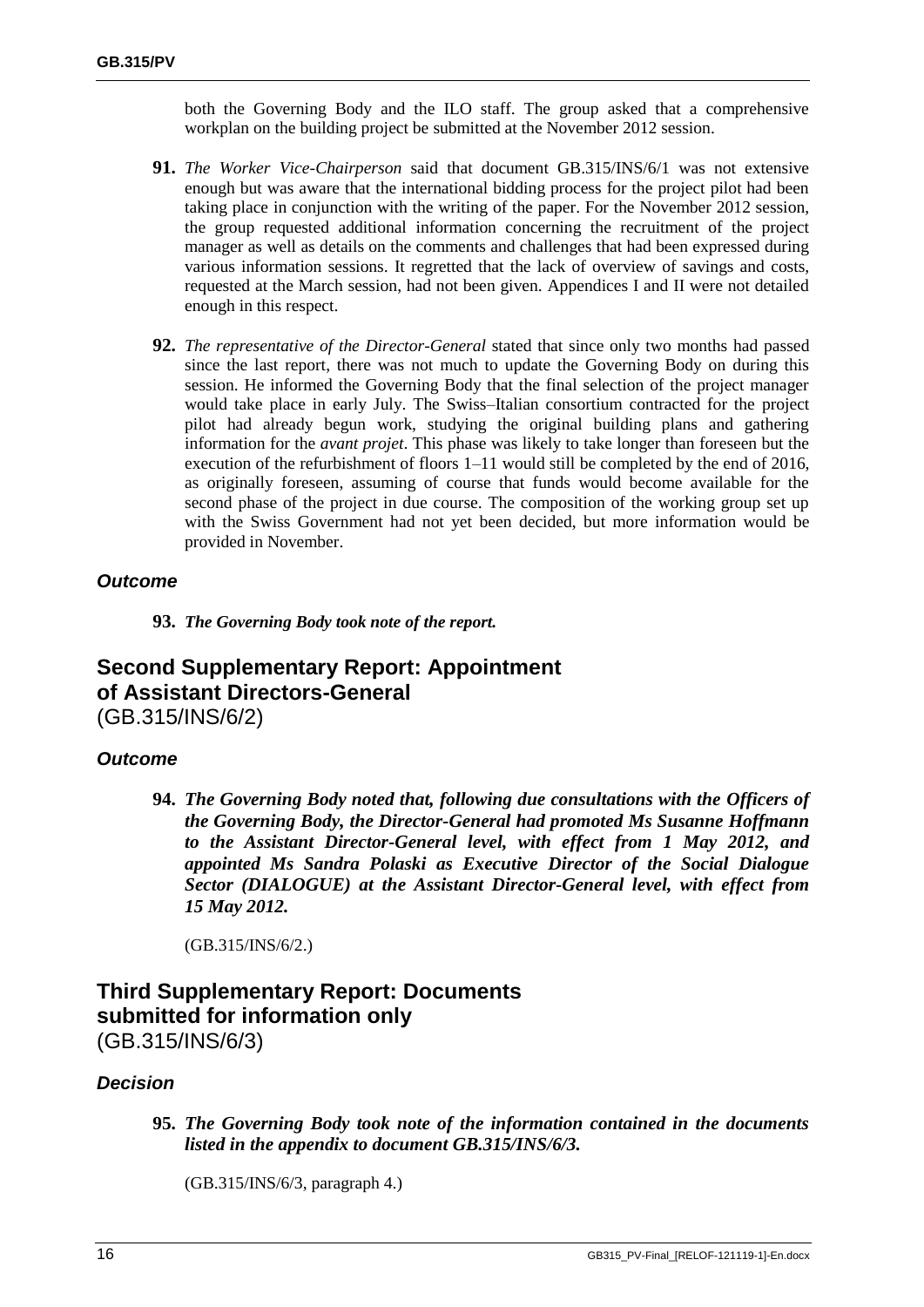both the Governing Body and the ILO staff. The group asked that a comprehensive workplan on the building project be submitted at the November 2012 session.

- **91.** *The Worker Vice-Chairperson* said that document GB.315/INS/6/1 was not extensive enough but was aware that the international bidding process for the project pilot had been taking place in conjunction with the writing of the paper. For the November 2012 session, the group requested additional information concerning the recruitment of the project manager as well as details on the comments and challenges that had been expressed during various information sessions. It regretted that the lack of overview of savings and costs, requested at the March session, had not been given. Appendices I and II were not detailed enough in this respect.
- **92.** *The representative of the Director-General* stated that since only two months had passed since the last report, there was not much to update the Governing Body on during this session. He informed the Governing Body that the final selection of the project manager would take place in early July. The Swiss–Italian consortium contracted for the project pilot had already begun work, studying the original building plans and gathering information for the *avant projet*. This phase was likely to take longer than foreseen but the execution of the refurbishment of floors 1–11 would still be completed by the end of 2016, as originally foreseen, assuming of course that funds would become available for the second phase of the project in due course. The composition of the working group set up with the Swiss Government had not yet been decided, but more information would be provided in November.

### *Outcome*

**93.** *The Governing Body took note of the report.*

# **Second Supplementary Report: Appointment of Assistant Directors-General** (GB.315/INS/6/2)

### *Outcome*

**94.** *The Governing Body noted that, following due consultations with the Officers of the Governing Body, the Director-General had promoted Ms Susanne Hoffmann to the Assistant Director-General level, with effect from 1 May 2012, and appointed Ms Sandra Polaski as Executive Director of the Social Dialogue Sector (DIALOGUE) at the Assistant Director-General level, with effect from 15 May 2012.*

(GB.315/INS/6/2.)

# **Third Supplementary Report: Documents submitted for information only**

(GB.315/INS/6/3)

### *Decision*

**95.** *The Governing Body took note of the information contained in the documents listed in the appendix to document GB.315/INS/6/3.*

(GB.315/INS/6/3, paragraph 4.)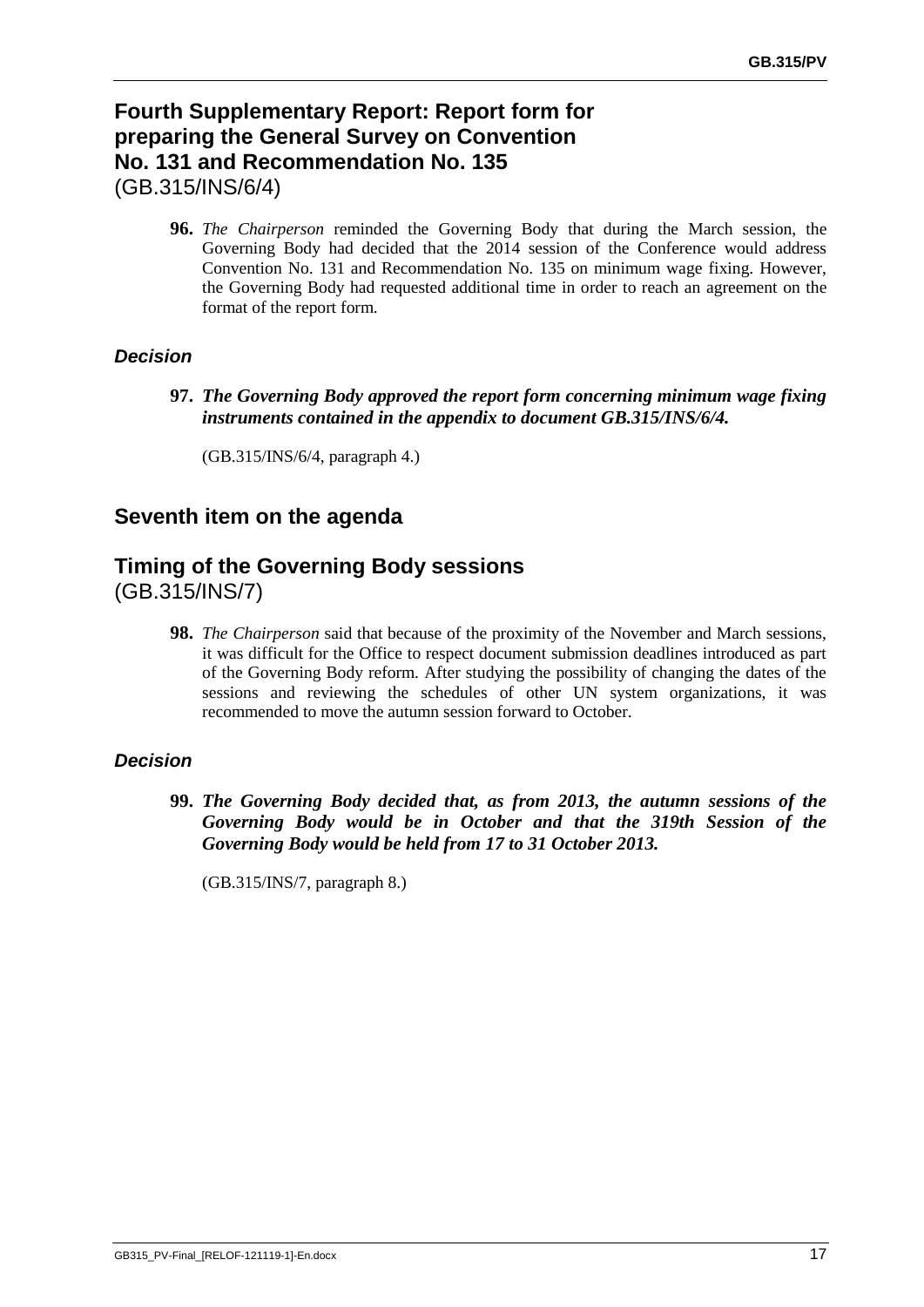# **Fourth Supplementary Report: Report form for preparing the General Survey on Convention No. 131 and Recommendation No. 135** (GB.315/INS/6/4)

**96.** *The Chairperson* reminded the Governing Body that during the March session, the Governing Body had decided that the 2014 session of the Conference would address Convention No. 131 and Recommendation No. 135 on minimum wage fixing. However, the Governing Body had requested additional time in order to reach an agreement on the format of the report form.

### *Decision*

**97.** *The Governing Body approved the report form concerning minimum wage fixing instruments contained in the appendix to document GB.315/INS/6/4.*

(GB.315/INS/6/4, paragraph 4.)

# **Seventh item on the agenda**

# **Timing of the Governing Body sessions**

(GB.315/INS/7)

**98.** *The Chairperson* said that because of the proximity of the November and March sessions, it was difficult for the Office to respect document submission deadlines introduced as part of the Governing Body reform. After studying the possibility of changing the dates of the sessions and reviewing the schedules of other UN system organizations, it was recommended to move the autumn session forward to October.

### *Decision*

**99.** *The Governing Body decided that, as from 2013, the autumn sessions of the Governing Body would be in October and that the 319th Session of the Governing Body would be held from 17 to 31 October 2013.* 

(GB.315/INS/7, paragraph 8.)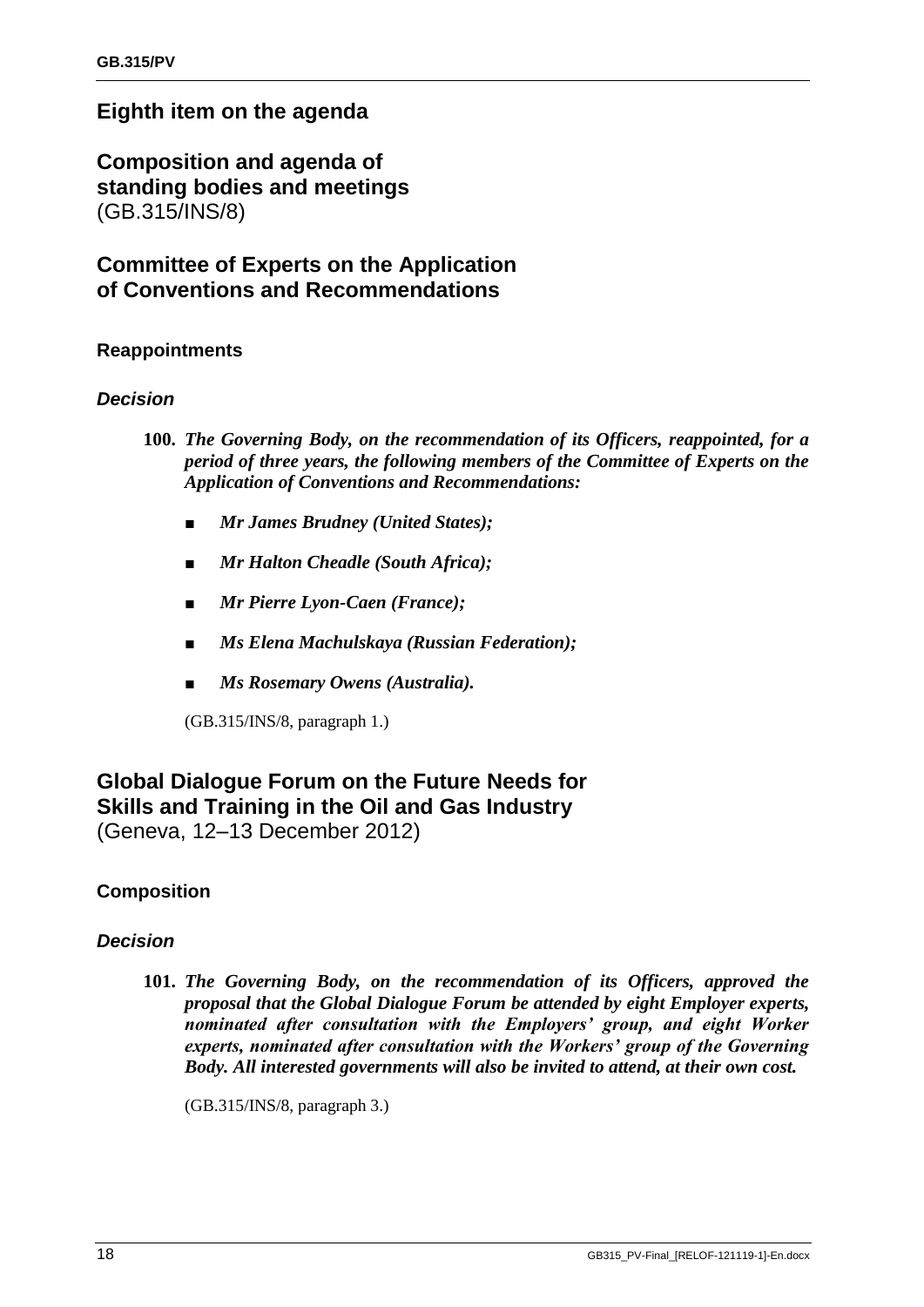# **Eighth item on the agenda**

**Composition and agenda of standing bodies and meetings** (GB.315/INS/8)

# **Committee of Experts on the Application of Conventions and Recommendations**

### **Reappointments**

### *Decision*

- **100.** *The Governing Body, on the recommendation of its Officers, reappointed, for a period of three years, the following members of the Committee of Experts on the Application of Conventions and Recommendations:*
	- *■ Mr James Brudney (United States);*
	- *■ Mr Halton Cheadle (South Africa);*
	- *■ Mr Pierre Lyon-Caen (France);*
	- *■ Ms Elena Machulskaya (Russian Federation);*
	- *■ Ms Rosemary Owens (Australia).*

(GB.315/INS/8, paragraph 1.)

# **Global Dialogue Forum on the Future Needs for Skills and Training in the Oil and Gas Industry**

(Geneva, 12–13 December 2012)

# **Composition**

### *Decision*

**101.** *The Governing Body, on the recommendation of its Officers, approved the proposal that the Global Dialogue Forum be attended by eight Employer experts, nominated after consultation with the Employers' group, and eight Worker experts, nominated after consultation with the Workers' group of the Governing Body. All interested governments will also be invited to attend, at their own cost.*

(GB.315/INS/8, paragraph 3.)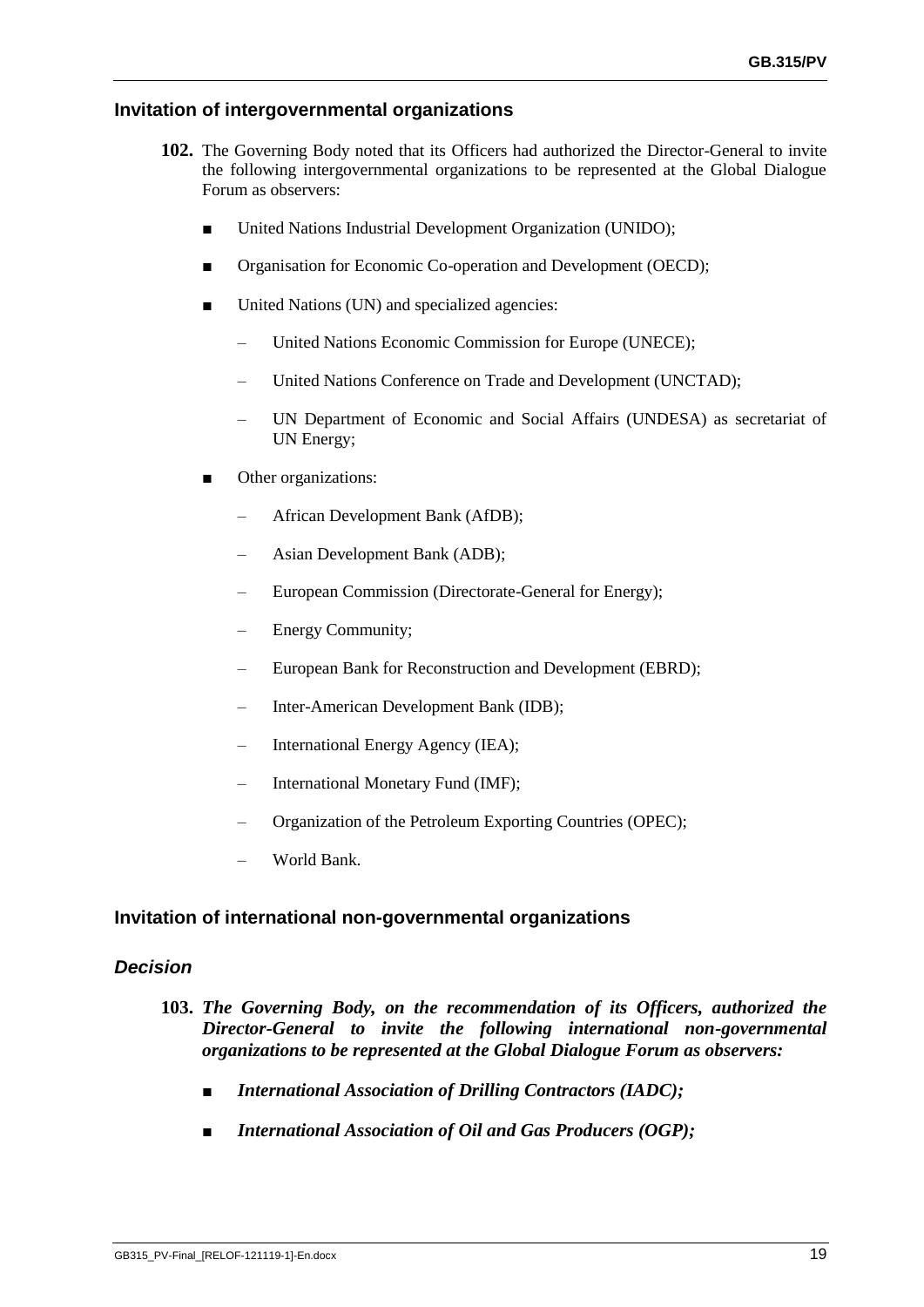### **Invitation of intergovernmental organizations**

- **102.** The Governing Body noted that its Officers had authorized the Director-General to invite the following intergovernmental organizations to be represented at the Global Dialogue Forum as observers:
	- United Nations Industrial Development Organization (UNIDO);
	- Organisation for Economic Co-operation and Development (OECD);
	- United Nations (UN) and specialized agencies:
		- United Nations Economic Commission for Europe (UNECE);
		- United Nations Conference on Trade and Development (UNCTAD);
		- UN Department of Economic and Social Affairs (UNDESA) as secretariat of UN Energy;
	- Other organizations:
		- African Development Bank (AfDB);
		- Asian Development Bank (ADB);
		- European Commission (Directorate-General for Energy);
		- Energy Community;
		- European Bank for Reconstruction and Development (EBRD);
		- Inter-American Development Bank (IDB);
		- International Energy Agency (IEA);
		- International Monetary Fund (IMF);
		- Organization of the Petroleum Exporting Countries (OPEC);
		- World Bank.

### **Invitation of international non-governmental organizations**

### *Decision*

- **103.** *The Governing Body, on the recommendation of its Officers, authorized the Director-General to invite the following international non-governmental organizations to be represented at the Global Dialogue Forum as observers:*
	- *■ International Association of Drilling Contractors (IADC);*
	- *■ International Association of Oil and Gas Producers (OGP);*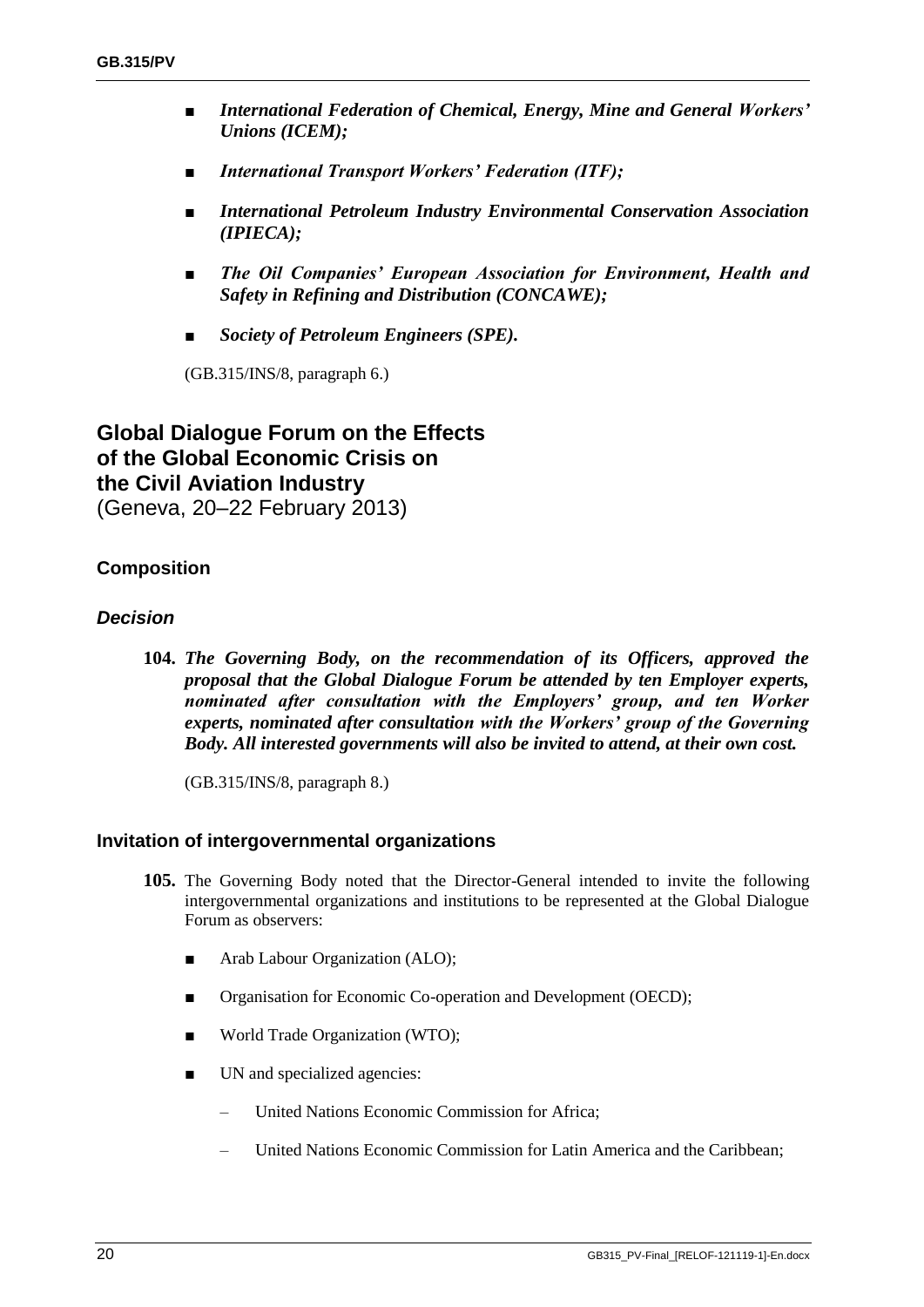- *■ International Federation of Chemical, Energy, Mine and General Workers' Unions (ICEM);*
- *■ International Transport Workers' Federation (ITF);*
- *■ International Petroleum Industry Environmental Conservation Association (IPIECA);*
- *■ The Oil Companies' European Association for Environment, Health and Safety in Refining and Distribution (CONCAWE);*
- *■ Society of Petroleum Engineers (SPE).*

(GB.315/INS/8, paragraph 6.)

# **Global Dialogue Forum on the Effects of the Global Economic Crisis on the Civil Aviation Industry**

(Geneva, 20–22 February 2013)

### **Composition**

### *Decision*

**104.** *The Governing Body, on the recommendation of its Officers, approved the proposal that the Global Dialogue Forum be attended by ten Employer experts, nominated after consultation with the Employers' group, and ten Worker experts, nominated after consultation with the Workers' group of the Governing Body. All interested governments will also be invited to attend, at their own cost.*

(GB.315/INS/8, paragraph 8.)

### **Invitation of intergovernmental organizations**

- **105.** The Governing Body noted that the Director-General intended to invite the following intergovernmental organizations and institutions to be represented at the Global Dialogue Forum as observers:
	- Arab Labour Organization (ALO);
	- Organisation for Economic Co-operation and Development (OECD);
	- World Trade Organization (WTO);
	- UN and specialized agencies:
		- United Nations Economic Commission for Africa;
		- United Nations Economic Commission for Latin America and the Caribbean;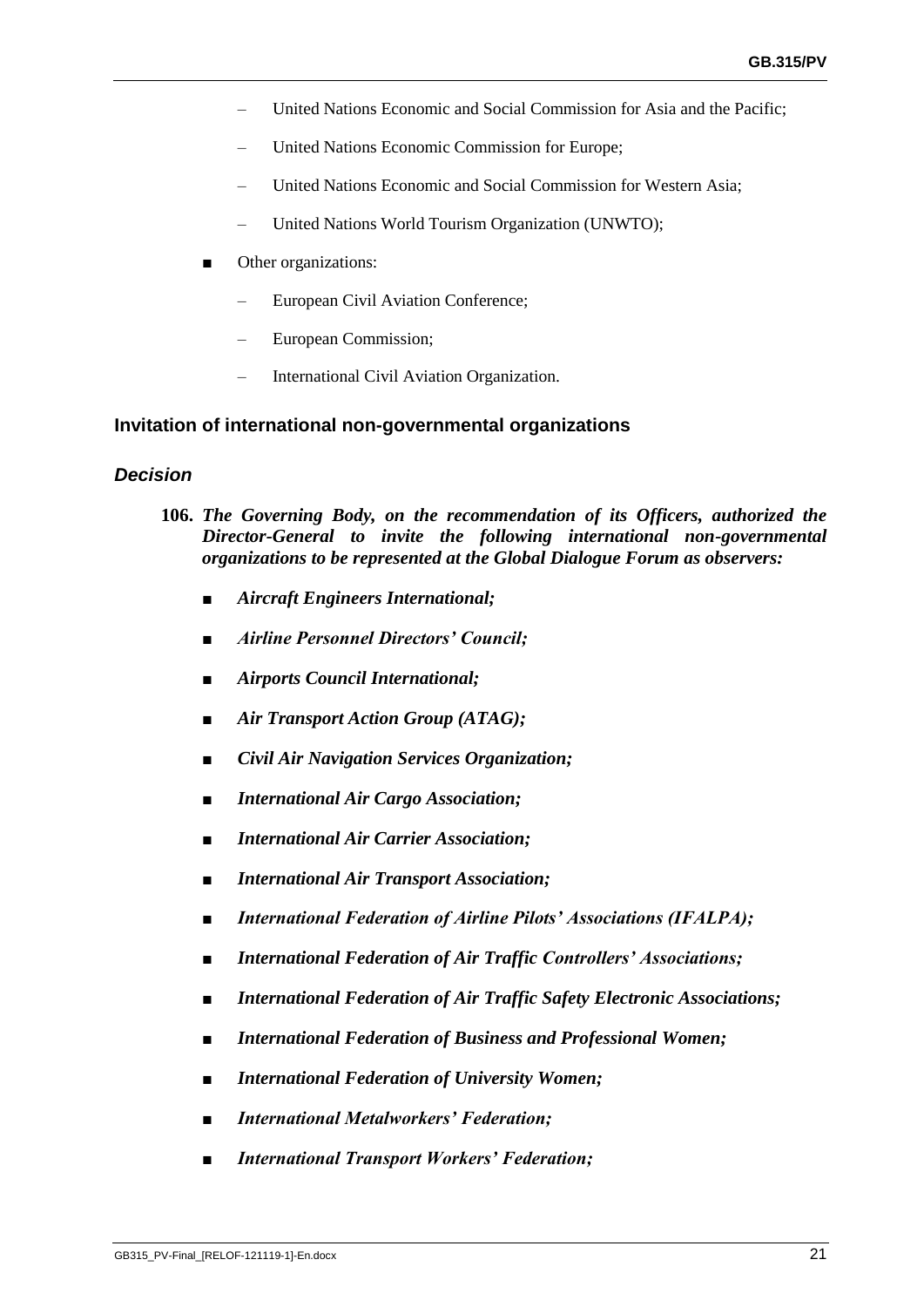- United Nations Economic and Social Commission for Asia and the Pacific;
- United Nations Economic Commission for Europe;
- United Nations Economic and Social Commission for Western Asia;
- United Nations World Tourism Organization (UNWTO);
- Other organizations:
	- European Civil Aviation Conference;
	- European Commission;
	- International Civil Aviation Organization.

### **Invitation of international non-governmental organizations**

### *Decision*

- **106.** *The Governing Body, on the recommendation of its Officers, authorized the Director-General to invite the following international non-governmental organizations to be represented at the Global Dialogue Forum as observers:*
	- *■ Aircraft Engineers International;*
	- *■ Airline Personnel Directors' Council;*
	- *■ Airports Council International;*
	- *■ Air Transport Action Group (ATAG);*
	- *■ Civil Air Navigation Services Organization;*
	- *■ International Air Cargo Association;*
	- *■ International Air Carrier Association;*
	- *■ International Air Transport Association;*
	- **International Federation of Airline Pilots' Associations (IFALPA);**
	- *■ International Federation of Air Traffic Controllers' Associations;*
	- **International Federation of Air Traffic Safety Electronic Associations;**
	- **International Federation of Business and Professional Women;**
	- **International Federation of University Women;**
	- *■ International Metalworkers' Federation;*
	- *■ International Transport Workers' Federation;*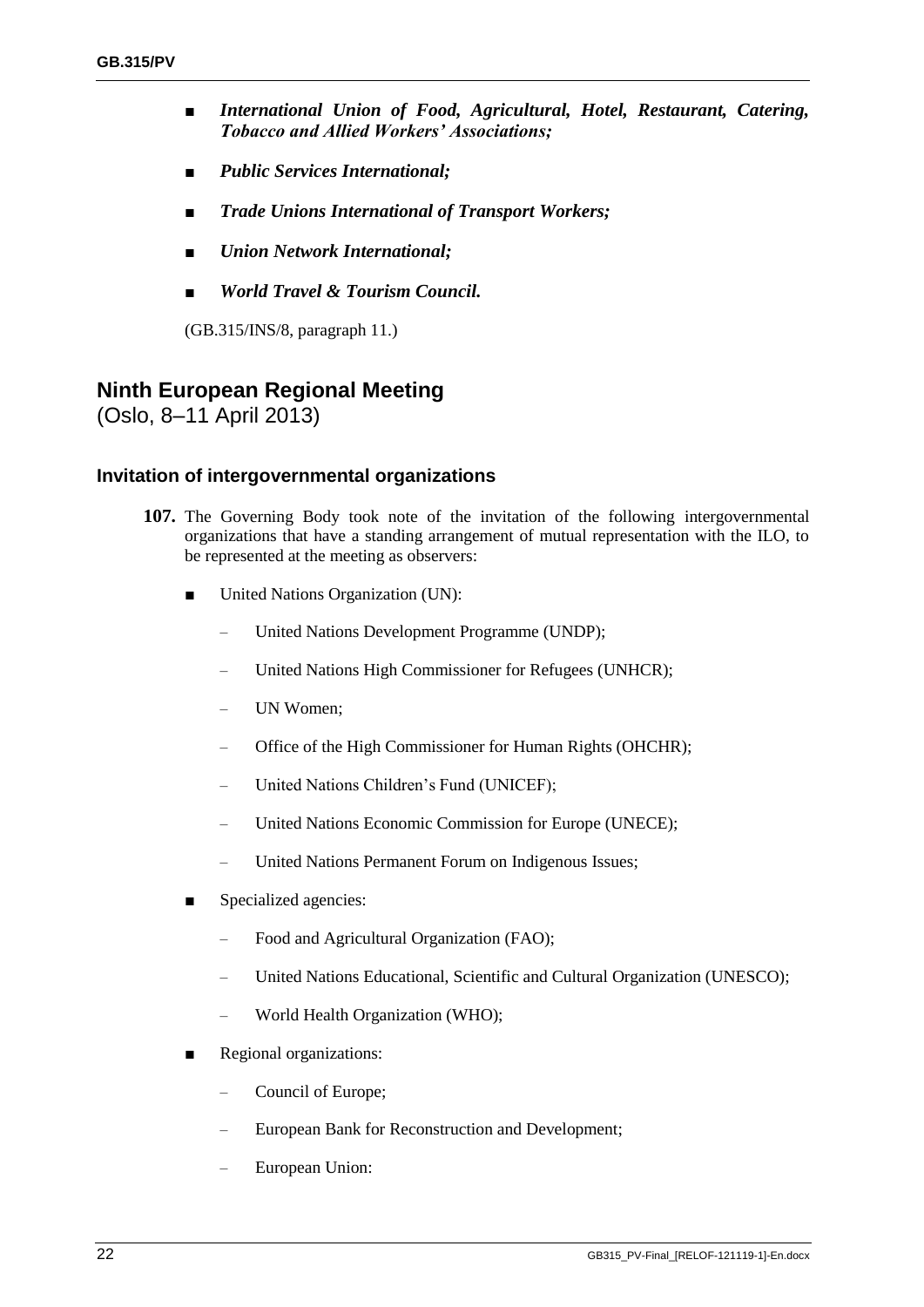- *■ International Union of Food, Agricultural, Hotel, Restaurant, Catering, Tobacco and Allied Workers' Associations;*
- *■ Public Services International;*
- *■ Trade Unions International of Transport Workers;*
- *■ Union Network International;*
- *■ World Travel & Tourism Council.*

(GB.315/INS/8, paragraph 11.)

# **Ninth European Regional Meeting**

(Oslo, 8–11 April 2013)

### **Invitation of intergovernmental organizations**

- **107.** The Governing Body took note of the invitation of the following intergovernmental organizations that have a standing arrangement of mutual representation with the ILO, to be represented at the meeting as observers:
	- United Nations Organization (UN):
		- United Nations Development Programme (UNDP);
		- United Nations High Commissioner for Refugees (UNHCR);
		- UN Women;
		- Office of the High Commissioner for Human Rights (OHCHR);
		- United Nations Children's Fund (UNICEF);
		- United Nations Economic Commission for Europe (UNECE);
		- United Nations Permanent Forum on Indigenous Issues;
	- Specialized agencies:
		- Food and Agricultural Organization (FAO);
		- United Nations Educational, Scientific and Cultural Organization (UNESCO);
		- World Health Organization (WHO);
	- Regional organizations:
		- Council of Europe;
		- European Bank for Reconstruction and Development;
		- European Union: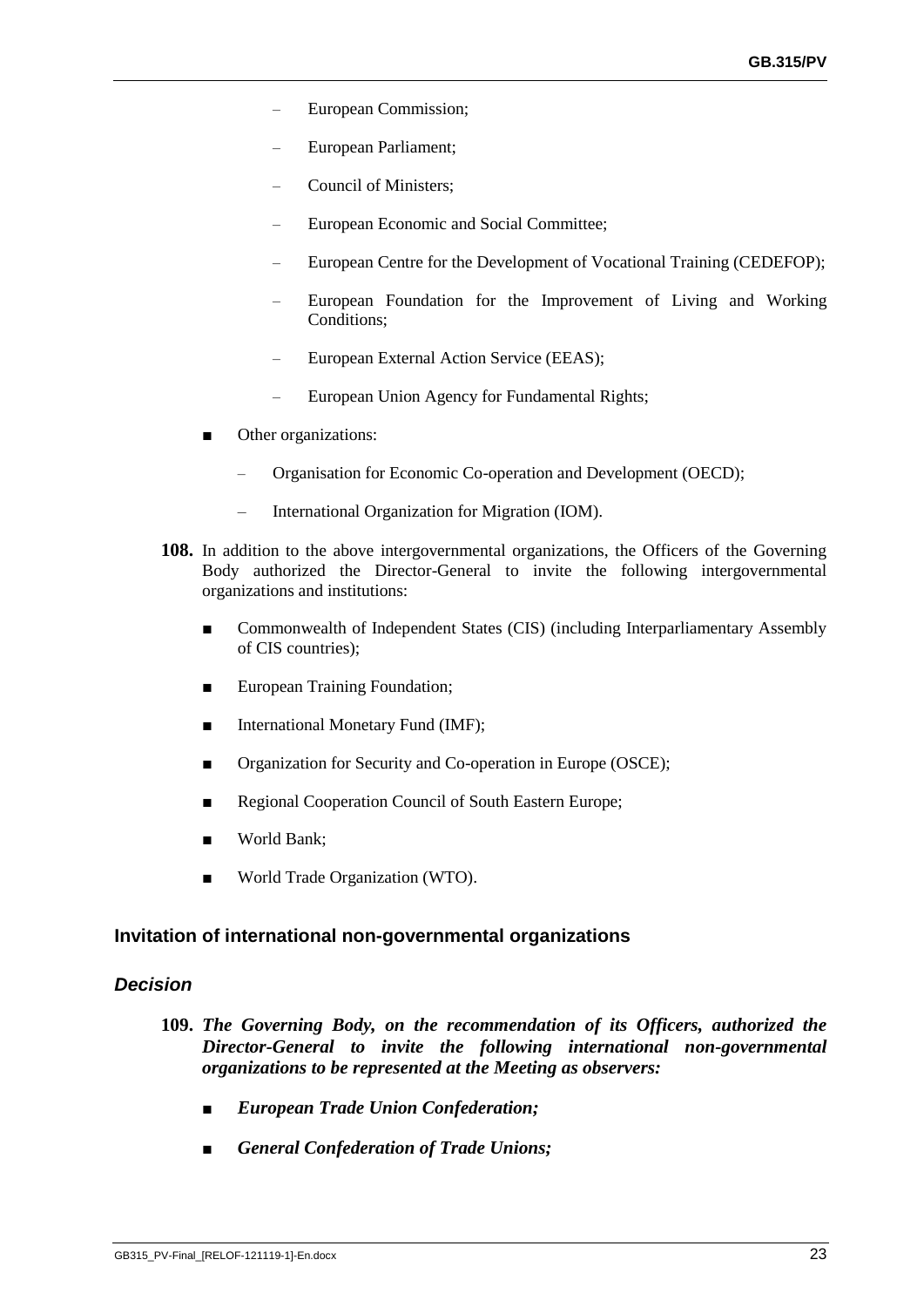- European Commission;
- European Parliament;
- Council of Ministers;
- European Economic and Social Committee;
- European Centre for the Development of Vocational Training (CEDEFOP);
- European Foundation for the Improvement of Living and Working Conditions;
- European External Action Service (EEAS);
- European Union Agency for Fundamental Rights;
- Other organizations:
	- Organisation for Economic Co-operation and Development (OECD);
	- International Organization for Migration (IOM).
- **108.** In addition to the above intergovernmental organizations, the Officers of the Governing Body authorized the Director-General to invite the following intergovernmental organizations and institutions:
	- Commonwealth of Independent States (CIS) (including Interparliamentary Assembly of CIS countries);
	- European Training Foundation;
	- International Monetary Fund (IMF);
	- Organization for Security and Co-operation in Europe (OSCE);
	- Regional Cooperation Council of South Eastern Europe;
	- World Bank;
	- World Trade Organization (WTO).

### **Invitation of international non-governmental organizations**

### *Decision*

- **109.** *The Governing Body, on the recommendation of its Officers, authorized the Director-General to invite the following international non-governmental organizations to be represented at the Meeting as observers:*
	- *■ European Trade Union Confederation;*
	- *■ General Confederation of Trade Unions;*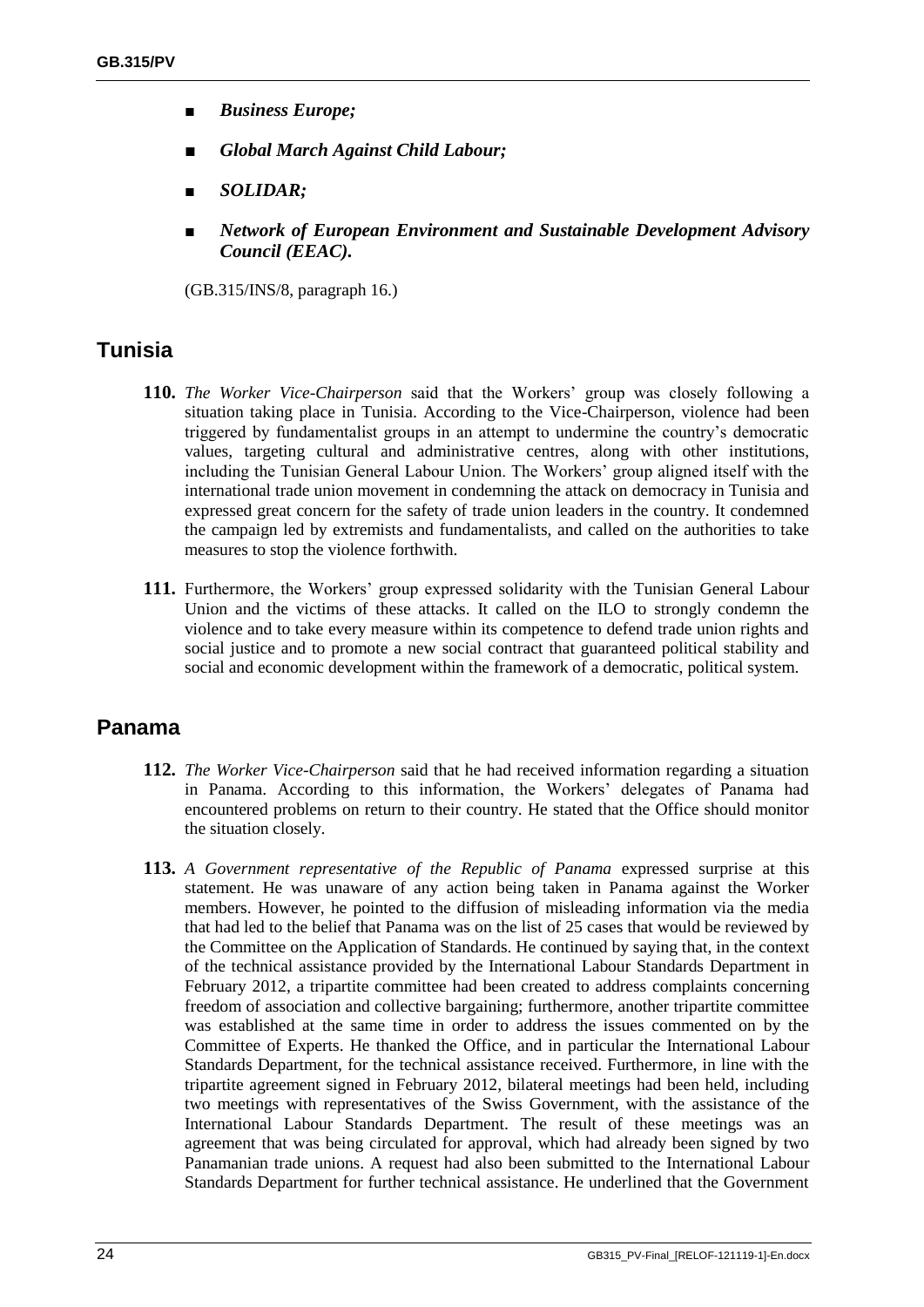- *■ Business Europe;*
- *■ Global March Against Child Labour;*
- *■ SOLIDAR;*
- *■ Network of European Environment and Sustainable Development Advisory Council (EEAC).*

(GB.315/INS/8, paragraph 16.)

# **Tunisia**

- **110.** *The Worker Vice-Chairperson* said that the Workers' group was closely following a situation taking place in Tunisia. According to the Vice-Chairperson, violence had been triggered by fundamentalist groups in an attempt to undermine the country's democratic values, targeting cultural and administrative centres, along with other institutions, including the Tunisian General Labour Union. The Workers' group aligned itself with the international trade union movement in condemning the attack on democracy in Tunisia and expressed great concern for the safety of trade union leaders in the country. It condemned the campaign led by extremists and fundamentalists, and called on the authorities to take measures to stop the violence forthwith.
- **111.** Furthermore, the Workers' group expressed solidarity with the Tunisian General Labour Union and the victims of these attacks. It called on the ILO to strongly condemn the violence and to take every measure within its competence to defend trade union rights and social justice and to promote a new social contract that guaranteed political stability and social and economic development within the framework of a democratic, political system.

# **Panama**

- **112.** *The Worker Vice-Chairperson* said that he had received information regarding a situation in Panama. According to this information, the Workers' delegates of Panama had encountered problems on return to their country. He stated that the Office should monitor the situation closely.
- **113.** *A Government representative of the Republic of Panama* expressed surprise at this statement. He was unaware of any action being taken in Panama against the Worker members. However, he pointed to the diffusion of misleading information via the media that had led to the belief that Panama was on the list of 25 cases that would be reviewed by the Committee on the Application of Standards. He continued by saying that, in the context of the technical assistance provided by the International Labour Standards Department in February 2012, a tripartite committee had been created to address complaints concerning freedom of association and collective bargaining; furthermore, another tripartite committee was established at the same time in order to address the issues commented on by the Committee of Experts. He thanked the Office, and in particular the International Labour Standards Department, for the technical assistance received. Furthermore, in line with the tripartite agreement signed in February 2012, bilateral meetings had been held, including two meetings with representatives of the Swiss Government, with the assistance of the International Labour Standards Department. The result of these meetings was an agreement that was being circulated for approval, which had already been signed by two Panamanian trade unions. A request had also been submitted to the International Labour Standards Department for further technical assistance. He underlined that the Government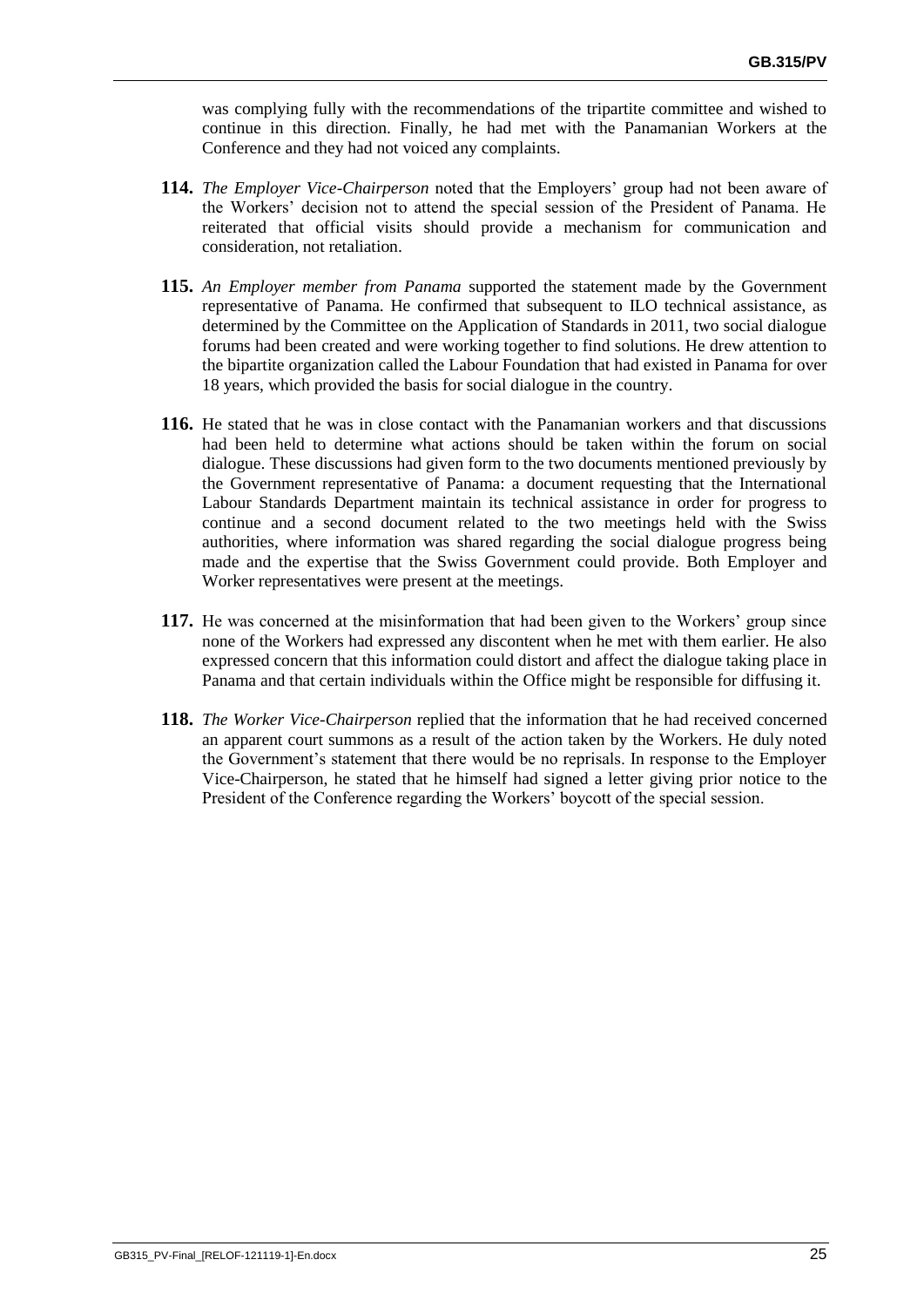was complying fully with the recommendations of the tripartite committee and wished to continue in this direction. Finally, he had met with the Panamanian Workers at the Conference and they had not voiced any complaints.

- **114.** *The Employer Vice-Chairperson* noted that the Employers' group had not been aware of the Workers' decision not to attend the special session of the President of Panama. He reiterated that official visits should provide a mechanism for communication and consideration, not retaliation.
- **115.** *An Employer member from Panama* supported the statement made by the Government representative of Panama. He confirmed that subsequent to ILO technical assistance, as determined by the Committee on the Application of Standards in 2011, two social dialogue forums had been created and were working together to find solutions. He drew attention to the bipartite organization called the Labour Foundation that had existed in Panama for over 18 years, which provided the basis for social dialogue in the country.
- **116.** He stated that he was in close contact with the Panamanian workers and that discussions had been held to determine what actions should be taken within the forum on social dialogue. These discussions had given form to the two documents mentioned previously by the Government representative of Panama: a document requesting that the International Labour Standards Department maintain its technical assistance in order for progress to continue and a second document related to the two meetings held with the Swiss authorities, where information was shared regarding the social dialogue progress being made and the expertise that the Swiss Government could provide. Both Employer and Worker representatives were present at the meetings.
- **117.** He was concerned at the misinformation that had been given to the Workers' group since none of the Workers had expressed any discontent when he met with them earlier. He also expressed concern that this information could distort and affect the dialogue taking place in Panama and that certain individuals within the Office might be responsible for diffusing it.
- **118.** *The Worker Vice-Chairperson* replied that the information that he had received concerned an apparent court summons as a result of the action taken by the Workers. He duly noted the Government's statement that there would be no reprisals. In response to the Employer Vice-Chairperson, he stated that he himself had signed a letter giving prior notice to the President of the Conference regarding the Workers' boycott of the special session.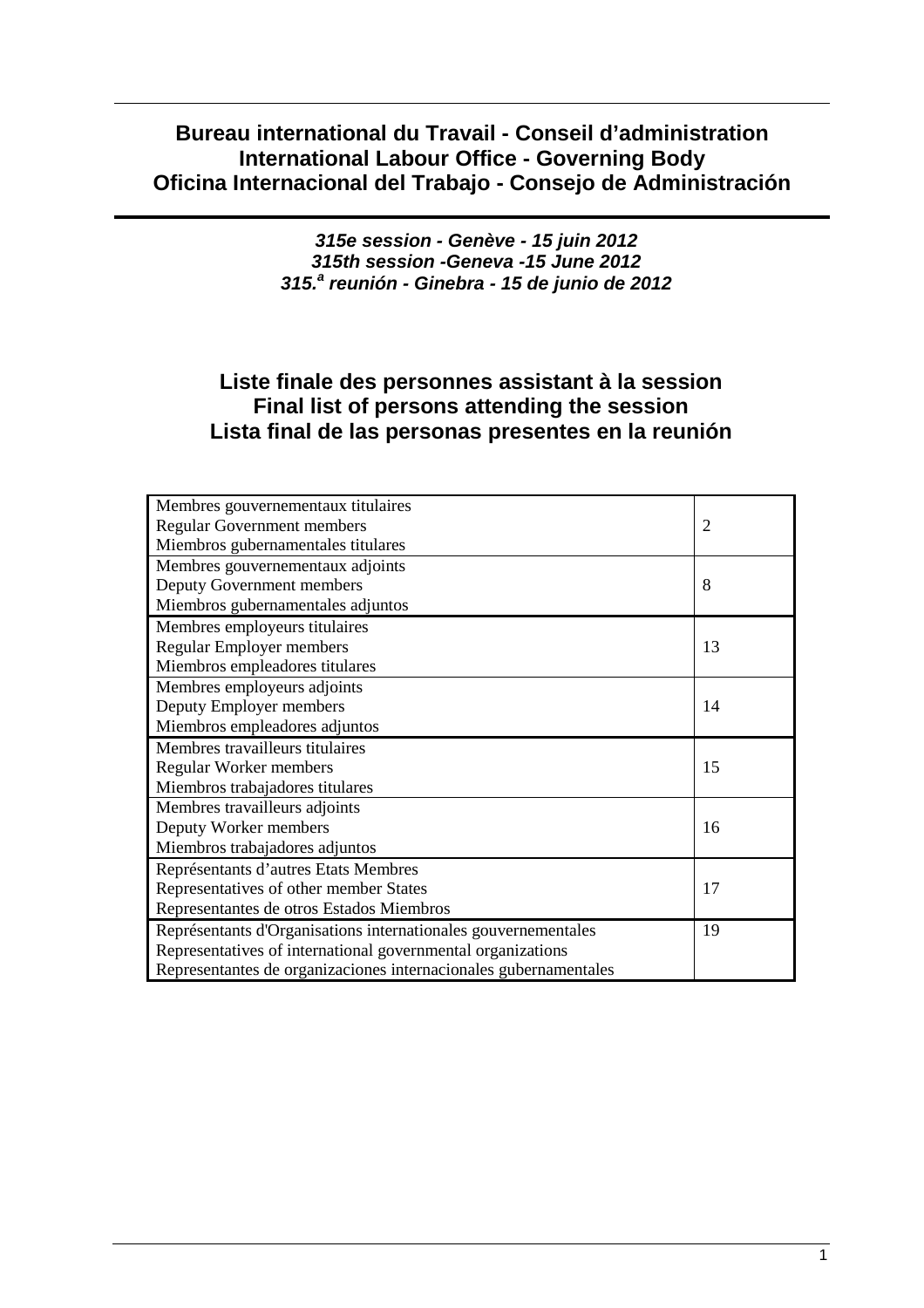# **Bureau international du Travail - Conseil d'administration International Labour Office - Governing Body Oficina Internacional del Trabajo - Consejo de Administración**

**315e session - Genève - 15 juin 2012 315th session -Geneva -15 June 2012 315.<sup>a</sup> reunión - Ginebra - 15 de junio de 2012** 

# **Liste finale des personnes assistant à la session Final list of persons attending the session Lista final de las personas presentes en la reunión**

| Membres gouvernementaux titulaires                               |                |  |  |  |
|------------------------------------------------------------------|----------------|--|--|--|
| Regular Government members                                       | $\overline{2}$ |  |  |  |
| Miembros gubernamentales titulares                               |                |  |  |  |
| Membres gouvernementaux adjoints                                 |                |  |  |  |
| Deputy Government members                                        | 8              |  |  |  |
| Miembros gubernamentales adjuntos                                |                |  |  |  |
| Membres employeurs titulaires                                    |                |  |  |  |
| <b>Regular Employer members</b>                                  | 13             |  |  |  |
| Miembros empleadores titulares                                   |                |  |  |  |
| Membres employeurs adjoints                                      |                |  |  |  |
| Deputy Employer members                                          | 14             |  |  |  |
| Miembros empleadores adjuntos                                    |                |  |  |  |
| Membres travailleurs titulaires                                  |                |  |  |  |
| <b>Regular Worker members</b>                                    | 15             |  |  |  |
| Miembros trabajadores titulares                                  |                |  |  |  |
| Membres travailleurs adjoints                                    |                |  |  |  |
| Deputy Worker members                                            | 16             |  |  |  |
| Miembros trabajadores adjuntos                                   |                |  |  |  |
| Représentants d'autres Etats Membres                             |                |  |  |  |
| Representatives of other member States                           | 17             |  |  |  |
| Representantes de otros Estados Miembros                         |                |  |  |  |
| Représentants d'Organisations internationales gouvernementales   | 19             |  |  |  |
| Representatives of international governmental organizations      |                |  |  |  |
| Representantes de organizaciones internacionales gubernamentales |                |  |  |  |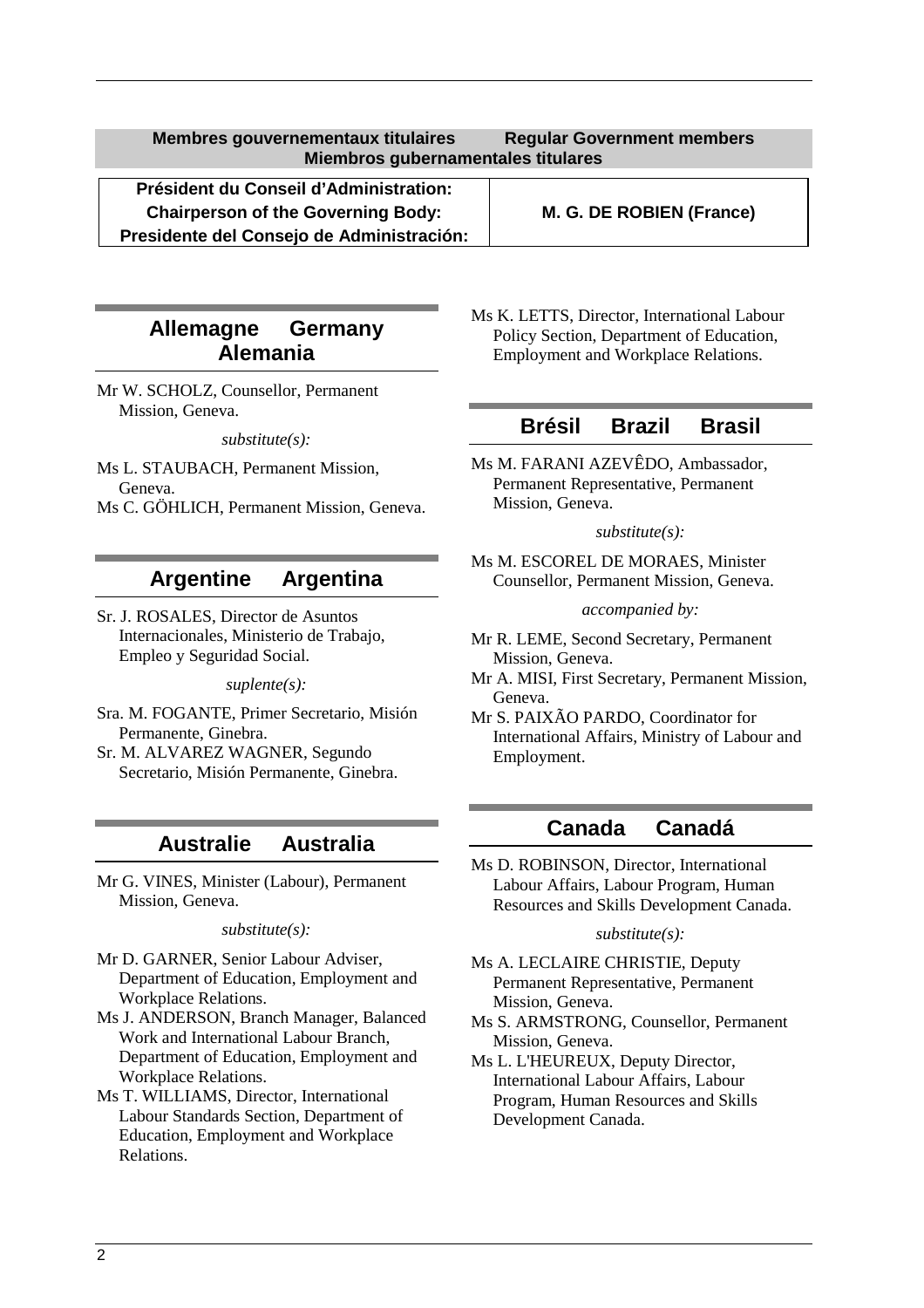**Président du Conseil d'Administration: Chairperson of the Governing Body: M. G. DE ROBIEN (France) Presidente del Consejo de Administración:**

# **Allemagne Germany Alemania**

Mr W. SCHOLZ, Counsellor, Permanent Mission, Geneva.

*substitute(s):* 

- Ms L. STAUBACH, Permanent Mission, Geneva.
- Ms C. GÖHLICH, Permanent Mission, Geneva.

# **Argentine Argentina**

Sr. J. ROSALES, Director de Asuntos Internacionales, Ministerio de Trabajo, Empleo y Seguridad Social.

*suplente(s):* 

- Sra. M. FOGANTE, Primer Secretario, Misión Permanente, Ginebra.
- Sr. M. ALVAREZ WAGNER, Segundo Secretario, Misión Permanente, Ginebra.

# **Australie Australia**

Mr G. VINES, Minister (Labour), Permanent Mission, Geneva.

*substitute(s):* 

- Mr D. GARNER, Senior Labour Adviser, Department of Education, Employment and Workplace Relations.
- Ms J. ANDERSON, Branch Manager, Balanced Work and International Labour Branch, Department of Education, Employment and Workplace Relations.
- Ms T. WILLIAMS, Director, International Labour Standards Section, Department of Education, Employment and Workplace Relations.

Ms K. LETTS, Director, International Labour Policy Section, Department of Education, Employment and Workplace Relations.

### **Brésil Brazil Brasil**

Ms M. FARANI AZEVÊDO, Ambassador, Permanent Representative, Permanent Mission, Geneva.

*substitute(s):* 

Ms M. ESCOREL DE MORAES, Minister Counsellor, Permanent Mission, Geneva.

*accompanied by:* 

- Mr R. LEME, Second Secretary, Permanent Mission, Geneva.
- Mr A. MISI, First Secretary, Permanent Mission, Geneva.
- Mr S. PAIXÃO PARDO, Coordinator for International Affairs, Ministry of Labour and Employment.

# **Canada Canadá**

Ms D. ROBINSON, Director, International Labour Affairs, Labour Program, Human Resources and Skills Development Canada.

#### *substitute(s):*

- Ms A. LECLAIRE CHRISTIE, Deputy Permanent Representative, Permanent Mission, Geneva.
- Ms S. ARMSTRONG, Counsellor, Permanent Mission, Geneva.
- Ms L. L'HEUREUX, Deputy Director, International Labour Affairs, Labour Program, Human Resources and Skills Development Canada.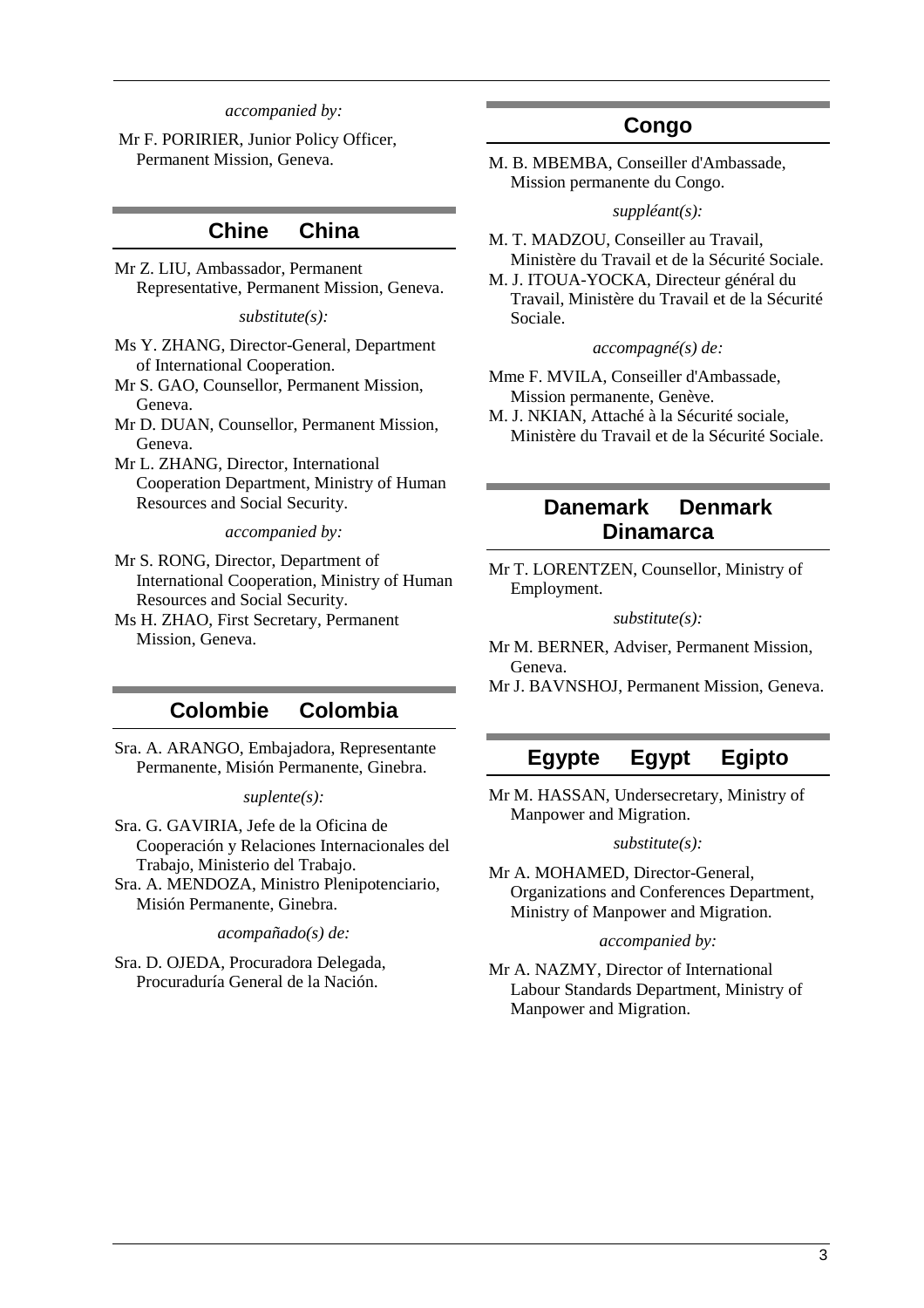#### *accompanied by:*

 Mr F. PORIRIER, Junior Policy Officer, Permanent Mission, Geneva.

### **Chine China**

Mr Z. LIU, Ambassador, Permanent Representative, Permanent Mission, Geneva.

*substitute(s):* 

- Ms Y. ZHANG, Director-General, Department of International Cooperation.
- Mr S. GAO, Counsellor, Permanent Mission, Geneva.
- Mr D. DUAN, Counsellor, Permanent Mission, Geneva.
- Mr L. ZHANG, Director, International Cooperation Department, Ministry of Human Resources and Social Security.

#### *accompanied by:*

- Mr S. RONG, Director, Department of International Cooperation, Ministry of Human Resources and Social Security.
- Ms H. ZHAO, First Secretary, Permanent Mission, Geneva.

### **Colombie Colombia**

Sra. A. ARANGO, Embajadora, Representante Permanente, Misión Permanente, Ginebra.

#### *suplente(s):*

- Sra. G. GAVIRIA, Jefe de la Oficina de Cooperación y Relaciones Internacionales del Trabajo, Ministerio del Trabajo.
- Sra. A. MENDOZA, Ministro Plenipotenciario, Misión Permanente, Ginebra.

*acompañado(s) de:* 

Sra. D. OJEDA, Procuradora Delegada, Procuraduría General de la Nación.

# **Congo**

M. B. MBEMBA, Conseiller d'Ambassade, Mission permanente du Congo.

#### *suppléant(s):*

- M. T. MADZOU, Conseiller au Travail, Ministère du Travail et de la Sécurité Sociale.
- M. J. ITOUA-YOCKA, Directeur général du Travail, Ministère du Travail et de la Sécurité Sociale.

#### *accompagné(s) de:*

- Mme F. MVILA, Conseiller d'Ambassade, Mission permanente, Genève.
- M. J. NKIAN, Attaché à la Sécurité sociale, Ministère du Travail et de la Sécurité Sociale.

# **Danemark Denmark Dinamarca**

Mr T. LORENTZEN, Counsellor, Ministry of Employment.

#### *substitute(s):*

Mr M. BERNER, Adviser, Permanent Mission, Geneva.

Mr J. BAVNSHOJ, Permanent Mission, Geneva.

### **Egypte Egypt Egipto**

Mr M. HASSAN, Undersecretary, Ministry of Manpower and Migration.

#### *substitute(s):*

Mr A. MOHAMED, Director-General, Organizations and Conferences Department, Ministry of Manpower and Migration.

#### *accompanied by:*

Mr A. NAZMY, Director of International Labour Standards Department, Ministry of Manpower and Migration.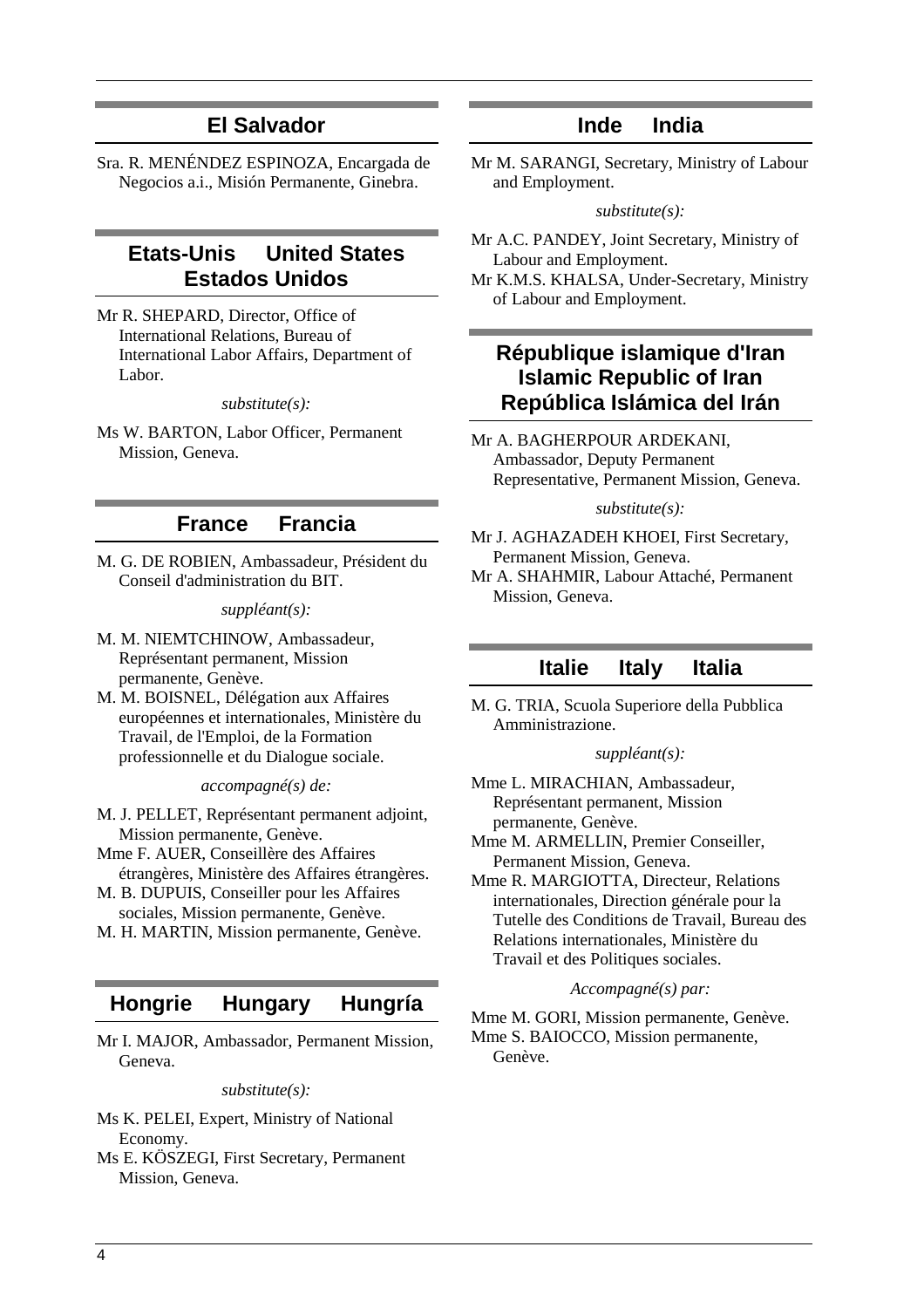# **El Salvador**

Sra. R. MENÉNDEZ ESPINOZA, Encargada de Negocios a.i., Misión Permanente, Ginebra.

# **Etats-Unis United States Estados Unidos**

Mr R. SHEPARD, Director, Office of International Relations, Bureau of International Labor Affairs, Department of Labor.

#### *substitute(s):*

Ms W. BARTON, Labor Officer, Permanent Mission, Geneva.

### **France Francia**

M. G. DE ROBIEN, Ambassadeur, Président du Conseil d'administration du BIT.

*suppléant(s):* 

- M. M. NIEMTCHINOW, Ambassadeur, Représentant permanent, Mission permanente, Genève.
- M. M. BOISNEL, Délégation aux Affaires européennes et internationales, Ministère du Travail, de l'Emploi, de la Formation professionnelle et du Dialogue sociale.

*accompagné(s) de:* 

- M. J. PELLET, Représentant permanent adjoint, Mission permanente, Genève.
- Mme F. AUER, Conseillère des Affaires étrangères, Ministère des Affaires étrangères.
- M. B. DUPUIS, Conseiller pour les Affaires sociales, Mission permanente, Genève.
- M. H. MARTIN, Mission permanente, Genève.

### **Hongrie Hungary Hungría**

Mr I. MAJOR, Ambassador, Permanent Mission, Geneva.

*substitute(s):* 

- Ms K. PELEI, Expert, Ministry of National Economy.
- Ms E. KÖSZEGI, First Secretary, Permanent Mission, Geneva.

# **Inde India**

Mr M. SARANGI, Secretary, Ministry of Labour and Employment.

#### *substitute(s):*

- Mr A.C. PANDEY, Joint Secretary, Ministry of Labour and Employment.
- Mr K.M.S. KHALSA, Under-Secretary, Ministry of Labour and Employment.

# **République islamique d'Iran Islamic Republic of Iran República Islámica del Irán**

Mr A. BAGHERPOUR ARDEKANI, Ambassador, Deputy Permanent Representative, Permanent Mission, Geneva.

#### *substitute(s):*

- Mr J. AGHAZADEH KHOEI, First Secretary, Permanent Mission, Geneva.
- Mr A. SHAHMIR, Labour Attaché, Permanent Mission, Geneva.

### **Italie Italy Italia**

M. G. TRIA, Scuola Superiore della Pubblica Amministrazione.

#### *suppléant(s):*

Mme L. MIRACHIAN, Ambassadeur, Représentant permanent, Mission permanente, Genève.

Mme M. ARMELLIN, Premier Conseiller, Permanent Mission, Geneva.

Mme R. MARGIOTTA, Directeur, Relations internationales, Direction générale pour la Tutelle des Conditions de Travail, Bureau des Relations internationales, Ministère du Travail et des Politiques sociales.

#### *Accompagné(s) par:*

Mme M. GORI, Mission permanente, Genève. Mme S. BAIOCCO, Mission permanente, Genève.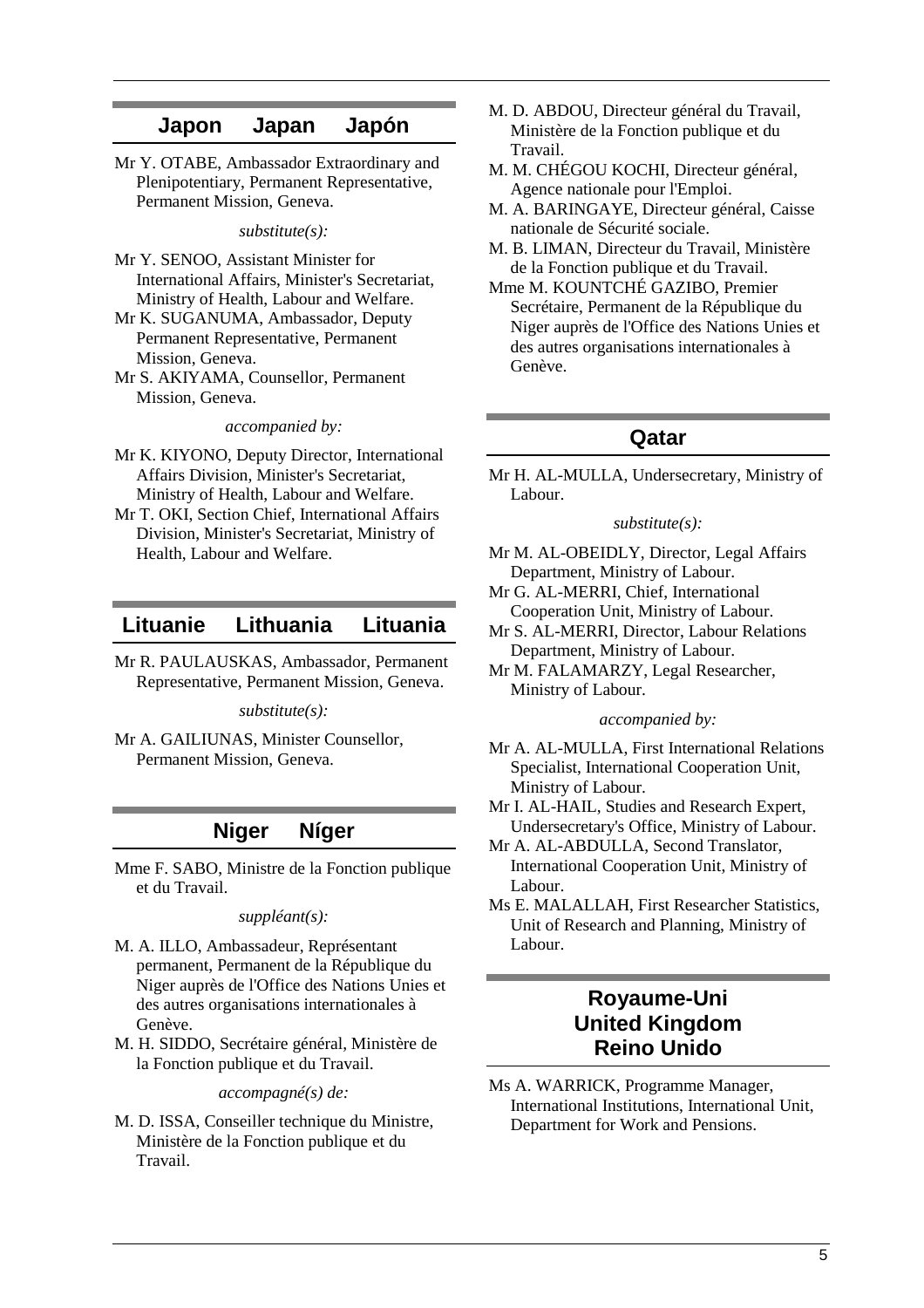### **Japon Japan Japón**

Mr Y. OTABE, Ambassador Extraordinary and Plenipotentiary, Permanent Representative, Permanent Mission, Geneva.

*substitute(s):* 

- Mr Y. SENOO, Assistant Minister for International Affairs, Minister's Secretariat, Ministry of Health, Labour and Welfare.
- Mr K. SUGANUMA, Ambassador, Deputy Permanent Representative, Permanent Mission, Geneva.
- Mr S. AKIYAMA, Counsellor, Permanent Mission, Geneva.

*accompanied by:* 

- Mr K. KIYONO, Deputy Director, International Affairs Division, Minister's Secretariat, Ministry of Health, Labour and Welfare.
- Mr T. OKI, Section Chief, International Affairs Division, Minister's Secretariat, Ministry of Health, Labour and Welfare.

### **Lituanie Lithuania Lituania**

Mr R. PAULAUSKAS, Ambassador, Permanent Representative, Permanent Mission, Geneva.

*substitute(s):* 

Mr A. GAILIUNAS, Minister Counsellor, Permanent Mission, Geneva.

### **Niger Níger**

Mme F. SABO, Ministre de la Fonction publique et du Travail.

*suppléant(s):* 

- M. A. ILLO, Ambassadeur, Représentant permanent, Permanent de la République du Niger auprès de l'Office des Nations Unies et des autres organisations internationales à Genève.
- M. H. SIDDO, Secrétaire général, Ministère de la Fonction publique et du Travail.

*accompagné(s) de:* 

M. D. ISSA, Conseiller technique du Ministre, Ministère de la Fonction publique et du Travail.

- M. D. ABDOU, Directeur général du Travail, Ministère de la Fonction publique et du Travail.
- M. M. CHÉGOU KOCHI, Directeur général, Agence nationale pour l'Emploi.
- M. A. BARINGAYE, Directeur général, Caisse nationale de Sécurité sociale.
- M. B. LIMAN, Directeur du Travail, Ministère de la Fonction publique et du Travail.
- Mme M. KOUNTCHÉ GAZIBO, Premier Secrétaire, Permanent de la République du Niger auprès de l'Office des Nations Unies et des autres organisations internationales à Genève.

### **Qatar**

Mr H. AL-MULLA, Undersecretary, Ministry of Labour.

#### *substitute(s):*

- Mr M. AL-OBEIDLY, Director, Legal Affairs Department, Ministry of Labour.
- Mr G. AL-MERRI, Chief, International Cooperation Unit, Ministry of Labour.
- Mr S. AL-MERRI, Director, Labour Relations Department, Ministry of Labour.
- Mr M. FALAMARZY, Legal Researcher, Ministry of Labour.

#### *accompanied by:*

- Mr A. AL-MULLA, First International Relations Specialist, International Cooperation Unit, Ministry of Labour.
- Mr I. AL-HAIL, Studies and Research Expert, Undersecretary's Office, Ministry of Labour.
- Mr A. AL-ABDULLA, Second Translator, International Cooperation Unit, Ministry of Labour.
- Ms E. MALALLAH, First Researcher Statistics, Unit of Research and Planning, Ministry of Labour.

# **Royaume-Uni United Kingdom Reino Unido**

Ms A. WARRICK, Programme Manager, International Institutions, International Unit, Department for Work and Pensions.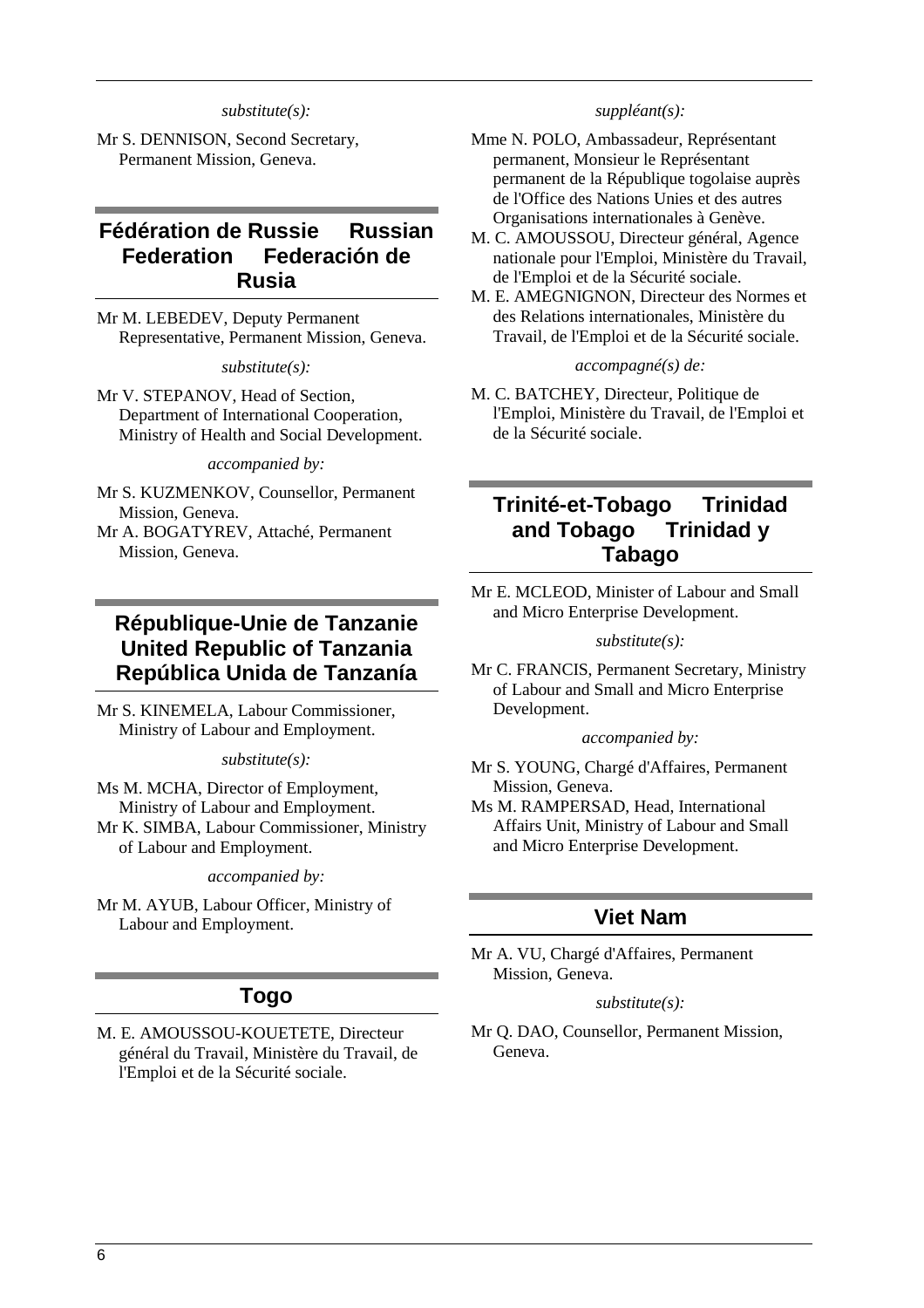#### *substitute(s):*

Mr S. DENNISON, Second Secretary, Permanent Mission, Geneva.

# **Fédération de Russie Russian Federation Federación de Rusia**

Mr M. LEBEDEV, Deputy Permanent Representative, Permanent Mission, Geneva.

#### *substitute(s):*

Mr V. STEPANOV, Head of Section, Department of International Cooperation, Ministry of Health and Social Development.

*accompanied by:* 

- Mr S. KUZMENKOV, Counsellor, Permanent Mission, Geneva.
- Mr A. BOGATYREV, Attaché, Permanent Mission, Geneva.

# **République-Unie de Tanzanie United Republic of Tanzania República Unida de Tanzanía**

Mr S. KINEMELA, Labour Commissioner, Ministry of Labour and Employment.

*substitute(s):* 

Ms M. MCHA, Director of Employment, Ministry of Labour and Employment. Mr K. SIMBA, Labour Commissioner, Ministry of Labour and Employment.

*accompanied by:* 

Mr M. AYUB, Labour Officer, Ministry of Labour and Employment.

### **Togo**

M. E. AMOUSSOU-KOUETETE, Directeur général du Travail, Ministère du Travail, de l'Emploi et de la Sécurité sociale.

#### *suppléant(s):*

- Mme N. POLO, Ambassadeur, Représentant permanent, Monsieur le Représentant permanent de la République togolaise auprès de l'Office des Nations Unies et des autres Organisations internationales à Genève.
- M. C. AMOUSSOU, Directeur général, Agence nationale pour l'Emploi, Ministère du Travail, de l'Emploi et de la Sécurité sociale.
- M. E. AMEGNIGNON, Directeur des Normes et des Relations internationales, Ministère du Travail, de l'Emploi et de la Sécurité sociale.

#### *accompagné(s) de:*

M. C. BATCHEY, Directeur, Politique de l'Emploi, Ministère du Travail, de l'Emploi et de la Sécurité sociale.

# **Trinité-et-Tobago Trinidad and Tobago Trinidad y Tabago**

Mr E. MCLEOD, Minister of Labour and Small and Micro Enterprise Development.

#### *substitute(s):*

Mr C. FRANCIS, Permanent Secretary, Ministry of Labour and Small and Micro Enterprise Development.

#### *accompanied by:*

- Mr S. YOUNG, Chargé d'Affaires, Permanent Mission, Geneva.
- Ms M. RAMPERSAD, Head, International Affairs Unit, Ministry of Labour and Small and Micro Enterprise Development.

# **Viet Nam**

Mr A. VU, Chargé d'Affaires, Permanent Mission, Geneva.

#### *substitute(s):*

Mr Q. DAO, Counsellor, Permanent Mission, Geneva.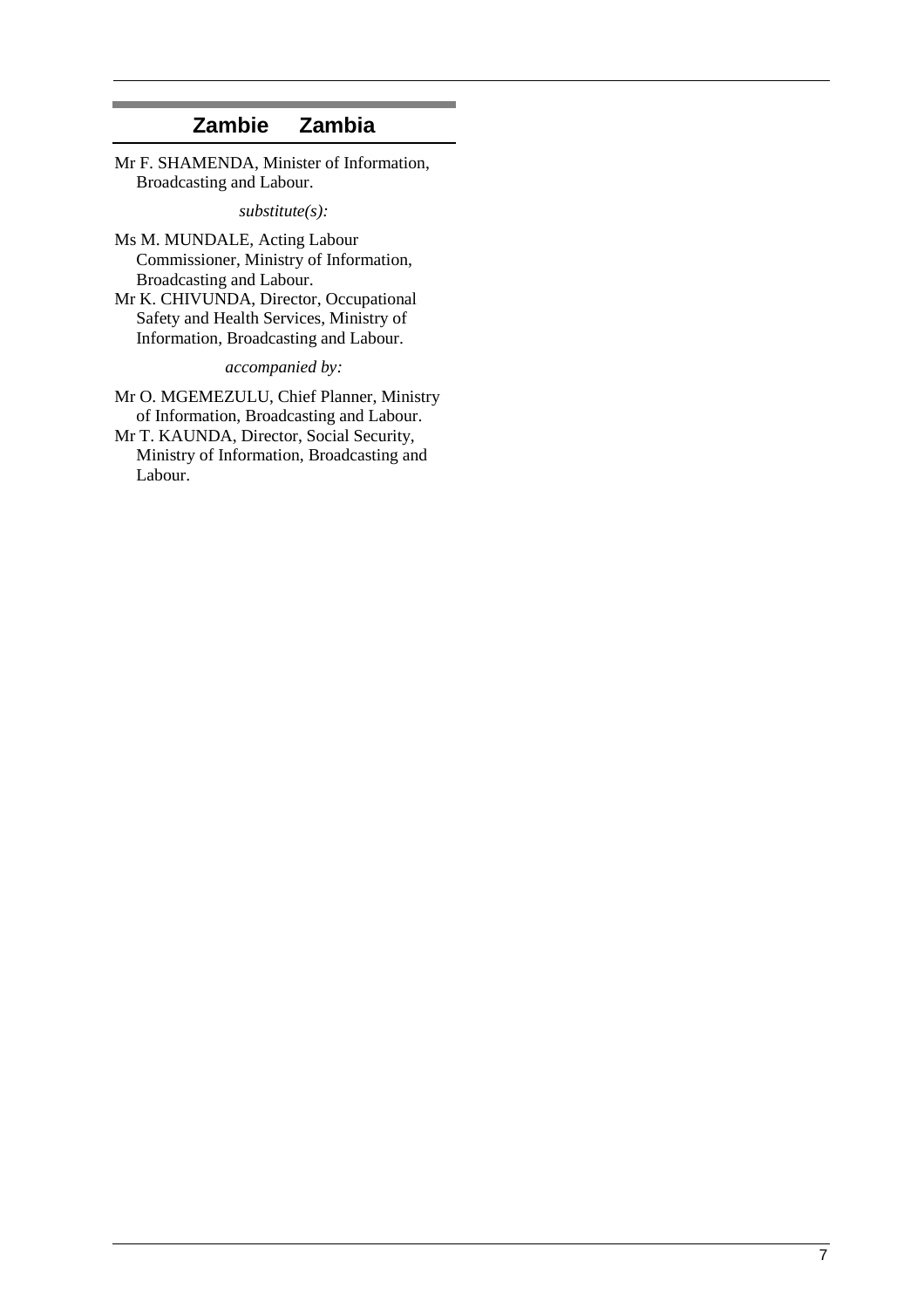# **Zambie Zambia**

Mr F. SHAMENDA, Minister of Information, Broadcasting and Labour.

*substitute(s):* 

- Ms M. MUNDALE, Acting Labour Commissioner, Ministry of Information, Broadcasting and Labour.
- Mr K. CHIVUNDA, Director, Occupational Safety and Health Services, Ministry of Information, Broadcasting and Labour.

*accompanied by:* 

Mr O. MGEMEZULU, Chief Planner, Ministry of Information, Broadcasting and Labour. Mr T. KAUNDA, Director, Social Security, Ministry of Information, Broadcasting and Labour.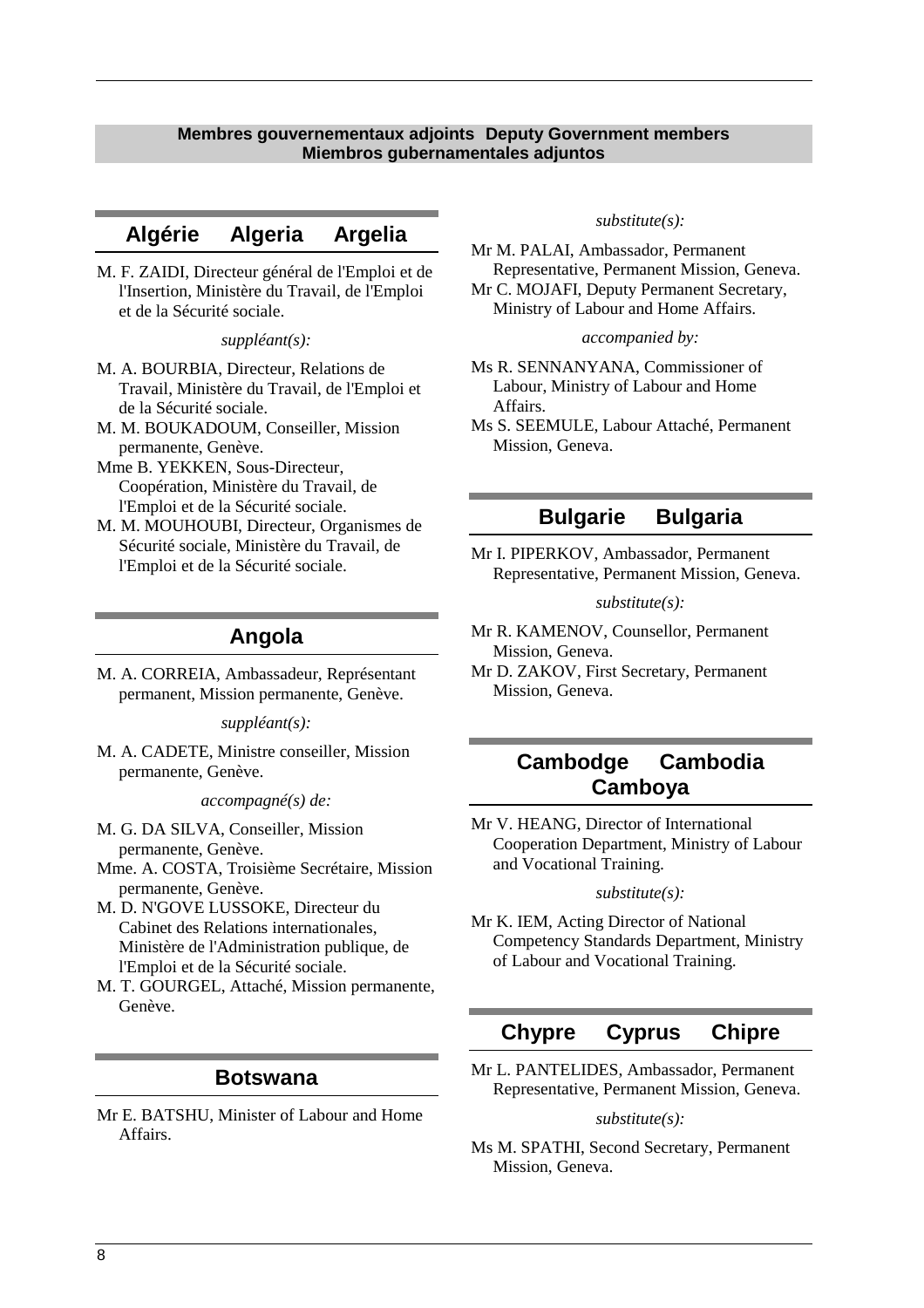### **Membres gouvernementaux adjoints Deputy Government members Miembros gubernamentales adjuntos**

# **Algérie Algeria Argelia**

M. F. ZAIDI, Directeur général de l'Emploi et de l'Insertion, Ministère du Travail, de l'Emploi et de la Sécurité sociale.

#### *suppléant(s):*

- M. A. BOURBIA, Directeur, Relations de Travail, Ministère du Travail, de l'Emploi et de la Sécurité sociale.
- M. M. BOUKADOUM, Conseiller, Mission permanente, Genève.
- Mme B. YEKKEN, Sous-Directeur, Coopération, Ministère du Travail, de l'Emploi et de la Sécurité sociale.
- M. M. MOUHOUBI, Directeur, Organismes de Sécurité sociale, Ministère du Travail, de l'Emploi et de la Sécurité sociale.

### **Angola**

M. A. CORREIA, Ambassadeur, Représentant permanent, Mission permanente, Genève.

*suppléant(s):* 

M. A. CADETE, Ministre conseiller, Mission permanente, Genève.

*accompagné(s) de:* 

M. G. DA SILVA, Conseiller, Mission permanente, Genève.

Mme. A. COSTA, Troisième Secrétaire, Mission permanente, Genève.

M. D. N'GOVE LUSSOKE, Directeur du Cabinet des Relations internationales, Ministère de l'Administration publique, de l'Emploi et de la Sécurité sociale.

M. T. GOURGEL, Attaché, Mission permanente, Genève.

### **Botswana**

Mr E. BATSHU, Minister of Labour and Home Affairs.

#### *substitute(s):*

Mr M. PALAI, Ambassador, Permanent Representative, Permanent Mission, Geneva. Mr C. MOJAFI, Deputy Permanent Secretary,

Ministry of Labour and Home Affairs.

#### *accompanied by:*

- Ms R. SENNANYANA, Commissioner of Labour, Ministry of Labour and Home Affairs.
- Ms S. SEEMULE, Labour Attaché, Permanent Mission, Geneva.

### **Bulgarie Bulgaria**

Mr I. PIPERKOV, Ambassador, Permanent Representative, Permanent Mission, Geneva.

#### *substitute(s):*

- Mr R. KAMENOV, Counsellor, Permanent Mission, Geneva.
- Mr D. ZAKOV, First Secretary, Permanent Mission, Geneva.

# **Cambodge Cambodia Camboya**

Mr V. HEANG, Director of International Cooperation Department, Ministry of Labour and Vocational Training.

#### *substitute(s):*

Mr K. IEM, Acting Director of National Competency Standards Department, Ministry of Labour and Vocational Training.

# **Chypre Cyprus Chipre**

Mr L. PANTELIDES, Ambassador, Permanent Representative, Permanent Mission, Geneva.

#### *substitute(s):*

Ms M. SPATHI, Second Secretary, Permanent Mission, Geneva.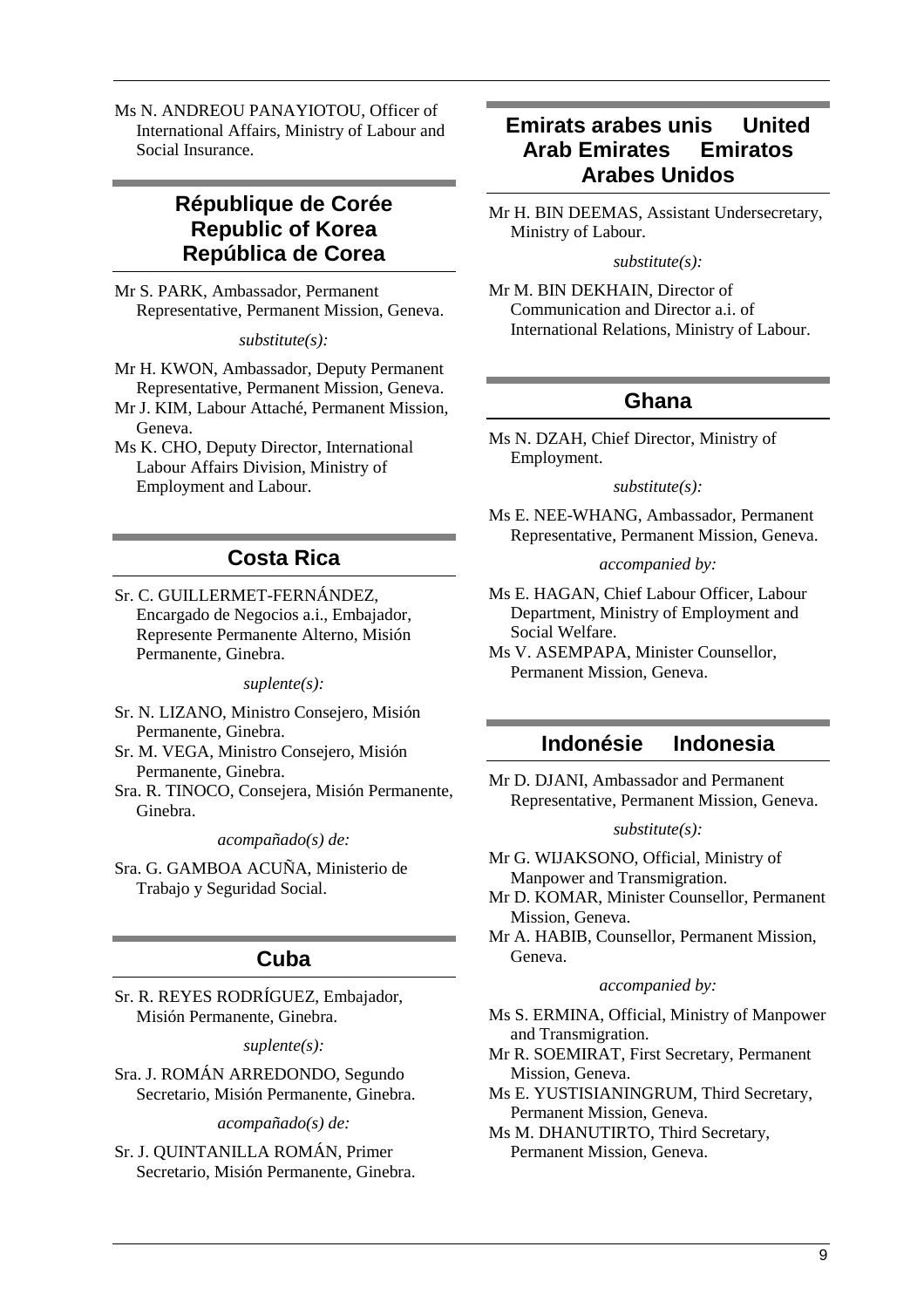Ms N. ANDREOU PANAYIOTOU, Officer of International Affairs, Ministry of Labour and Social Insurance.

# **République de Corée Republic of Korea República de Corea**

Mr S. PARK, Ambassador, Permanent Representative, Permanent Mission, Geneva.

*substitute(s):* 

- Mr H. KWON, Ambassador, Deputy Permanent Representative, Permanent Mission, Geneva.
- Mr J. KIM, Labour Attaché, Permanent Mission, Geneva.
- Ms K. CHO, Deputy Director, International Labour Affairs Division, Ministry of Employment and Labour.

# **Costa Rica**

Sr. C. GUILLERMET-FERNÁNDEZ, Encargado de Negocios a.i., Embajador, Represente Permanente Alterno, Misión Permanente, Ginebra.

*suplente(s):* 

- Sr. N. LIZANO, Ministro Consejero, Misión Permanente, Ginebra.
- Sr. M. VEGA, Ministro Consejero, Misión Permanente, Ginebra.
- Sra. R. TINOCO, Consejera, Misión Permanente, Ginebra.

*acompañado(s) de:* 

Sra. G. GAMBOA ACUÑA, Ministerio de Trabajo y Seguridad Social.

# **Cuba**

Sr. R. REYES RODRÍGUEZ, Embajador, Misión Permanente, Ginebra.

*suplente(s):* 

Sra. J. ROMÁN ARREDONDO, Segundo Secretario, Misión Permanente, Ginebra.

*acompañado(s) de:* 

Sr. J. QUINTANILLA ROMÁN, Primer Secretario, Misión Permanente, Ginebra.

# **Emirats arabes unis United Arab Emirates Emiratos Arabes Unidos**

Mr H. BIN DEEMAS, Assistant Undersecretary, Ministry of Labour.

*substitute(s):* 

Mr M. BIN DEKHAIN, Director of Communication and Director a.i. of International Relations, Ministry of Labour.

# **Ghana**

Ms N. DZAH, Chief Director, Ministry of Employment.

#### *substitute(s):*

Ms E. NEE-WHANG, Ambassador, Permanent Representative, Permanent Mission, Geneva.

*accompanied by:* 

Ms E. HAGAN, Chief Labour Officer, Labour Department, Ministry of Employment and Social Welfare.

Ms V. ASEMPAPA, Minister Counsellor, Permanent Mission, Geneva.

# **Indonésie Indonesia**

Mr D. DJANI, Ambassador and Permanent Representative, Permanent Mission, Geneva.

### *substitute(s):*

Mr G. WIJAKSONO, Official, Ministry of Manpower and Transmigration.

Mr D. KOMAR, Minister Counsellor, Permanent Mission, Geneva.

Mr A. HABIB, Counsellor, Permanent Mission, Geneva.

### *accompanied by:*

- Ms S. ERMINA, Official, Ministry of Manpower and Transmigration.
- Mr R. SOEMIRAT, First Secretary, Permanent Mission, Geneva.
- Ms E. YUSTISIANINGRUM, Third Secretary, Permanent Mission, Geneva.

Ms M. DHANUTIRTO, Third Secretary, Permanent Mission, Geneva.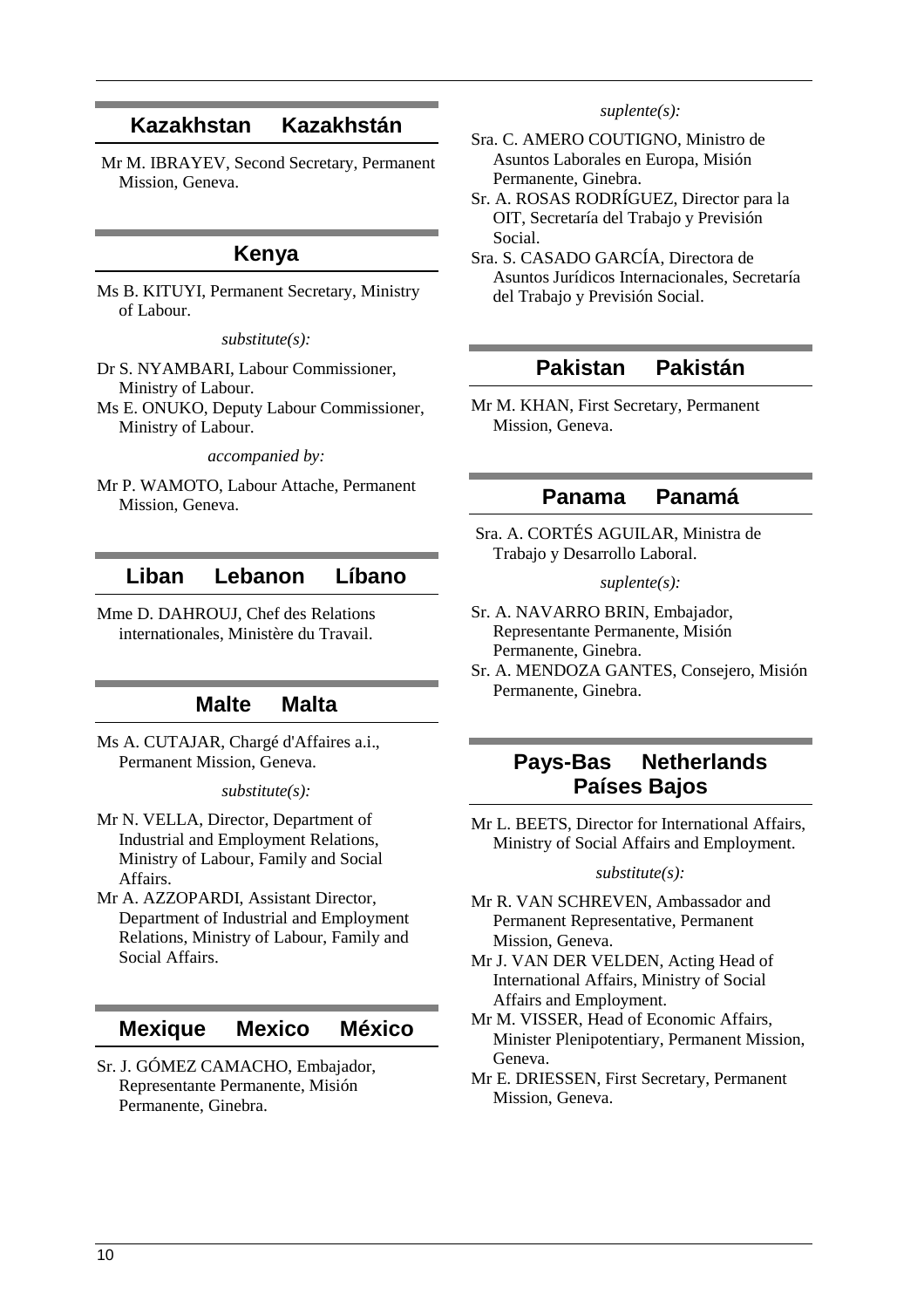# **Kazakhstan Kazakhstán**

 Mr M. IBRAYEV, Second Secretary, Permanent Mission, Geneva.

### **Kenya**

Ms B. KITUYI, Permanent Secretary, Ministry of Labour.

*substitute(s):* 

Dr S. NYAMBARI, Labour Commissioner, Ministry of Labour.

Ms E. ONUKO, Deputy Labour Commissioner, Ministry of Labour.

*accompanied by:* 

Mr P. WAMOTO, Labour Attache, Permanent Mission, Geneva.

# **Liban Lebanon Líbano**

Mme D. DAHROUJ, Chef des Relations internationales, Ministère du Travail.

# **Malte Malta**

Ms A. CUTAJAR, Chargé d'Affaires a.i., Permanent Mission, Geneva.

### *substitute(s):*

- Mr N. VELLA, Director, Department of Industrial and Employment Relations, Ministry of Labour, Family and Social Affairs.
- Mr A. AZZOPARDI, Assistant Director, Department of Industrial and Employment Relations, Ministry of Labour, Family and Social Affairs.

### **Mexique Mexico México**

Sr. J. GÓMEZ CAMACHO, Embajador, Representante Permanente, Misión Permanente, Ginebra.

#### *suplente(s):*

- Sra. C. AMERO COUTIGNO, Ministro de Asuntos Laborales en Europa, Misión Permanente, Ginebra.
- Sr. A. ROSAS RODRÍGUEZ, Director para la OIT, Secretaría del Trabajo y Previsión Social.
- Sra. S. CASADO GARCÍA, Directora de Asuntos Jurídicos Internacionales, Secretaría del Trabajo y Previsión Social.

### **Pakistan Pakistán**

Mr M. KHAN, First Secretary, Permanent Mission, Geneva.

### **Panama Panamá**

 Sra. A. CORTÉS AGUILAR, Ministra de Trabajo y Desarrollo Laboral.

*suplente(s):* 

- Sr. A. NAVARRO BRIN, Embajador, Representante Permanente, Misión Permanente, Ginebra.
- Sr. A. MENDOZA GANTES, Consejero, Misión Permanente, Ginebra.

# **Pays-Bas Netherlands Países Bajos**

Mr L. BEETS, Director for International Affairs, Ministry of Social Affairs and Employment.

### *substitute(s):*

- Mr R. VAN SCHREVEN, Ambassador and Permanent Representative, Permanent Mission, Geneva.
- Mr J. VAN DER VELDEN, Acting Head of International Affairs, Ministry of Social Affairs and Employment.
- Mr M. VISSER, Head of Economic Affairs, Minister Plenipotentiary, Permanent Mission, Geneva.
- Mr E. DRIESSEN, First Secretary, Permanent Mission, Geneva.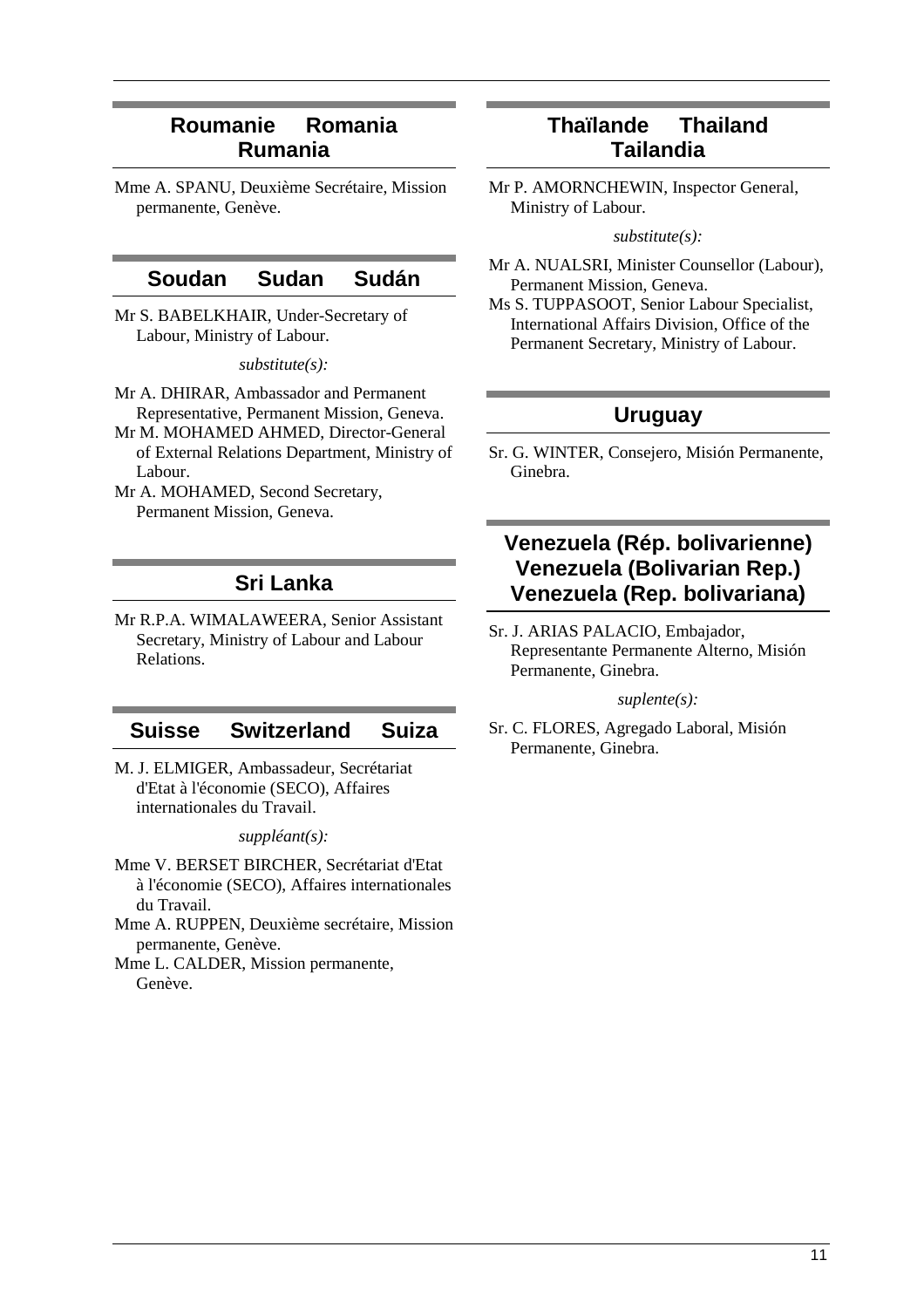# **Roumanie Romania Rumania**

Mme A. SPANU, Deuxième Secrétaire, Mission permanente, Genève.

### **Soudan Sudan Sudán**

Mr S. BABELKHAIR, Under-Secretary of Labour, Ministry of Labour.

*substitute(s):* 

- Mr A. DHIRAR, Ambassador and Permanent Representative, Permanent Mission, Geneva.
- Mr M. MOHAMED AHMED, Director-General of External Relations Department, Ministry of Labour.
- Mr A. MOHAMED, Second Secretary, Permanent Mission, Geneva.

# **Sri Lanka**

Mr R.P.A. WIMALAWEERA, Senior Assistant Secretary, Ministry of Labour and Labour Relations.

### **Suisse Switzerland Suiza**

M. J. ELMIGER, Ambassadeur, Secrétariat d'Etat à l'économie (SECO), Affaires internationales du Travail.

*suppléant(s):* 

- Mme V. BERSET BIRCHER, Secrétariat d'Etat à l'économie (SECO), Affaires internationales du Travail.
- Mme A. RUPPEN, Deuxième secrétaire, Mission permanente, Genève.
- Mme L. CALDER, Mission permanente, Genève.

# **Thaïlande Thailand Tailandia**

Mr P. AMORNCHEWIN, Inspector General, Ministry of Labour.

*substitute(s):* 

- Mr A. NUALSRI, Minister Counsellor (Labour), Permanent Mission, Geneva.
- Ms S. TUPPASOOT, Senior Labour Specialist, International Affairs Division, Office of the Permanent Secretary, Ministry of Labour.

# **Uruguay**

Sr. G. WINTER, Consejero, Misión Permanente, Ginebra.

# **Venezuela (Rép. bolivarienne) Venezuela (Bolivarian Rep.) Venezuela (Rep. bolivariana)**

Sr. J. ARIAS PALACIO, Embajador, Representante Permanente Alterno, Misión Permanente, Ginebra.

*suplente(s):* 

Sr. C. FLORES, Agregado Laboral, Misión Permanente, Ginebra.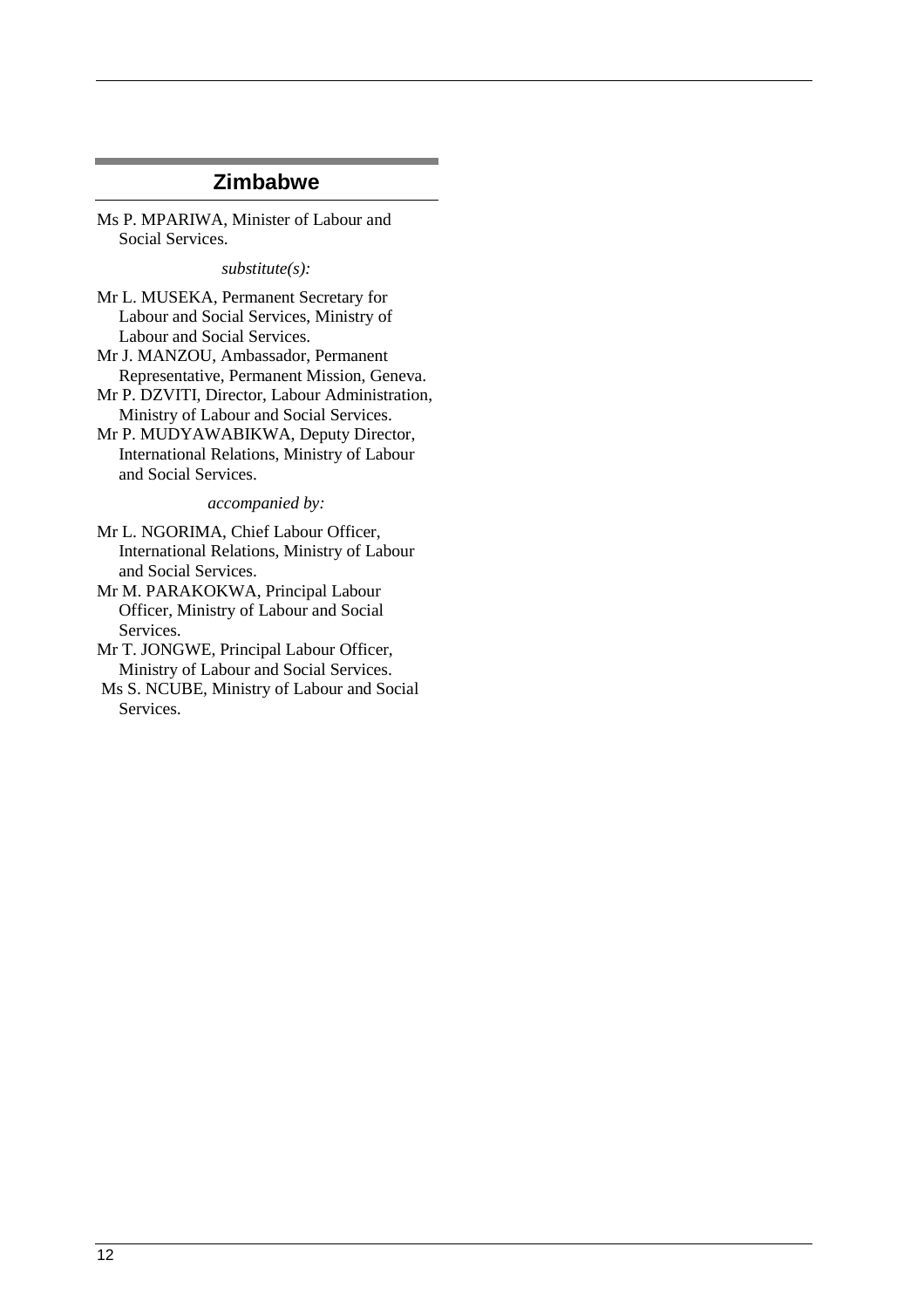### **Zimbabwe**

Ms P. MPARIWA, Minister of Labour and Social Services.

*substitute(s):* 

Mr L. MUSEKA, Permanent Secretary for Labour and Social Services, Ministry of Labour and Social Services.

Mr J. MANZOU, Ambassador, Permanent Representative, Permanent Mission, Geneva.

Mr P. DZVITI, Director, Labour Administration, Ministry of Labour and Social Services.

Mr P. MUDYAWABIKWA, Deputy Director, International Relations, Ministry of Labour and Social Services.

*accompanied by:* 

Mr L. NGORIMA, Chief Labour Officer, International Relations, Ministry of Labour and Social Services.

Mr M. PARAKOKWA, Principal Labour Officer, Ministry of Labour and Social Services.

Mr T. JONGWE, Principal Labour Officer, Ministry of Labour and Social Services.

 Ms S. NCUBE, Ministry of Labour and Social Services.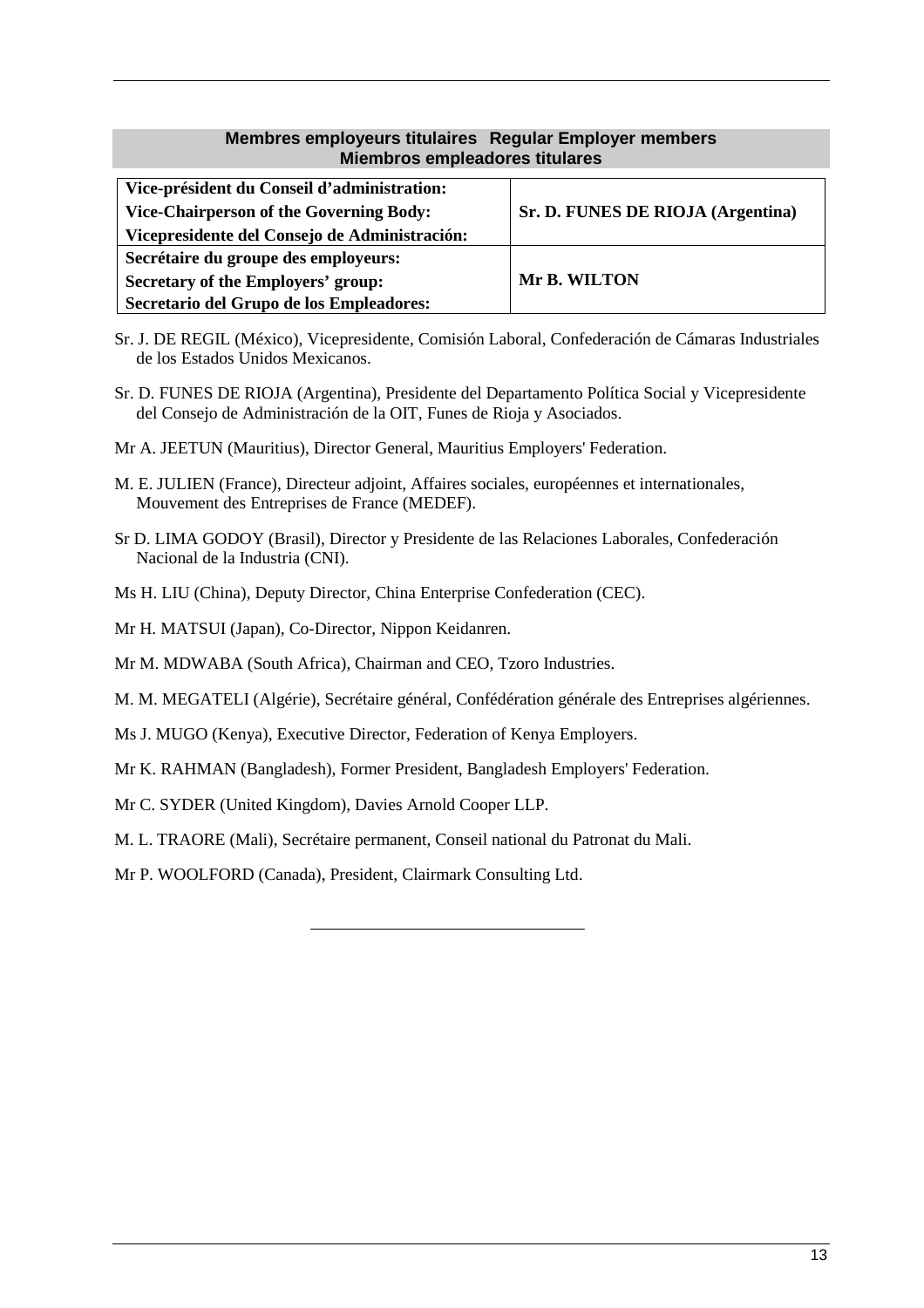### **Membres employeurs titulaires Regular Employer members Miembros empleadores titulares**

| Vice-président du Conseil d'administration:   |                                   |  |
|-----------------------------------------------|-----------------------------------|--|
| Vice-Chairperson of the Governing Body:       | Sr. D. FUNES DE RIOJA (Argentina) |  |
| Vicepresidente del Consejo de Administración: |                                   |  |
| Secrétaire du groupe des employeurs:          |                                   |  |
| Secretary of the Employers' group:            | Mr B. WILTON                      |  |
| Secretario del Grupo de los Empleadores:      |                                   |  |

- Sr. J. DE REGIL (México), Vicepresidente, Comisión Laboral, Confederación de Cámaras Industriales de los Estados Unidos Mexicanos.
- Sr. D. FUNES DE RIOJA (Argentina), Presidente del Departamento Política Social y Vicepresidente del Consejo de Administración de la OIT, Funes de Rioja y Asociados.
- Mr A. JEETUN (Mauritius), Director General, Mauritius Employers' Federation.
- M. E. JULIEN (France), Directeur adjoint, Affaires sociales, européennes et internationales, Mouvement des Entreprises de France (MEDEF).
- Sr D. LIMA GODOY (Brasil), Director y Presidente de las Relaciones Laborales, Confederación Nacional de la Industria (CNI).
- Ms H. LIU (China), Deputy Director, China Enterprise Confederation (CEC).
- Mr H. MATSUI (Japan), Co-Director, Nippon Keidanren.
- Mr M. MDWABA (South Africa), Chairman and CEO, Tzoro Industries.
- M. M. MEGATELI (Algérie), Secrétaire général, Confédération générale des Entreprises algériennes.
- Ms J. MUGO (Kenya), Executive Director, Federation of Kenya Employers.
- Mr K. RAHMAN (Bangladesh), Former President, Bangladesh Employers' Federation.
- Mr C. SYDER (United Kingdom), Davies Arnold Cooper LLP.
- M. L. TRAORE (Mali), Secrétaire permanent, Conseil national du Patronat du Mali.

Mr P. WOOLFORD (Canada), President, Clairmark Consulting Ltd.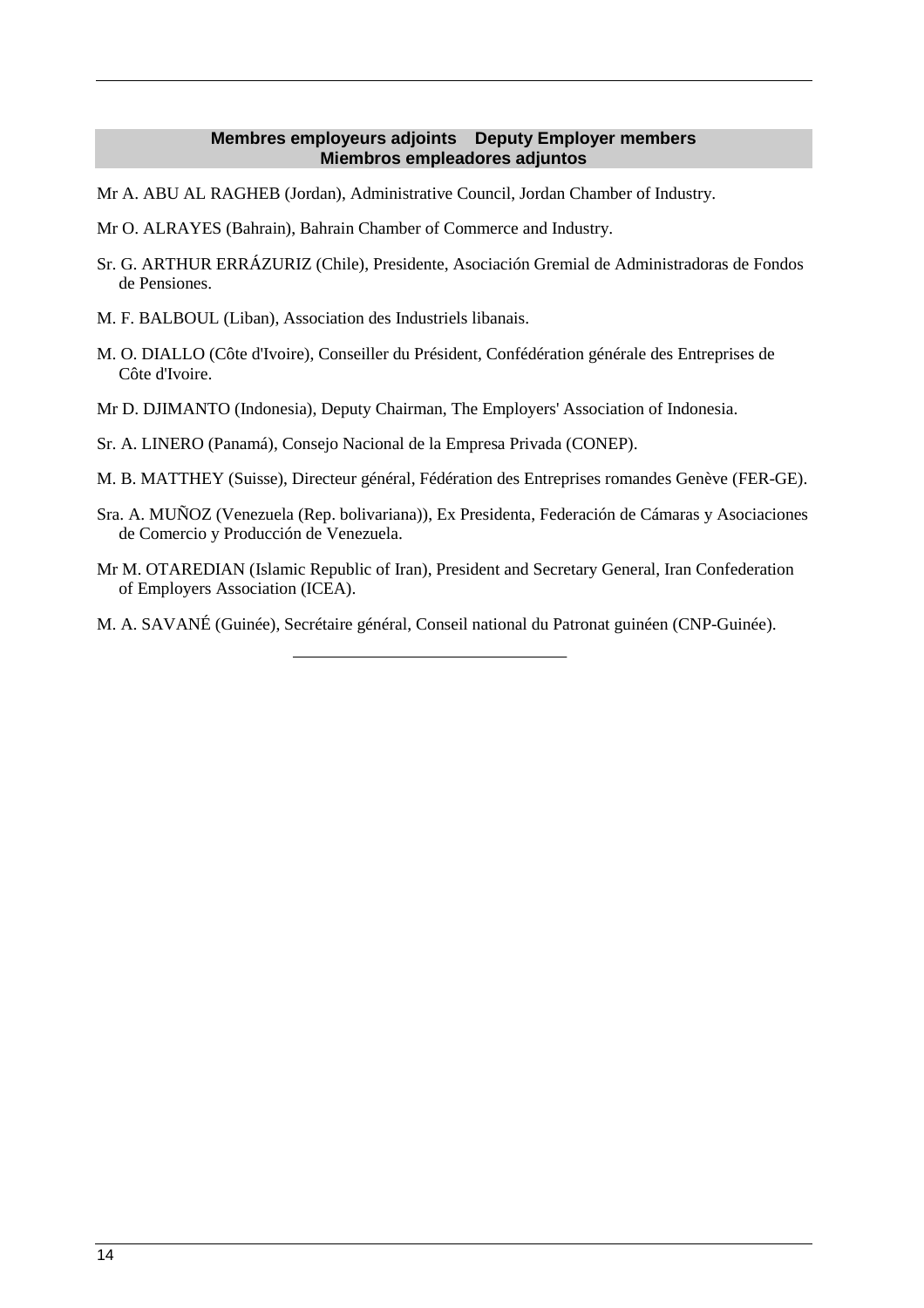### **Membres employeurs adjoints Deputy Employer members Miembros empleadores adjuntos**

- Mr A. ABU AL RAGHEB (Jordan), Administrative Council, Jordan Chamber of Industry.
- Mr O. ALRAYES (Bahrain), Bahrain Chamber of Commerce and Industry.
- Sr. G. ARTHUR ERRÁZURIZ (Chile), Presidente, Asociación Gremial de Administradoras de Fondos de Pensiones.
- M. F. BALBOUL (Liban), Association des Industriels libanais.
- M. O. DIALLO (Côte d'Ivoire), Conseiller du Président, Confédération générale des Entreprises de Côte d'Ivoire.
- Mr D. DJIMANTO (Indonesia), Deputy Chairman, The Employers' Association of Indonesia.
- Sr. A. LINERO (Panamá), Consejo Nacional de la Empresa Privada (CONEP).
- M. B. MATTHEY (Suisse), Directeur général, Fédération des Entreprises romandes Genève (FER-GE).
- Sra. A. MUÑOZ (Venezuela (Rep. bolivariana)), Ex Presidenta, Federación de Cámaras y Asociaciones de Comercio y Producción de Venezuela.
- Mr M. OTAREDIAN (Islamic Republic of Iran), President and Secretary General, Iran Confederation of Employers Association (ICEA).
- M. A. SAVANÉ (Guinée), Secrétaire général, Conseil national du Patronat guinéen (CNP-Guinée).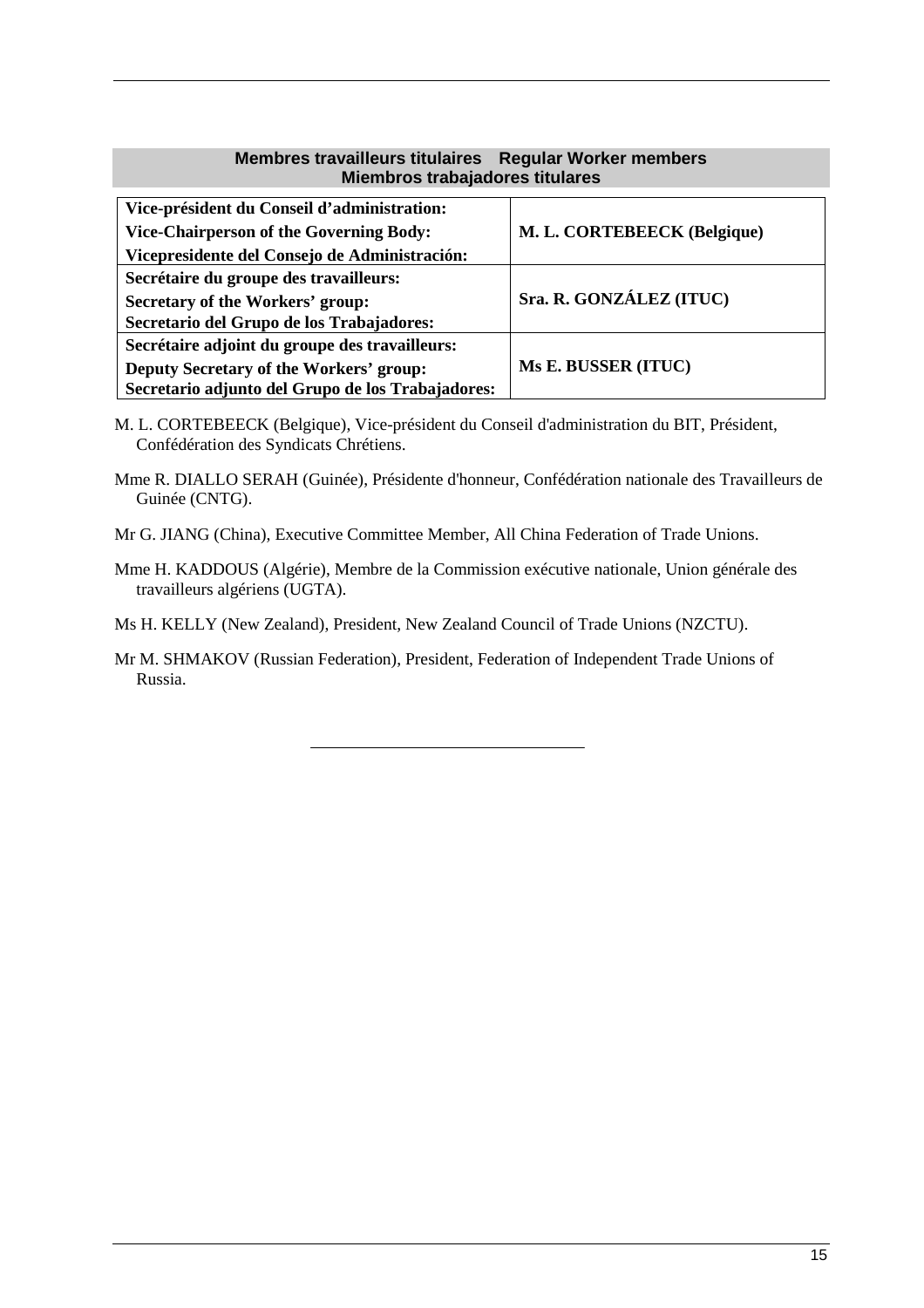### **Membres travailleurs titulaires Regular Worker members Miembros trabajadores titulares**

| Vice-président du Conseil d'administration:<br><b>Vice-Chairperson of the Governing Body:</b> | M. L. CORTEBEECK (Belgique) |  |
|-----------------------------------------------------------------------------------------------|-----------------------------|--|
| Vicepresidente del Consejo de Administración:                                                 |                             |  |
| Secrétaire du groupe des travailleurs:                                                        |                             |  |
| Secretary of the Workers' group:                                                              | Sra. R. GONZÁLEZ (ITUC)     |  |
| Secretario del Grupo de los Trabajadores:                                                     |                             |  |
| Secrétaire adjoint du groupe des travailleurs:                                                |                             |  |
| Deputy Secretary of the Workers' group:                                                       | Ms E. BUSSER (ITUC)         |  |
| Secretario adjunto del Grupo de los Trabajadores:                                             |                             |  |

- M. L. CORTEBEECK (Belgique), Vice-président du Conseil d'administration du BIT, Président, Confédération des Syndicats Chrétiens.
- Mme R. DIALLO SERAH (Guinée), Présidente d'honneur, Confédération nationale des Travailleurs de Guinée (CNTG).
- Mr G. JIANG (China), Executive Committee Member, All China Federation of Trade Unions.
- Mme H. KADDOUS (Algérie), Membre de la Commission exécutive nationale, Union générale des travailleurs algériens (UGTA).
- Ms H. KELLY (New Zealand), President, New Zealand Council of Trade Unions (NZCTU).
- Mr M. SHMAKOV (Russian Federation), President, Federation of Independent Trade Unions of Russia.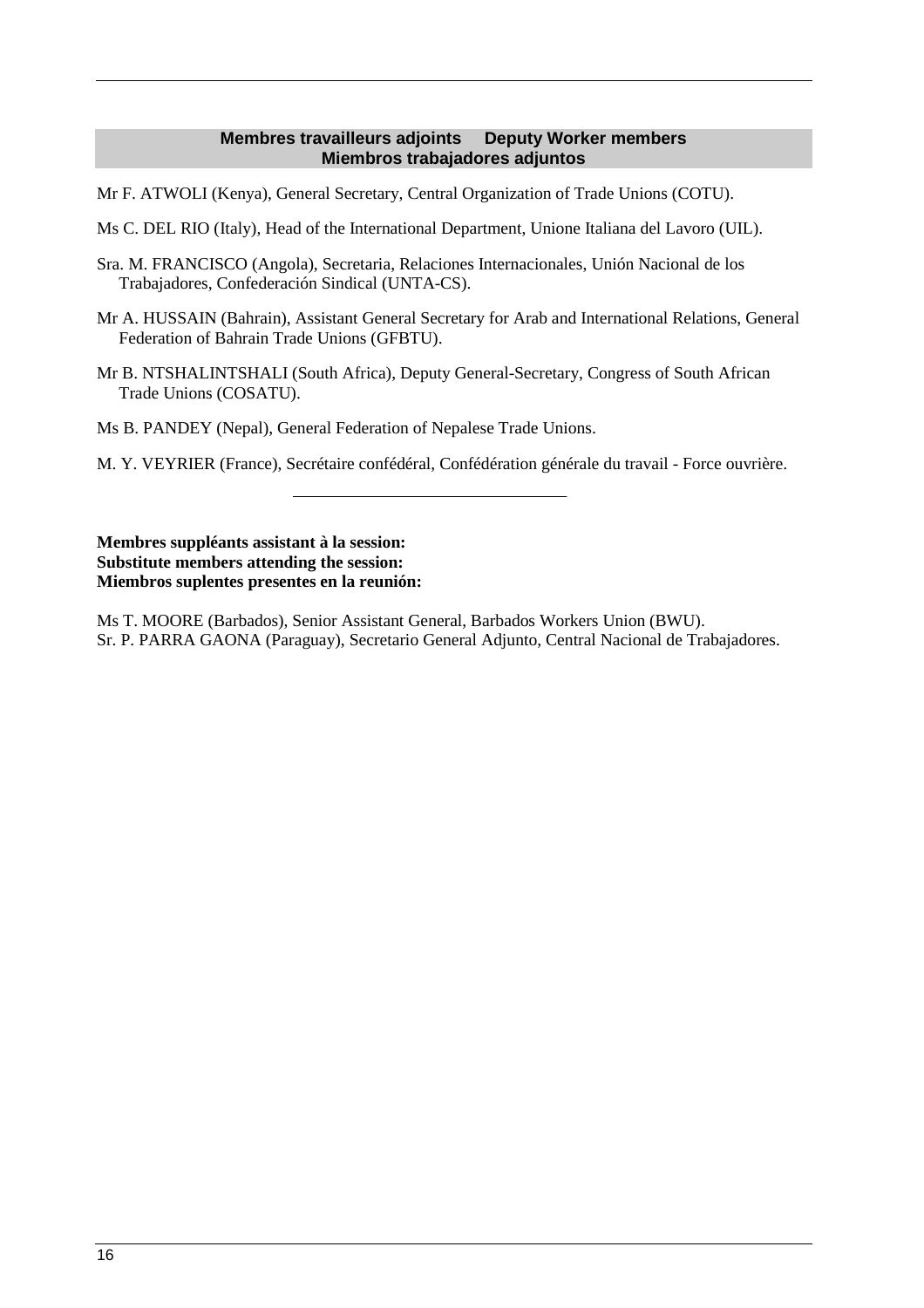### **Membres travailleurs adjoints Deputy Worker members Miembros trabajadores adjuntos**

Mr F. ATWOLI (Kenya), General Secretary, Central Organization of Trade Unions (COTU).

Ms C. DEL RIO (Italy), Head of the International Department, Unione Italiana del Lavoro (UIL).

- Sra. M. FRANCISCO (Angola), Secretaria, Relaciones Internacionales, Unión Nacional de los Trabajadores, Confederación Sindical (UNTA-CS).
- Mr A. HUSSAIN (Bahrain), Assistant General Secretary for Arab and International Relations, General Federation of Bahrain Trade Unions (GFBTU).
- Mr B. NTSHALINTSHALI (South Africa), Deputy General-Secretary, Congress of South African Trade Unions (COSATU).

Ms B. PANDEY (Nepal), General Federation of Nepalese Trade Unions.

M. Y. VEYRIER (France), Secrétaire confédéral, Confédération générale du travail - Force ouvrière.

**Membres suppléants assistant à la session: Substitute members attending the session: Miembros suplentes presentes en la reunión:** 

Ms T. MOORE (Barbados), Senior Assistant General, Barbados Workers Union (BWU). Sr. P. PARRA GAONA (Paraguay), Secretario General Adjunto, Central Nacional de Trabajadores.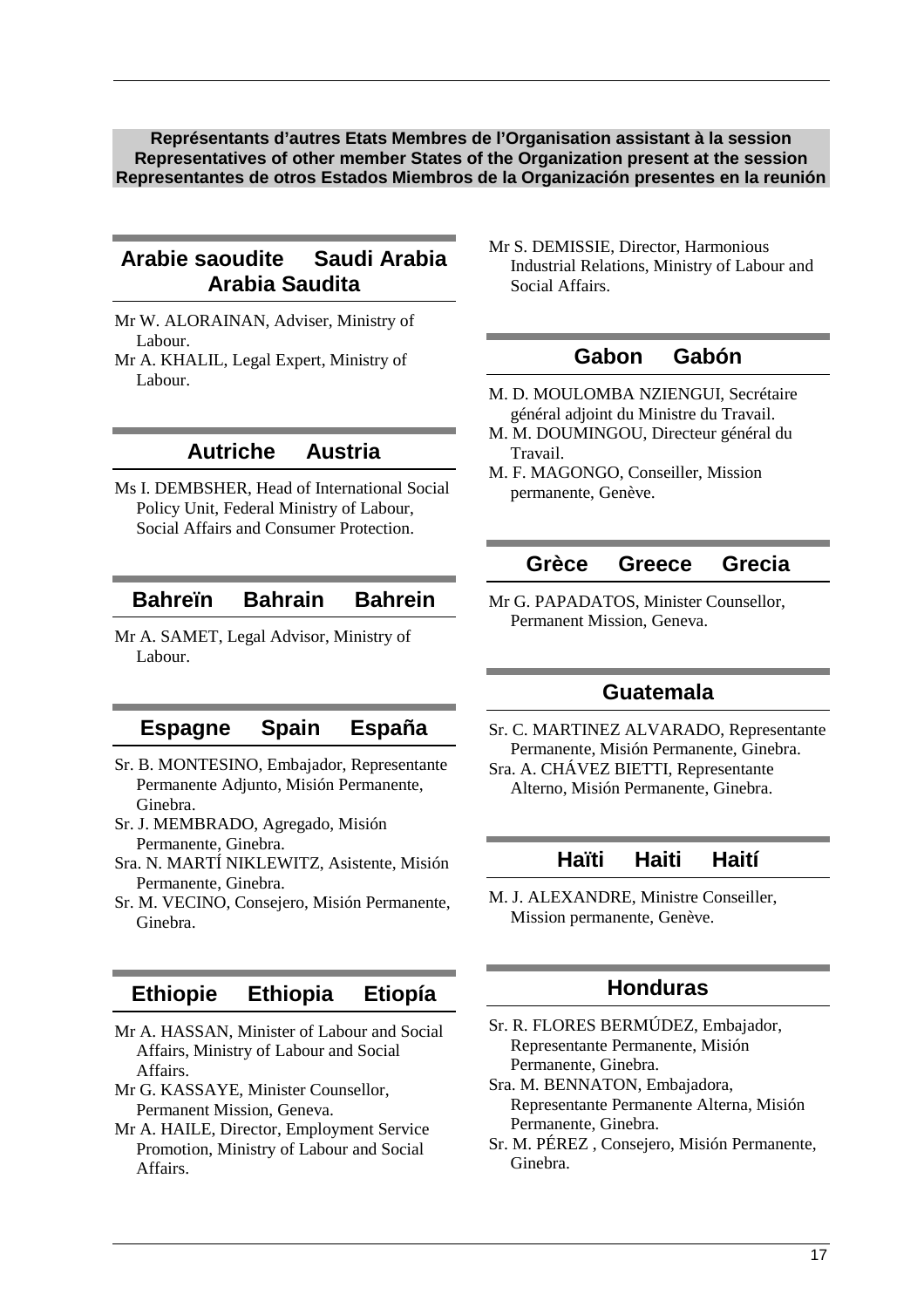**Représentants d'autres Etats Membres de l'Organisation assistant à la session Representatives of other member States of the Organization present at the session Representantes de otros Estados Miembros de la Organización presentes en la reunión** 

# **Arabie saoudite Saudi Arabia Arabia Saudita**

- Mr W. ALORAINAN, Adviser, Ministry of Labour.
- Mr A. KHALIL, Legal Expert, Ministry of Labour.

### **Autriche Austria**

Ms I. DEMBSHER, Head of International Social Policy Unit, Federal Ministry of Labour, Social Affairs and Consumer Protection.

# **Bahreïn Bahrain Bahrein**

Mr A. SAMET, Legal Advisor, Ministry of Labour.

### **Espagne Spain España**

- Sr. B. MONTESINO, Embajador, Representante Permanente Adjunto, Misión Permanente, Ginebra.
- Sr. J. MEMBRADO, Agregado, Misión Permanente, Ginebra.
- Sra. N. MARTÍ NIKLEWITZ, Asistente, Misión Permanente, Ginebra.
- Sr. M. VECINO, Consejero, Misión Permanente, Ginebra.

# **Ethiopie Ethiopia Etiopía**

- Mr A. HASSAN, Minister of Labour and Social Affairs, Ministry of Labour and Social Affairs.
- Mr G. KASSAYE, Minister Counsellor, Permanent Mission, Geneva.
- Mr A. HAILE, Director, Employment Service Promotion, Ministry of Labour and Social Affairs.

Mr S. DEMISSIE, Director, Harmonious Industrial Relations, Ministry of Labour and Social Affairs.

### **Gabon Gabón**

- M. D. MOULOMBA NZIENGUI, Secrétaire général adjoint du Ministre du Travail.
- M. M. DOUMINGOU, Directeur général du Travail.
- M. F. MAGONGO, Conseiller, Mission permanente, Genève.

### **Grèce Greece Grecia**

Mr G. PAPADATOS, Minister Counsellor, Permanent Mission, Geneva.

### **Guatemala**

Sr. C. MARTINEZ ALVARADO, Representante Permanente, Misión Permanente, Ginebra. Sra. A. CHÁVEZ BIETTI, Representante Alterno, Misión Permanente, Ginebra.

### **Haïti Haiti Haití**

M. J. ALEXANDRE, Ministre Conseiller, Mission permanente, Genève.

# **Honduras**

- Sr. R. FLORES BERMÚDEZ, Embajador, Representante Permanente, Misión Permanente, Ginebra.
- Sra. M. BENNATON, Embajadora, Representante Permanente Alterna, Misión Permanente, Ginebra.
- Sr. M. PÉREZ , Consejero, Misión Permanente, Ginebra.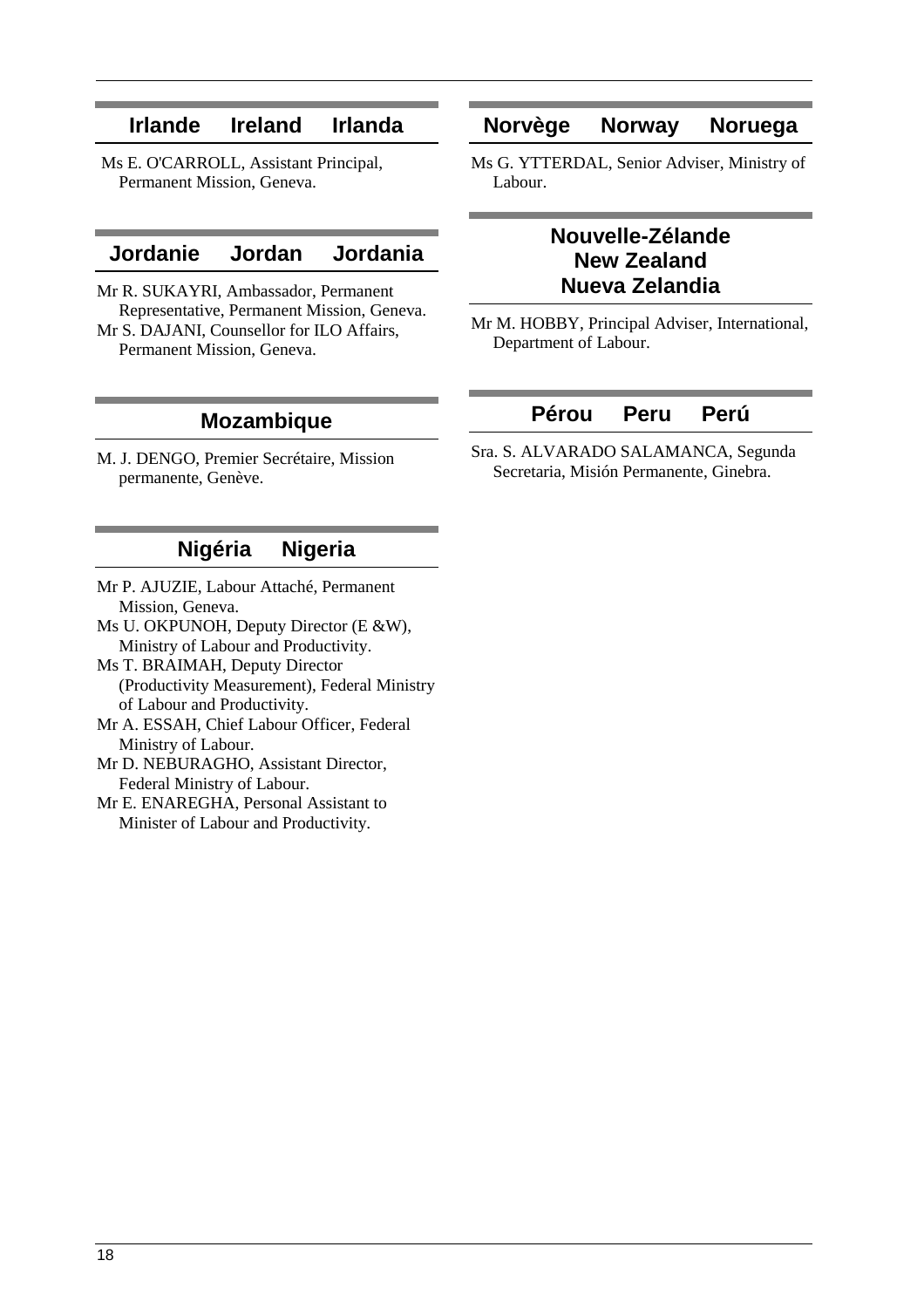# **Irlande Ireland Irlanda**

 Ms E. O'CARROLL, Assistant Principal, Permanent Mission, Geneva.

### **Jordanie Jordan Jordania**

Mr R. SUKAYRI, Ambassador, Permanent Representative, Permanent Mission, Geneva. Mr S. DAJANI, Counsellor for ILO Affairs, Permanent Mission, Geneva.

### **Norvège Norway Noruega**

Ms G. YTTERDAL, Senior Adviser, Ministry of Labour.

# **Nouvelle-Zélande New Zealand Nueva Zelandia**

Mr M. HOBBY, Principal Adviser, International, Department of Labour.

### **Mozambique**

M. J. DENGO, Premier Secrétaire, Mission permanente, Genève.

# **Nigéria Nigeria**

- Mr P. AJUZIE, Labour Attaché, Permanent Mission, Geneva.
- Ms U. OKPUNOH, Deputy Director (E &W), Ministry of Labour and Productivity.
- Ms T. BRAIMAH, Deputy Director (Productivity Measurement), Federal Ministry of Labour and Productivity.
- Mr A. ESSAH, Chief Labour Officer, Federal Ministry of Labour.
- Mr D. NEBURAGHO, Assistant Director, Federal Ministry of Labour.
- Mr E. ENAREGHA, Personal Assistant to Minister of Labour and Productivity.

# **Pérou Peru Perú**

Sra. S. ALVARADO SALAMANCA, Segunda Secretaria, Misión Permanente, Ginebra.